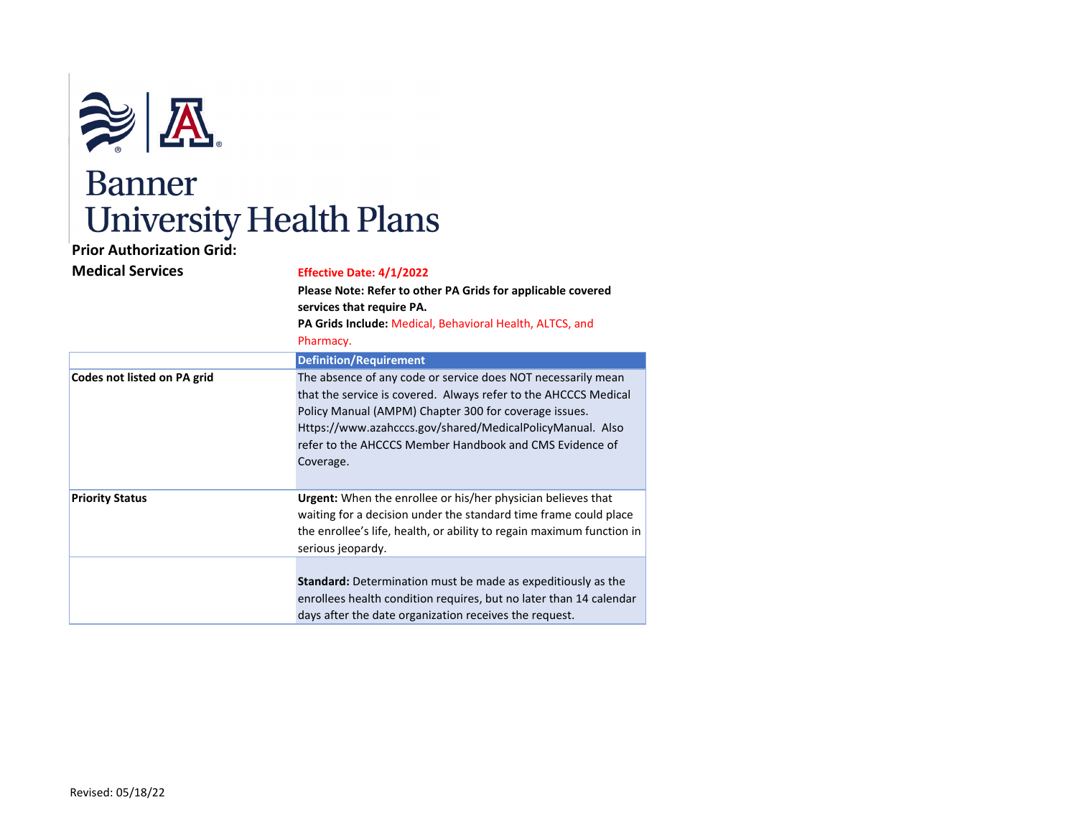

## **Prior Authorization Grid:**

| <b>Medical Services</b> | Effective Date: 4/1/2022 |
|-------------------------|--------------------------|
|-------------------------|--------------------------|

|                             | Please Note: Refer to other PA Grids for applicable covered<br>services that require PA.<br>PA Grids Include: Medical, Behavioral Health, ALTCS, and<br>Pharmacy.                                                                                                                                                             |
|-----------------------------|-------------------------------------------------------------------------------------------------------------------------------------------------------------------------------------------------------------------------------------------------------------------------------------------------------------------------------|
|                             | <b>Definition/Requirement</b>                                                                                                                                                                                                                                                                                                 |
| Codes not listed on PA grid | The absence of any code or service does NOT necessarily mean<br>that the service is covered. Always refer to the AHCCCS Medical<br>Policy Manual (AMPM) Chapter 300 for coverage issues.<br>Https://www.azahcccs.gov/shared/MedicalPolicyManual. Also<br>refer to the AHCCCS Member Handbook and CMS Evidence of<br>Coverage. |
| <b>Priority Status</b>      | <b>Urgent:</b> When the enrollee or his/her physician believes that<br>waiting for a decision under the standard time frame could place<br>the enrollee's life, health, or ability to regain maximum function in<br>serious jeopardy.                                                                                         |
|                             | <b>Standard:</b> Determination must be made as expeditiously as the<br>enrollees health condition requires, but no later than 14 calendar<br>days after the date organization receives the request.                                                                                                                           |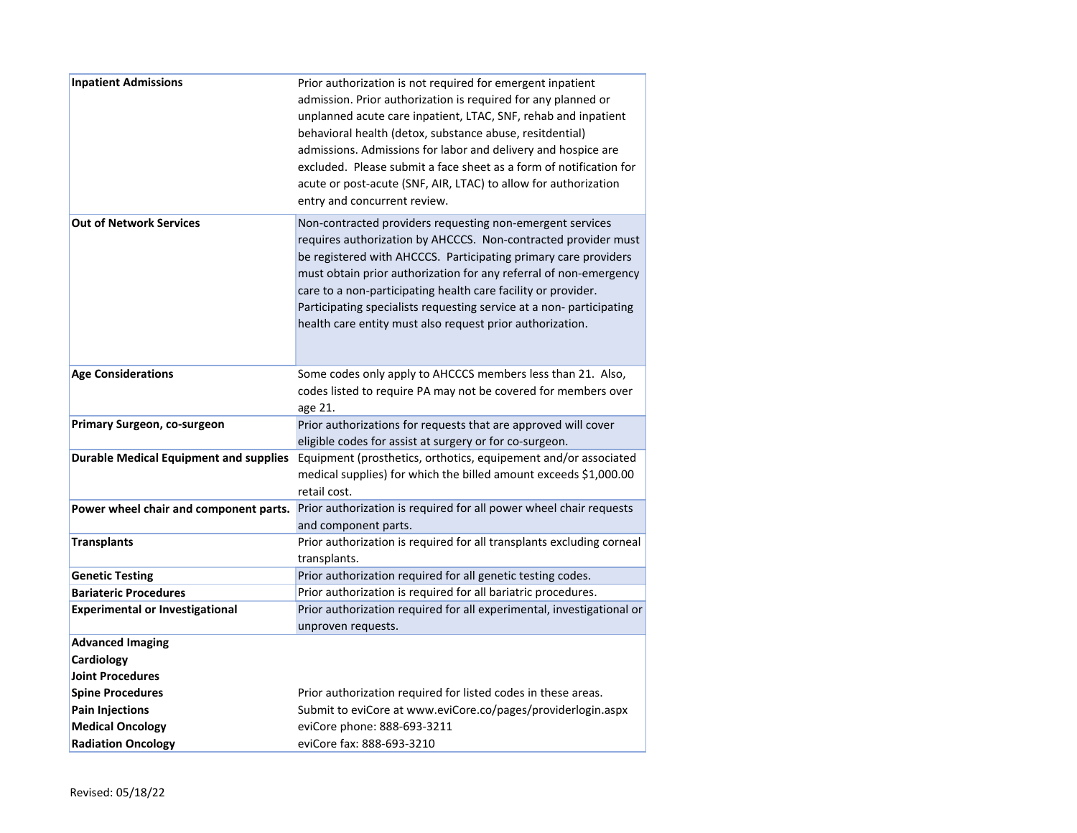| <b>Inpatient Admissions</b>                   | Prior authorization is not required for emergent inpatient<br>admission. Prior authorization is required for any planned or<br>unplanned acute care inpatient, LTAC, SNF, rehab and inpatient<br>behavioral health (detox, substance abuse, resitdential)<br>admissions. Admissions for labor and delivery and hospice are<br>excluded. Please submit a face sheet as a form of notification for<br>acute or post-acute (SNF, AIR, LTAC) to allow for authorization<br>entry and concurrent review. |
|-----------------------------------------------|-----------------------------------------------------------------------------------------------------------------------------------------------------------------------------------------------------------------------------------------------------------------------------------------------------------------------------------------------------------------------------------------------------------------------------------------------------------------------------------------------------|
| <b>Out of Network Services</b>                | Non-contracted providers requesting non-emergent services<br>requires authorization by AHCCCS. Non-contracted provider must<br>be registered with AHCCCS. Participating primary care providers<br>must obtain prior authorization for any referral of non-emergency<br>care to a non-participating health care facility or provider.<br>Participating specialists requesting service at a non-participating<br>health care entity must also request prior authorization.                            |
| <b>Age Considerations</b>                     | Some codes only apply to AHCCCS members less than 21. Also,<br>codes listed to require PA may not be covered for members over<br>age 21.                                                                                                                                                                                                                                                                                                                                                            |
| Primary Surgeon, co-surgeon                   | Prior authorizations for requests that are approved will cover<br>eligible codes for assist at surgery or for co-surgeon.                                                                                                                                                                                                                                                                                                                                                                           |
| <b>Durable Medical Equipment and supplies</b> | Equipment (prosthetics, orthotics, equipement and/or associated<br>medical supplies) for which the billed amount exceeds \$1,000.00<br>retail cost.                                                                                                                                                                                                                                                                                                                                                 |
| Power wheel chair and component parts.        | Prior authorization is required for all power wheel chair requests<br>and component parts.                                                                                                                                                                                                                                                                                                                                                                                                          |
| Transplants                                   | Prior authorization is required for all transplants excluding corneal<br>transplants.                                                                                                                                                                                                                                                                                                                                                                                                               |
| <b>Genetic Testing</b>                        | Prior authorization required for all genetic testing codes.                                                                                                                                                                                                                                                                                                                                                                                                                                         |
| <b>Bariateric Procedures</b>                  | Prior authorization is required for all bariatric procedures.                                                                                                                                                                                                                                                                                                                                                                                                                                       |
| <b>Experimental or Investigational</b>        | Prior authorization required for all experimental, investigational or<br>unproven requests.                                                                                                                                                                                                                                                                                                                                                                                                         |
| <b>Advanced Imaging</b>                       |                                                                                                                                                                                                                                                                                                                                                                                                                                                                                                     |
| Cardiology                                    |                                                                                                                                                                                                                                                                                                                                                                                                                                                                                                     |
| <b>Joint Procedures</b>                       |                                                                                                                                                                                                                                                                                                                                                                                                                                                                                                     |
| <b>Spine Procedures</b>                       | Prior authorization required for listed codes in these areas.                                                                                                                                                                                                                                                                                                                                                                                                                                       |
| <b>Pain Injections</b>                        | Submit to eviCore at www.eviCore.co/pages/providerlogin.aspx                                                                                                                                                                                                                                                                                                                                                                                                                                        |
| <b>Medical Oncology</b>                       | eviCore phone: 888-693-3211                                                                                                                                                                                                                                                                                                                                                                                                                                                                         |
| <b>Radiation Oncology</b>                     | eviCore fax: 888-693-3210                                                                                                                                                                                                                                                                                                                                                                                                                                                                           |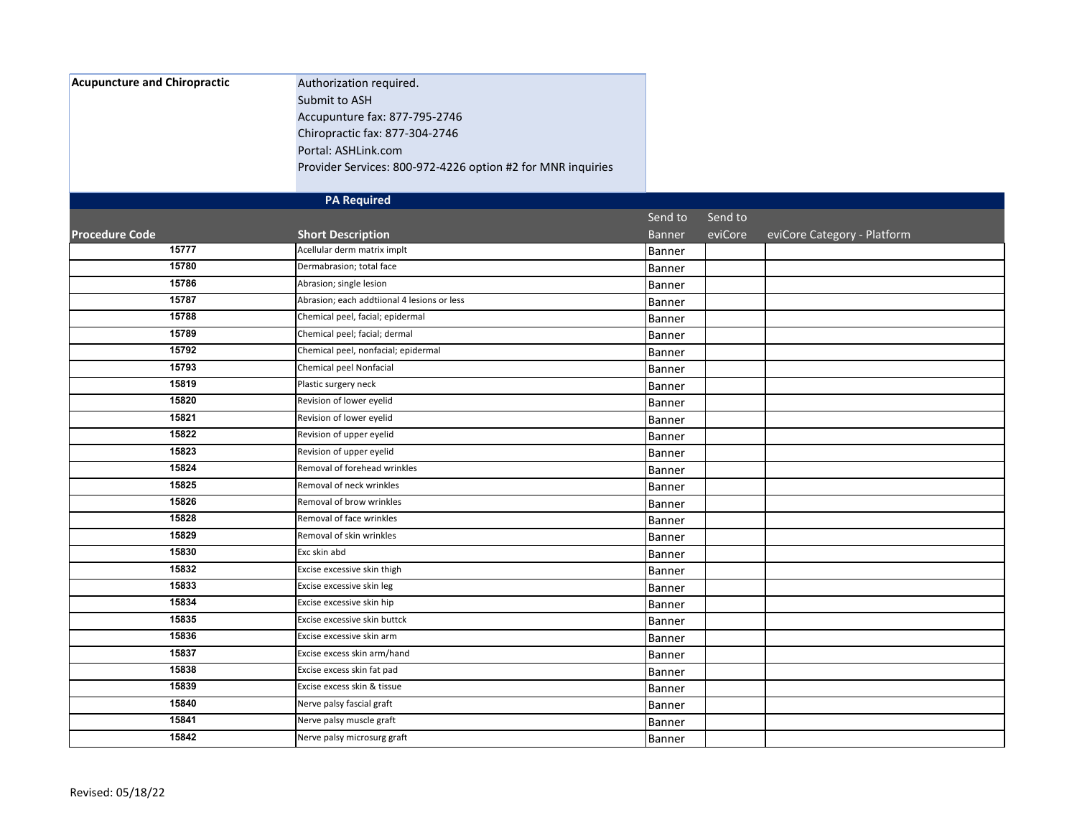| <b>Acupuncture and Chiropractic</b> | Authorization required.                                     |               |         |                             |
|-------------------------------------|-------------------------------------------------------------|---------------|---------|-----------------------------|
|                                     | Submit to ASH                                               |               |         |                             |
|                                     | Accupunture fax: 877-795-2746                               |               |         |                             |
|                                     | Chiropractic fax: 877-304-2746                              |               |         |                             |
|                                     | Portal: ASHLink.com                                         |               |         |                             |
|                                     | Provider Services: 800-972-4226 option #2 for MNR inquiries |               |         |                             |
|                                     | <b>PA Required</b>                                          |               |         |                             |
|                                     |                                                             | Send to       | Send to |                             |
| <b>Procedure Code</b>               | <b>Short Description</b>                                    | <b>Banner</b> | eviCore | eviCore Category - Platform |
| 15777                               | Acellular derm matrix implt                                 | Banner        |         |                             |
| 15780                               | Dermabrasion; total face                                    | Banner        |         |                             |
| 15786                               | Abrasion; single lesion                                     | Banner        |         |                             |
| 15787                               | Abrasion; each addtiional 4 lesions or less                 | Banner        |         |                             |
| 15788                               | Chemical peel, facial; epidermal                            | Banner        |         |                             |
| 15789                               | Chemical peel; facial; dermal                               | Banner        |         |                             |
| 15792                               | Chemical peel, nonfacial; epidermal                         | Banner        |         |                             |
| 15793                               | Chemical peel Nonfacial                                     | Banner        |         |                             |
| 15819                               | Plastic surgery neck                                        | Banner        |         |                             |
| 15820                               | Revision of lower eyelid                                    | Banner        |         |                             |
| 15821                               | Revision of lower eyelid                                    | Banner        |         |                             |
| 15822                               | Revision of upper eyelid                                    | Banner        |         |                             |
| 15823                               | Revision of upper eyelid                                    | Banner        |         |                             |
| 15824                               | Removal of forehead wrinkles                                | Banner        |         |                             |
| 15825                               | Removal of neck wrinkles                                    | Banner        |         |                             |
| 15826                               | Removal of brow wrinkles                                    | Banner        |         |                             |
| 15828                               | Removal of face wrinkles                                    | Banner        |         |                             |
| 15829                               | Removal of skin wrinkles                                    | Banner        |         |                             |
| 15830                               | Exc skin abd                                                | Banner        |         |                             |
| 15832                               | Excise excessive skin thigh                                 | Banner        |         |                             |
| 15833                               | Excise excessive skin leg                                   | <b>Banner</b> |         |                             |
| 15834                               | Excise excessive skin hip                                   | Banner        |         |                             |
| 15835                               | Excise excessive skin buttck                                | Banner        |         |                             |
| 15836                               | Excise excessive skin arm                                   | Banner        |         |                             |
| 15837                               | Excise excess skin arm/hand                                 | Banner        |         |                             |
| 15838                               | Excise excess skin fat pad                                  | Banner        |         |                             |
| 15839                               | Excise excess skin & tissue                                 | Banner        |         |                             |
| 15840                               | Nerve palsy fascial graft                                   | Banner        |         |                             |
| 15841                               | Nerve palsy muscle graft                                    | Banner        |         |                             |
| 15842                               | Nerve palsy microsurg graft                                 | Banner        |         |                             |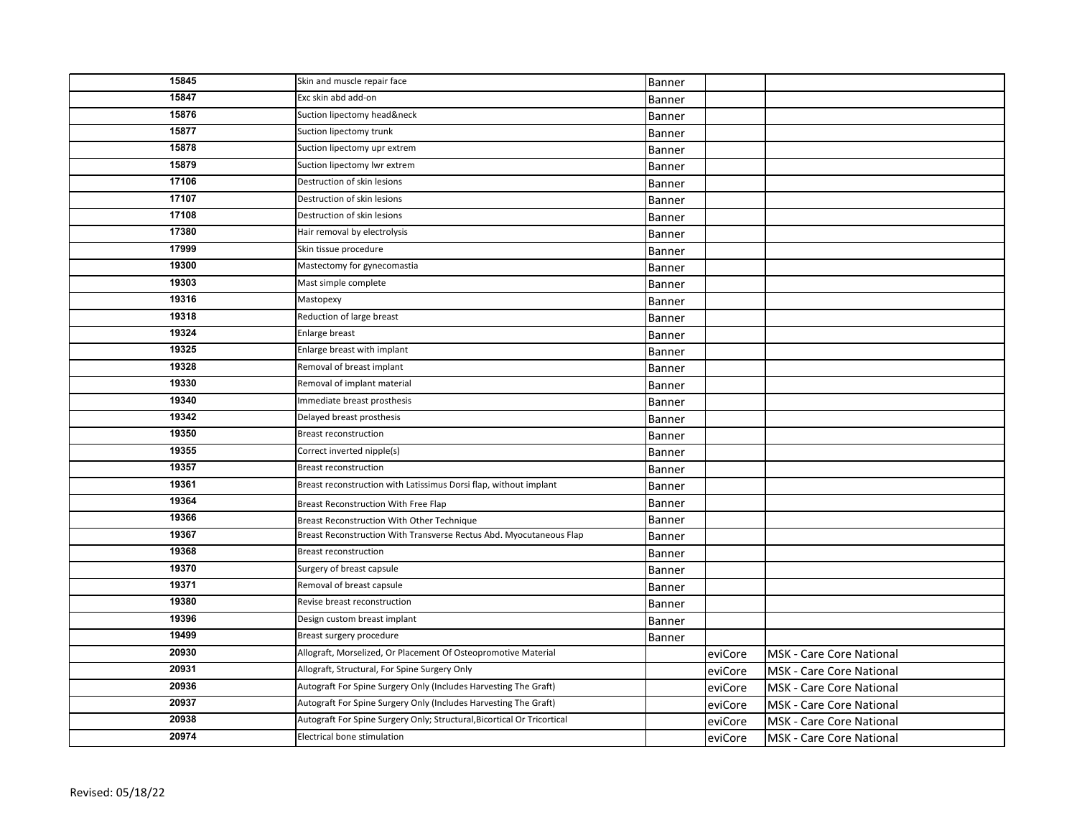| 15845 | Skin and muscle repair face                                             | Banner        |         |                                 |
|-------|-------------------------------------------------------------------------|---------------|---------|---------------------------------|
| 15847 | Exc skin abd add-on                                                     | Banner        |         |                                 |
| 15876 | Suction lipectomy head&neck                                             | Banner        |         |                                 |
| 15877 | Suction lipectomy trunk                                                 | Banner        |         |                                 |
| 15878 | Suction lipectomy upr extrem                                            | Banner        |         |                                 |
| 15879 | Suction lipectomy lwr extrem                                            | <b>Banner</b> |         |                                 |
| 17106 | Destruction of skin lesions                                             | Banner        |         |                                 |
| 17107 | Destruction of skin lesions                                             | Banner        |         |                                 |
| 17108 | Destruction of skin lesions                                             | Banner        |         |                                 |
| 17380 | Hair removal by electrolysis                                            | Banner        |         |                                 |
| 17999 | Skin tissue procedure                                                   | Banner        |         |                                 |
| 19300 | Mastectomy for gynecomastia                                             | <b>Banner</b> |         |                                 |
| 19303 | Mast simple complete                                                    | Banner        |         |                                 |
| 19316 | Mastopexy                                                               | Banner        |         |                                 |
| 19318 | Reduction of large breast                                               | Banner        |         |                                 |
| 19324 | Enlarge breast                                                          | Banner        |         |                                 |
| 19325 | Enlarge breast with implant                                             | Banner        |         |                                 |
| 19328 | Removal of breast implant                                               | Banner        |         |                                 |
| 19330 | Removal of implant material                                             | Banner        |         |                                 |
| 19340 | Immediate breast prosthesis                                             | Banner        |         |                                 |
| 19342 | Delayed breast prosthesis                                               | Banner        |         |                                 |
| 19350 | <b>Breast reconstruction</b>                                            | Banner        |         |                                 |
| 19355 | Correct inverted nipple(s)                                              | Banner        |         |                                 |
| 19357 | <b>Breast reconstruction</b>                                            | Banner        |         |                                 |
| 19361 | Breast reconstruction with Latissimus Dorsi flap, without implant       | Banner        |         |                                 |
| 19364 | Breast Reconstruction With Free Flap                                    | Banner        |         |                                 |
| 19366 | Breast Reconstruction With Other Technique                              | Banner        |         |                                 |
| 19367 | Breast Reconstruction With Transverse Rectus Abd. Myocutaneous Flap     | Banner        |         |                                 |
| 19368 | <b>Breast reconstruction</b>                                            | Banner        |         |                                 |
| 19370 | Surgery of breast capsule                                               | Banner        |         |                                 |
| 19371 | Removal of breast capsule                                               | Banner        |         |                                 |
| 19380 | Revise breast reconstruction                                            | Banner        |         |                                 |
| 19396 | Design custom breast implant                                            | Banner        |         |                                 |
| 19499 | Breast surgery procedure                                                | Banner        |         |                                 |
| 20930 | Allograft, Morselized, Or Placement Of Osteopromotive Material          |               | eviCore | <b>MSK - Care Core National</b> |
| 20931 | Allograft, Structural, For Spine Surgery Only                           |               | eviCore | <b>MSK - Care Core National</b> |
| 20936 | Autograft For Spine Surgery Only (Includes Harvesting The Graft)        |               | eviCore | MSK - Care Core National        |
| 20937 | Autograft For Spine Surgery Only (Includes Harvesting The Graft)        |               | eviCore | MSK - Care Core National        |
| 20938 | Autograft For Spine Surgery Only; Structural, Bicortical Or Tricortical |               | eviCore | MSK - Care Core National        |
| 20974 | Electrical bone stimulation                                             |               | eviCore | MSK - Care Core National        |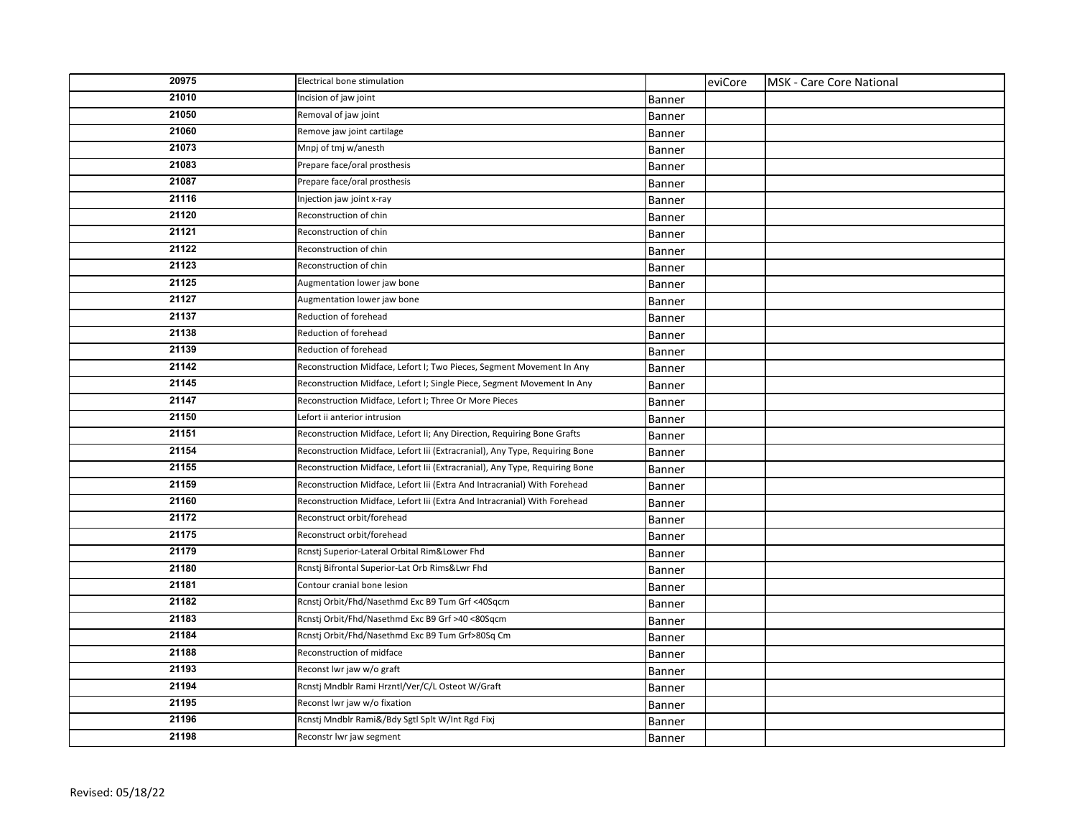| 20975 | Electrical bone stimulation                                                 |               | eviCore | MSK - Care Core National |
|-------|-----------------------------------------------------------------------------|---------------|---------|--------------------------|
| 21010 | Incision of jaw joint                                                       | Banner        |         |                          |
| 21050 | Removal of jaw joint                                                        | Banner        |         |                          |
| 21060 | Remove jaw joint cartilage                                                  | <b>Banner</b> |         |                          |
| 21073 | Mnpj of tmj w/anesth                                                        | Banner        |         |                          |
| 21083 | Prepare face/oral prosthesis                                                | Banner        |         |                          |
| 21087 | Prepare face/oral prosthesis                                                | Banner        |         |                          |
| 21116 | Injection jaw joint x-ray                                                   | Banner        |         |                          |
| 21120 | Reconstruction of chin                                                      | Banner        |         |                          |
| 21121 | Reconstruction of chin                                                      | Banner        |         |                          |
| 21122 | Reconstruction of chin                                                      | Banner        |         |                          |
| 21123 | Reconstruction of chin                                                      | Banner        |         |                          |
| 21125 | Augmentation lower jaw bone                                                 | Banner        |         |                          |
| 21127 | Augmentation lower jaw bone                                                 | <b>Banner</b> |         |                          |
| 21137 | Reduction of forehead                                                       | <b>Banner</b> |         |                          |
| 21138 | Reduction of forehead                                                       | Banner        |         |                          |
| 21139 | Reduction of forehead                                                       | Banner        |         |                          |
| 21142 | Reconstruction Midface, Lefort I; Two Pieces, Segment Movement In Any       | Banner        |         |                          |
| 21145 | Reconstruction Midface, Lefort I; Single Piece, Segment Movement In Any     | Banner        |         |                          |
| 21147 | Reconstruction Midface, Lefort I; Three Or More Pieces                      | Banner        |         |                          |
| 21150 | Lefort ii anterior intrusion                                                | Banner        |         |                          |
| 21151 | Reconstruction Midface, Lefort Ii; Any Direction, Requiring Bone Grafts     | <b>Banner</b> |         |                          |
| 21154 | Reconstruction Midface, Lefort Iii (Extracranial), Any Type, Requiring Bone | Banner        |         |                          |
| 21155 | Reconstruction Midface, Lefort Iii (Extracranial), Any Type, Requiring Bone | Banner        |         |                          |
| 21159 | Reconstruction Midface, Lefort Iii (Extra And Intracranial) With Forehead   | Banner        |         |                          |
| 21160 | Reconstruction Midface, Lefort Iii (Extra And Intracranial) With Forehead   | Banner        |         |                          |
| 21172 | Reconstruct orbit/forehead                                                  | Banner        |         |                          |
| 21175 | Reconstruct orbit/forehead                                                  | Banner        |         |                          |
| 21179 | Rcnstj Superior-Lateral Orbital Rim&Lower Fhd                               | Banner        |         |                          |
| 21180 | Rcnstj Bifrontal Superior-Lat Orb Rims&Lwr Fhd                              | Banner        |         |                          |
| 21181 | Contour cranial bone lesion                                                 | <b>Banner</b> |         |                          |
| 21182 | Rcnstj Orbit/Fhd/Nasethmd Exc B9 Tum Grf <40Sqcm                            | Banner        |         |                          |
| 21183 | Rcnstj Orbit/Fhd/Nasethmd Exc B9 Grf >40 <80Sqcm                            | Banner        |         |                          |
| 21184 | Rcnstj Orbit/Fhd/Nasethmd Exc B9 Tum Grf>80Sq Cm                            | <b>Banner</b> |         |                          |
| 21188 | Reconstruction of midface                                                   | Banner        |         |                          |
| 21193 | Reconst Iwr jaw w/o graft                                                   | Banner        |         |                          |
| 21194 | Rcnstj Mndblr Rami Hrzntl/Ver/C/L Osteot W/Graft                            | Banner        |         |                          |
| 21195 | Reconst lwr jaw w/o fixation                                                | Banner        |         |                          |
| 21196 | Rcnstj Mndblr Rami&/Bdy Sgtl Splt W/Int Rgd Fixj                            | Banner        |         |                          |
| 21198 | Reconstr lwr jaw segment                                                    | Banner        |         |                          |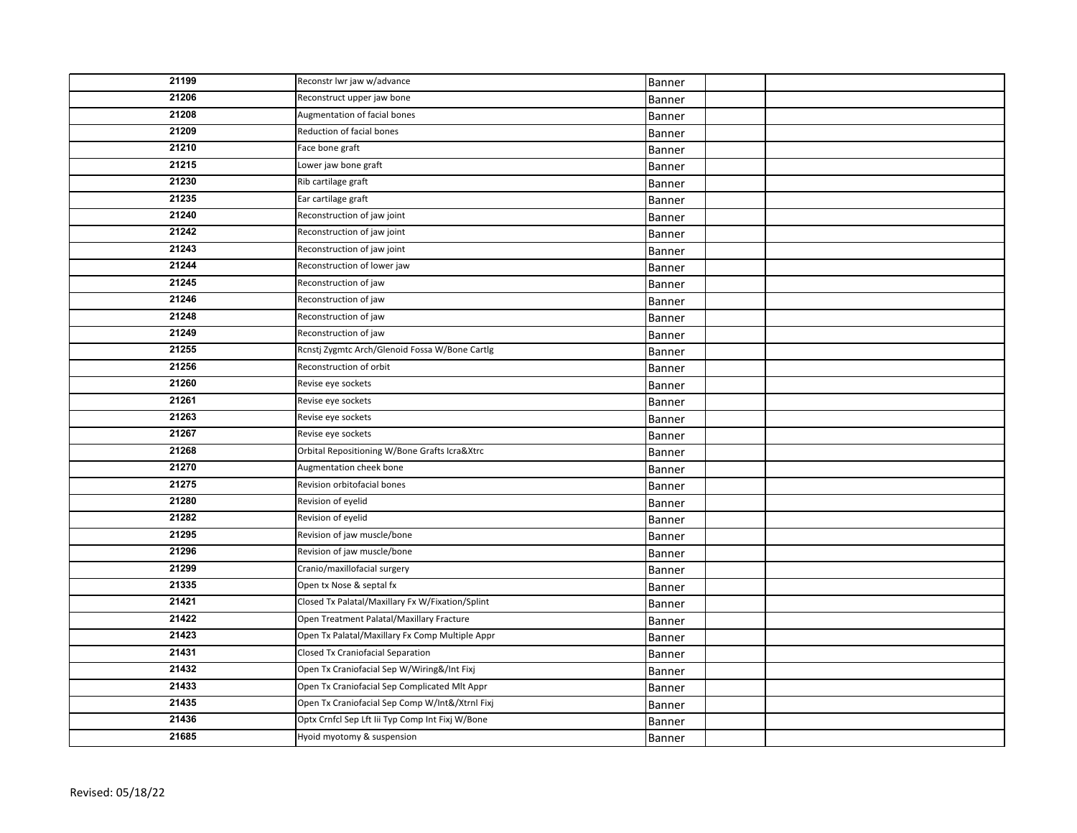| 21199 | Reconstr Iwr jaw w/advance                       | Banner |  |
|-------|--------------------------------------------------|--------|--|
| 21206 | Reconstruct upper jaw bone                       | Banner |  |
| 21208 | Augmentation of facial bones                     | Banner |  |
| 21209 | Reduction of facial bones                        | Banner |  |
| 21210 | Face bone graft                                  |        |  |
| 21215 | Lower jaw bone graft                             | Banner |  |
| 21230 | Rib cartilage graft                              | Banner |  |
| 21235 | Ear cartilage graft                              | Banner |  |
| 21240 | Reconstruction of jaw joint                      | Banner |  |
| 21242 |                                                  | Banner |  |
|       | Reconstruction of jaw joint                      | Banner |  |
| 21243 | Reconstruction of jaw joint                      | Banner |  |
| 21244 | Reconstruction of lower jaw                      | Banner |  |
| 21245 | Reconstruction of jaw                            | Banner |  |
| 21246 | Reconstruction of jaw                            | Banner |  |
| 21248 | Reconstruction of jaw                            | Banner |  |
| 21249 | Reconstruction of jaw                            | Banner |  |
| 21255 | Rcnstj Zygmtc Arch/Glenoid Fossa W/Bone Cartlg   | Banner |  |
| 21256 | Reconstruction of orbit                          | Banner |  |
| 21260 | Revise eye sockets                               | Banner |  |
| 21261 | Revise eye sockets                               | Banner |  |
| 21263 | Revise eye sockets                               | Banner |  |
| 21267 | Revise eye sockets                               | Banner |  |
| 21268 | Orbital Repositioning W/Bone Grafts Icra&Xtrc    | Banner |  |
| 21270 | Augmentation cheek bone                          | Banner |  |
| 21275 | Revision orbitofacial bones                      | Banner |  |
| 21280 | Revision of eyelid                               | Banner |  |
| 21282 | Revision of eyelid                               | Banner |  |
| 21295 | Revision of jaw muscle/bone                      | Banner |  |
| 21296 | Revision of jaw muscle/bone                      | Banner |  |
| 21299 | Cranio/maxillofacial surgery                     | Banner |  |
| 21335 | Open tx Nose & septal fx                         | Banner |  |
| 21421 | Closed Tx Palatal/Maxillary Fx W/Fixation/Splint | Banner |  |
| 21422 | Open Treatment Palatal/Maxillary Fracture        | Banner |  |
| 21423 | Open Tx Palatal/Maxillary Fx Comp Multiple Appr  | Banner |  |
| 21431 | Closed Tx Craniofacial Separation                | Banner |  |
| 21432 | Open Tx Craniofacial Sep W/Wiring&/Int Fixj      | Banner |  |
| 21433 | Open Tx Craniofacial Sep Complicated Mlt Appr    | Banner |  |
| 21435 | Open Tx Craniofacial Sep Comp W/Int&/Xtrnl Fixj  | Banner |  |
| 21436 | Optx Crnfcl Sep Lft lii Typ Comp Int Fixj W/Bone | Banner |  |
| 21685 | Hyoid myotomy & suspension                       | Banner |  |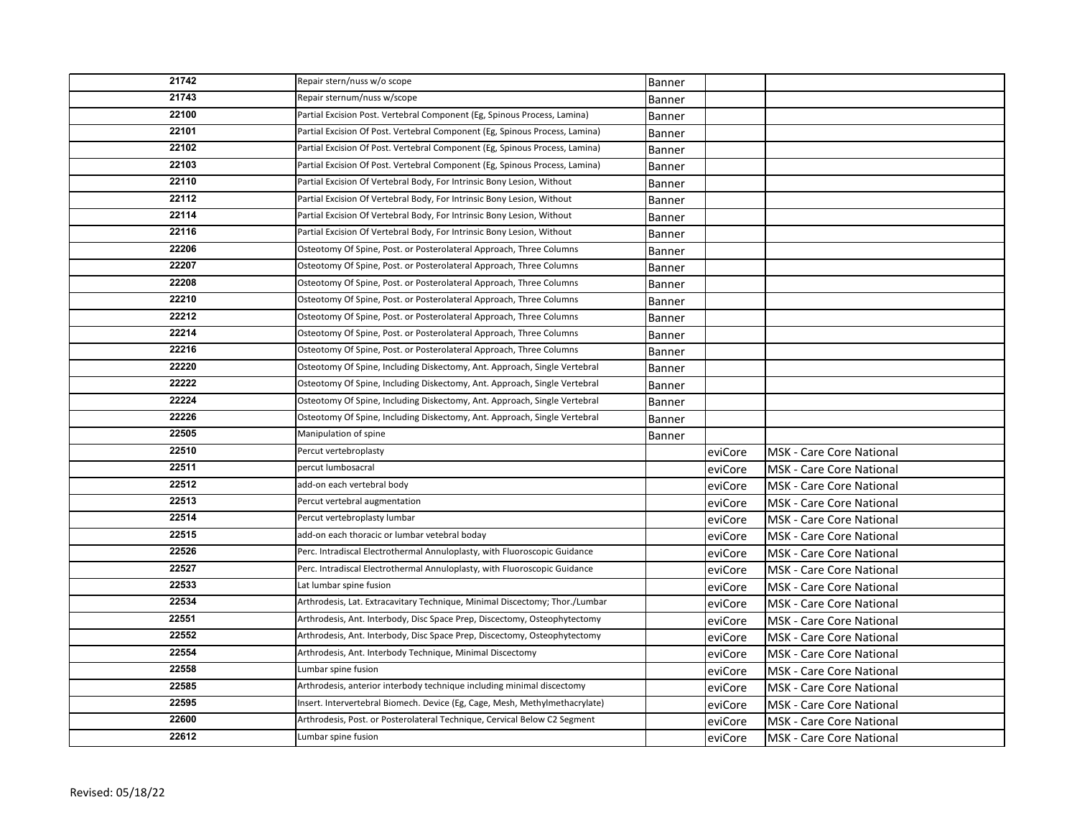| 21742 | Repair stern/nuss w/o scope                                                 | Banner        |         |                                 |
|-------|-----------------------------------------------------------------------------|---------------|---------|---------------------------------|
| 21743 | Repair sternum/nuss w/scope                                                 | <b>Banner</b> |         |                                 |
| 22100 | Partial Excision Post. Vertebral Component (Eg, Spinous Process, Lamina)    | Banner        |         |                                 |
| 22101 | Partial Excision Of Post. Vertebral Component (Eg, Spinous Process, Lamina) | Banner        |         |                                 |
| 22102 | Partial Excision Of Post. Vertebral Component (Eg, Spinous Process, Lamina) | Banner        |         |                                 |
| 22103 | Partial Excision Of Post. Vertebral Component (Eg, Spinous Process, Lamina) | Banner        |         |                                 |
| 22110 | Partial Excision Of Vertebral Body, For Intrinsic Bony Lesion, Without      | Banner        |         |                                 |
| 22112 | Partial Excision Of Vertebral Body, For Intrinsic Bony Lesion, Without      | Banner        |         |                                 |
| 22114 | Partial Excision Of Vertebral Body, For Intrinsic Bony Lesion, Without      | <b>Banner</b> |         |                                 |
| 22116 | Partial Excision Of Vertebral Body, For Intrinsic Bony Lesion, Without      | Banner        |         |                                 |
| 22206 | Osteotomy Of Spine, Post. or Posterolateral Approach, Three Columns         | Banner        |         |                                 |
| 22207 | Osteotomy Of Spine, Post. or Posterolateral Approach, Three Columns         | Banner        |         |                                 |
| 22208 | Osteotomy Of Spine, Post. or Posterolateral Approach, Three Columns         | <b>Banner</b> |         |                                 |
| 22210 | Osteotomy Of Spine, Post. or Posterolateral Approach, Three Columns         | Banner        |         |                                 |
| 22212 | Osteotomy Of Spine, Post. or Posterolateral Approach, Three Columns         | <b>Banner</b> |         |                                 |
| 22214 | Osteotomy Of Spine, Post. or Posterolateral Approach, Three Columns         | Banner        |         |                                 |
| 22216 | Osteotomy Of Spine, Post. or Posterolateral Approach, Three Columns         | Banner        |         |                                 |
| 22220 | Osteotomy Of Spine, Including Diskectomy, Ant. Approach, Single Vertebral   | Banner        |         |                                 |
| 22222 | Osteotomy Of Spine, Including Diskectomy, Ant. Approach, Single Vertebral   | Banner        |         |                                 |
| 22224 | Osteotomy Of Spine, Including Diskectomy, Ant. Approach, Single Vertebral   | <b>Banner</b> |         |                                 |
| 22226 | Osteotomy Of Spine, Including Diskectomy, Ant. Approach, Single Vertebral   | Banner        |         |                                 |
| 22505 | Manipulation of spine                                                       | Banner        |         |                                 |
| 22510 | Percut vertebroplasty                                                       |               | eviCore | <b>MSK - Care Core National</b> |
| 22511 | percut lumbosacral                                                          |               | eviCore | <b>MSK</b> - Care Core National |
| 22512 | add-on each vertebral body                                                  |               | eviCore | <b>MSK - Care Core National</b> |
| 22513 | Percut vertebral augmentation                                               |               | eviCore | <b>MSK - Care Core National</b> |
| 22514 | Percut vertebroplasty lumbar                                                |               | eviCore | <b>MSK - Care Core National</b> |
| 22515 | add-on each thoracic or lumbar vetebral boday                               |               | eviCore | <b>MSK - Care Core National</b> |
| 22526 | Perc. Intradiscal Electrothermal Annuloplasty, with Fluoroscopic Guidance   |               | eviCore | <b>MSK - Care Core National</b> |
| 22527 | Perc. Intradiscal Electrothermal Annuloplasty, with Fluoroscopic Guidance   |               | eviCore | <b>MSK</b> - Care Core National |
| 22533 | Lat lumbar spine fusion                                                     |               | eviCore | <b>MSK - Care Core National</b> |
| 22534 | Arthrodesis, Lat. Extracavitary Technique, Minimal Discectomy; Thor./Lumbar |               | eviCore | <b>MSK - Care Core National</b> |
| 22551 | Arthrodesis, Ant. Interbody, Disc Space Prep, Discectomy, Osteophytectomy   |               | eviCore | <b>MSK</b> - Care Core National |
| 22552 | Arthrodesis, Ant. Interbody, Disc Space Prep, Discectomy, Osteophytectomy   |               | eviCore | <b>MSK</b> - Care Core National |
| 22554 | Arthrodesis, Ant. Interbody Technique, Minimal Discectomy                   |               | eviCore | <b>MSK - Care Core National</b> |
| 22558 | Lumbar spine fusion                                                         |               | eviCore | <b>MSK - Care Core National</b> |
| 22585 | Arthrodesis, anterior interbody technique including minimal discectomy      |               | eviCore | <b>MSK - Care Core National</b> |
| 22595 | Insert. Intervertebral Biomech. Device (Eg, Cage, Mesh, Methylmethacrylate) |               | eviCore | MSK - Care Core National        |
| 22600 | Arthrodesis, Post. or Posterolateral Technique, Cervical Below C2 Segment   |               | eviCore | <b>MSK - Care Core National</b> |
| 22612 | Lumbar spine fusion                                                         |               | eviCore | <b>MSK - Care Core National</b> |
|       |                                                                             |               |         |                                 |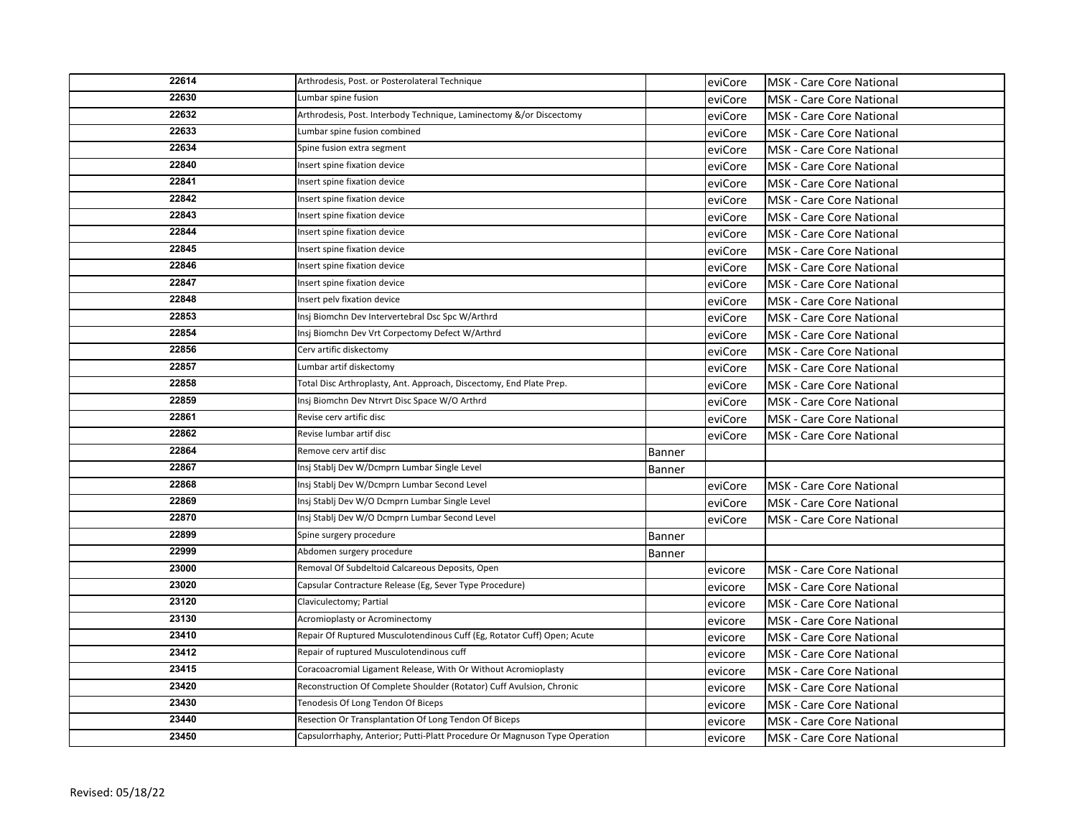| 22614 | Arthrodesis, Post. or Posterolateral Technique                             |        | eviCore | <b>MSK - Care Core National</b>  |
|-------|----------------------------------------------------------------------------|--------|---------|----------------------------------|
| 22630 | Lumbar spine fusion                                                        |        | eviCore | <b>MSK</b> - Care Core National  |
| 22632 | Arthrodesis, Post. Interbody Technique, Laminectomy &/or Discectomy        |        | eviCore | <b>MSK - Care Core National</b>  |
| 22633 | Lumbar spine fusion combined                                               |        | eviCore | <b>MSK</b> - Care Core National  |
| 22634 | Spine fusion extra segment                                                 |        | eviCore | <b>MSK - Care Core National</b>  |
| 22840 | Insert spine fixation device                                               |        | eviCore | <b>MSK</b> - Care Core National  |
| 22841 | Insert spine fixation device                                               |        | eviCore | <b>MSK</b> - Care Core National  |
| 22842 | Insert spine fixation device                                               |        | eviCore | <b>MSK</b> - Care Core National  |
| 22843 | Insert spine fixation device                                               |        | eviCore | MSK - Care Core National         |
| 22844 | Insert spine fixation device                                               |        | eviCore | <b>MSK</b> - Care Core National  |
| 22845 | Insert spine fixation device                                               |        | eviCore | <b>MSK - Care Core National</b>  |
| 22846 | Insert spine fixation device                                               |        | eviCore | MSK - Care Core National         |
| 22847 | Insert spine fixation device                                               |        | eviCore | MSK - Care Core National         |
| 22848 | Insert pelv fixation device                                                |        | eviCore | <b>MSK - Care Core National</b>  |
| 22853 | Insj Biomchn Dev Intervertebral Dsc Spc W/Arthrd                           |        | eviCore | MSK - Care Core National         |
| 22854 | Insj Biomchn Dev Vrt Corpectomy Defect W/Arthrd                            |        | eviCore | <b>MSK - Care Core National</b>  |
| 22856 | Cerv artific diskectomy                                                    |        | eviCore | <b>MSK - Care Core National</b>  |
| 22857 | Lumbar artif diskectomy                                                    |        | eviCore | <b>MSK - Care Core National</b>  |
| 22858 | Total Disc Arthroplasty, Ant. Approach, Discectomy, End Plate Prep.        |        | eviCore | <b>MSK - Care Core National</b>  |
| 22859 | Insi Biomchn Dev Ntrvrt Disc Space W/O Arthrd                              |        | eviCore | <b>MSK - Care Core National</b>  |
| 22861 | Revise cerv artific disc                                                   |        | eviCore | <b>MSK - Care Core National</b>  |
| 22862 | Revise lumbar artif disc                                                   |        | eviCore | <b>MSK - Care Core National</b>  |
| 22864 | Remove cerv artif disc                                                     | Banner |         |                                  |
| 22867 | Insj Stablj Dev W/Dcmprn Lumbar Single Level                               | Banner |         |                                  |
| 22868 | Insj Stablj Dev W/Dcmprn Lumbar Second Level                               |        | eviCore | <b>MSK - Care Core National</b>  |
| 22869 | Insj Stablj Dev W/O Dcmprn Lumbar Single Level                             |        | eviCore | <b>MSK - Care Core National</b>  |
| 22870 | Insj Stablj Dev W/O Dcmprn Lumbar Second Level                             |        | eviCore | <b>MSK</b> - Care Core National  |
| 22899 | Spine surgery procedure                                                    | Banner |         |                                  |
| 22999 | Abdomen surgery procedure                                                  | Banner |         |                                  |
| 23000 | Removal Of Subdeltoid Calcareous Deposits, Open                            |        | evicore | <b>MSK</b> - Care Core National  |
| 23020 | Capsular Contracture Release (Eg, Sever Type Procedure)                    |        | evicore | <b>MSK</b> - Care Core National  |
| 23120 | Claviculectomy; Partial                                                    |        | evicore | <b>IMSK - Care Core National</b> |
| 23130 | Acromioplasty or Acrominectomy                                             |        | evicore | <b>MSK</b> - Care Core National  |
| 23410 | Repair Of Ruptured Musculotendinous Cuff (Eg, Rotator Cuff) Open; Acute    |        | evicore | <b>IMSK - Care Core National</b> |
| 23412 | Repair of ruptured Musculotendinous cuff                                   |        | evicore | <b>MSK - Care Core National</b>  |
| 23415 | Coracoacromial Ligament Release, With Or Without Acromioplasty             |        | evicore | <b>MSK - Care Core National</b>  |
| 23420 | Reconstruction Of Complete Shoulder (Rotator) Cuff Avulsion, Chronic       |        | evicore | <b>MSK - Care Core National</b>  |
| 23430 | Tenodesis Of Long Tendon Of Biceps                                         |        | evicore | MSK - Care Core National         |
| 23440 | Resection Or Transplantation Of Long Tendon Of Biceps                      |        | evicore | <b>MSK - Care Core National</b>  |
| 23450 | Capsulorrhaphy, Anterior; Putti-Platt Procedure Or Magnuson Type Operation |        | evicore | <b>MSK - Care Core National</b>  |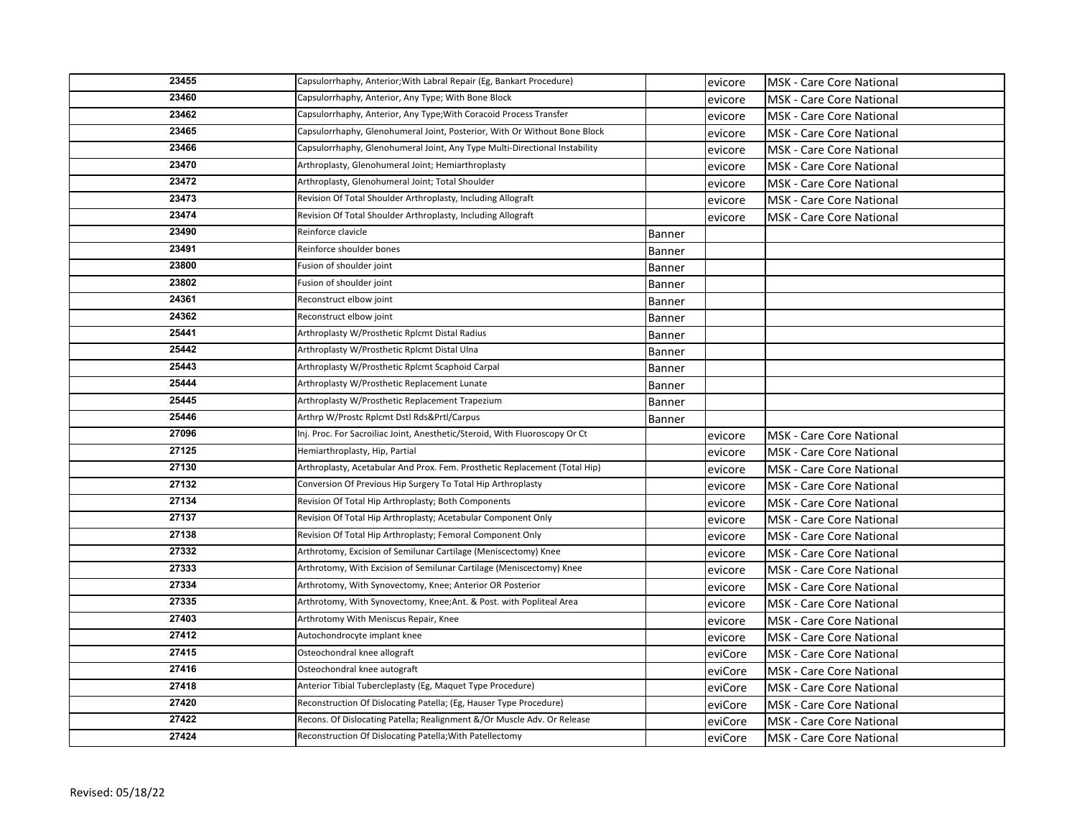| 23455 | Capsulorrhaphy, Anterior; With Labral Repair (Eg, Bankart Procedure)        |        | evicore | <b>MSK - Care Core National</b>  |
|-------|-----------------------------------------------------------------------------|--------|---------|----------------------------------|
| 23460 | Capsulorrhaphy, Anterior, Any Type; With Bone Block                         |        | evicore | MSK - Care Core National         |
| 23462 | Capsulorrhaphy, Anterior, Any Type; With Coracoid Process Transfer          |        | evicore | <b>MSK - Care Core National</b>  |
| 23465 | Capsulorrhaphy, Glenohumeral Joint, Posterior, With Or Without Bone Block   |        | evicore | <b>MSK</b> - Care Core National  |
| 23466 | Capsulorrhaphy, Glenohumeral Joint, Any Type Multi-Directional Instability  |        | evicore | <b>MSK - Care Core National</b>  |
| 23470 | Arthroplasty, Glenohumeral Joint; Hemiarthroplasty                          |        | evicore | <b>MSK</b> - Care Core National  |
| 23472 | Arthroplasty, Glenohumeral Joint; Total Shoulder                            |        | evicore | <b>MSK</b> - Care Core National  |
| 23473 | Revision Of Total Shoulder Arthroplasty, Including Allograft                |        | evicore | <b>MSK</b> - Care Core National  |
| 23474 | Revision Of Total Shoulder Arthroplasty, Including Allograft                |        | evicore | MSK - Care Core National         |
| 23490 | Reinforce clavicle                                                          | Banner |         |                                  |
| 23491 | Reinforce shoulder bones                                                    | Banner |         |                                  |
| 23800 | Fusion of shoulder joint                                                    | Banner |         |                                  |
| 23802 | Fusion of shoulder joint                                                    | Banner |         |                                  |
| 24361 | Reconstruct elbow joint                                                     | Banner |         |                                  |
| 24362 | Reconstruct elbow joint                                                     | Banner |         |                                  |
| 25441 | Arthroplasty W/Prosthetic Rplcmt Distal Radius                              | Banner |         |                                  |
| 25442 | Arthroplasty W/Prosthetic Rplcmt Distal Ulna                                | Banner |         |                                  |
| 25443 | Arthroplasty W/Prosthetic Rplcmt Scaphoid Carpal                            | Banner |         |                                  |
| 25444 | Arthroplasty W/Prosthetic Replacement Lunate                                | Banner |         |                                  |
| 25445 | Arthroplasty W/Prosthetic Replacement Trapezium                             | Banner |         |                                  |
| 25446 | Arthrp W/Prostc Rplcmt Dstl Rds&Prtl/Carpus                                 | Banner |         |                                  |
| 27096 | Inj. Proc. For Sacroiliac Joint, Anesthetic/Steroid, With Fluoroscopy Or Ct |        | evicore | <b>MSK - Care Core National</b>  |
| 27125 | Hemiarthroplasty, Hip, Partial                                              |        | evicore | MSK - Care Core National         |
| 27130 | Arthroplasty, Acetabular And Prox. Fem. Prosthetic Replacement (Total Hip)  |        | evicore | <b>MSK - Care Core National</b>  |
| 27132 | Conversion Of Previous Hip Surgery To Total Hip Arthroplasty                |        | evicore | MSK - Care Core National         |
| 27134 | Revision Of Total Hip Arthroplasty; Both Components                         |        | evicore | <b>MSK - Care Core National</b>  |
| 27137 | Revision Of Total Hip Arthroplasty; Acetabular Component Only               |        | evicore | <b>MSK - Care Core National</b>  |
| 27138 | Revision Of Total Hip Arthroplasty; Femoral Component Only                  |        | evicore | <b>MSK</b> - Care Core National  |
| 27332 | Arthrotomy, Excision of Semilunar Cartilage (Meniscectomy) Knee             |        | evicore | <b>MSK</b> - Care Core National  |
| 27333 | Arthrotomy, With Excision of Semilunar Cartilage (Meniscectomy) Knee        |        | evicore | <b>MSK</b> - Care Core National  |
| 27334 | Arthrotomy, With Synovectomy, Knee; Anterior OR Posterior                   |        | evicore | <b>MSK</b> - Care Core National  |
| 27335 | Arthrotomy, With Synovectomy, Knee; Ant. & Post. with Popliteal Area        |        | evicore | <b>MSK - Care Core National</b>  |
| 27403 | Arthrotomy With Meniscus Repair, Knee                                       |        | evicore | <b>MSK</b> - Care Core National  |
| 27412 | Autochondrocyte implant knee                                                |        | evicore | <b>IMSK - Care Core National</b> |
| 27415 | Osteochondral knee allograft                                                |        | eviCore | <b>MSK - Care Core National</b>  |
| 27416 | Osteochondral knee autograft                                                |        | eviCore | <b>MSK - Care Core National</b>  |
| 27418 | Anterior Tibial Tubercleplasty (Eg, Maquet Type Procedure)                  |        | eviCore | <b>MSK</b> - Care Core National  |
| 27420 | Reconstruction Of Dislocating Patella; (Eg, Hauser Type Procedure)          |        | eviCore | MSK - Care Core National         |
| 27422 | Recons. Of Dislocating Patella; Realignment &/Or Muscle Adv. Or Release     |        | eviCore | <b>MSK - Care Core National</b>  |
| 27424 | Reconstruction Of Dislocating Patella; With Patellectomy                    |        | eviCore | <b>MSK - Care Core National</b>  |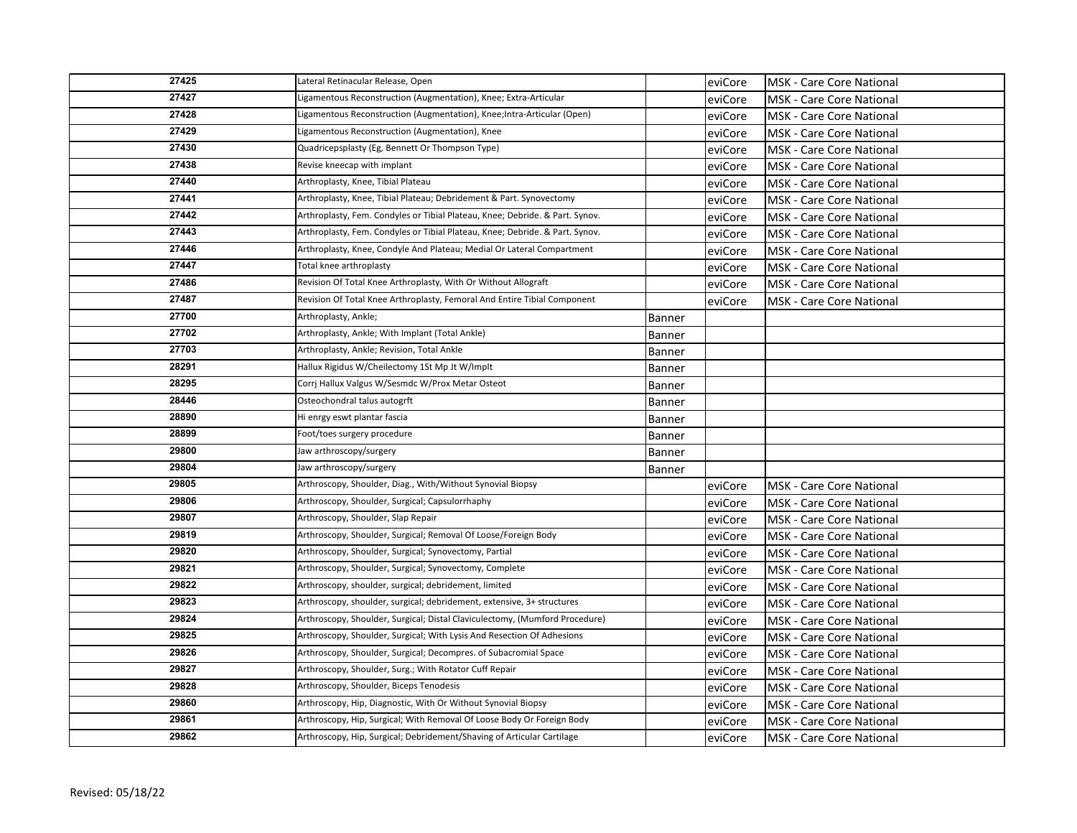| 27425 | Lateral Retinacular Release, Open                                            |               | eviCore | <b>MSK - Care Core National</b>  |
|-------|------------------------------------------------------------------------------|---------------|---------|----------------------------------|
| 27427 | Ligamentous Reconstruction (Augmentation), Knee; Extra-Articular             |               | eviCore | MSK - Care Core National         |
| 27428 | Ligamentous Reconstruction (Augmentation), Knee;Intra-Articular (Open)       |               | eviCore | <b>MSK - Care Core National</b>  |
| 27429 | Ligamentous Reconstruction (Augmentation), Knee                              |               | eviCore | <b>IMSK - Care Core National</b> |
| 27430 | Quadricepsplasty (Eg, Bennett Or Thompson Type)                              |               | eviCore | <b>MSK - Care Core National</b>  |
| 27438 | Revise kneecap with implant                                                  |               | eviCore | <b>MSK</b> - Care Core National  |
| 27440 | Arthroplasty, Knee, Tibial Plateau                                           |               | eviCore | <b>MSK</b> - Care Core National  |
| 27441 | Arthroplasty, Knee, Tibial Plateau; Debridement & Part. Synovectomy          |               | eviCore | <b>MSK</b> - Care Core National  |
| 27442 | Arthroplasty, Fem. Condyles or Tibial Plateau, Knee; Debride. & Part. Synov. |               | eviCore | <b>MSK - Care Core National</b>  |
| 27443 | Arthroplasty, Fem. Condyles or Tibial Plateau, Knee; Debride. & Part. Synov. |               | eviCore | <b>IMSK - Care Core National</b> |
| 27446 | Arthroplasty, Knee, Condyle And Plateau; Medial Or Lateral Compartment       |               | eviCore | <b>MSK - Care Core National</b>  |
| 27447 | Total knee arthroplasty                                                      |               | eviCore | MSK - Care Core National         |
| 27486 | Revision Of Total Knee Arthroplasty, With Or Without Allograft               |               | eviCore | <b>MSK - Care Core National</b>  |
| 27487 | Revision Of Total Knee Arthroplasty, Femoral And Entire Tibial Component     |               | eviCore | <b>MSK - Care Core National</b>  |
| 27700 | Arthroplasty, Ankle;                                                         | Banner        |         |                                  |
| 27702 | Arthroplasty, Ankle; With Implant (Total Ankle)                              | <b>Banner</b> |         |                                  |
| 27703 | Arthroplasty, Ankle; Revision, Total Ankle                                   | Banner        |         |                                  |
| 28291 | Hallux Rigidus W/Cheilectomy 1St Mp Jt W/Implt                               | Banner        |         |                                  |
| 28295 | Corrj Hallux Valgus W/Sesmdc W/Prox Metar Osteot                             | Banner        |         |                                  |
| 28446 | Osteochondral talus autogrft                                                 | Banner        |         |                                  |
| 28890 | Hi enrgy eswt plantar fascia                                                 | Banner        |         |                                  |
| 28899 | Foot/toes surgery procedure                                                  | Banner        |         |                                  |
| 29800 | Jaw arthroscopy/surgery                                                      | Banner        |         |                                  |
| 29804 | Jaw arthroscopy/surgery                                                      | Banner        |         |                                  |
| 29805 | Arthroscopy, Shoulder, Diag., With/Without Synovial Biopsy                   |               | eviCore | IMSK - Care Core National        |
| 29806 | Arthroscopy, Shoulder, Surgical; Capsulorrhaphy                              |               | eviCore | <b>MSK - Care Core National</b>  |
| 29807 | Arthroscopy, Shoulder, Slap Repair                                           |               | eviCore | <b>IMSK - Care Core National</b> |
| 29819 | Arthroscopy, Shoulder, Surgical; Removal Of Loose/Foreign Body               |               | eviCore | <b>MSK - Care Core National</b>  |
| 29820 | Arthroscopy, Shoulder, Surgical; Synovectomy, Partial                        |               | eviCore | <b>MSK</b> - Care Core National  |
| 29821 | Arthroscopy, Shoulder, Surgical; Synovectomy, Complete                       |               | eviCore | <b>MSK</b> - Care Core National  |
| 29822 | Arthroscopy, shoulder, surgical; debridement, limited                        |               | eviCore | <b>MSK</b> - Care Core National  |
| 29823 | Arthroscopy, shoulder, surgical; debridement, extensive, 3+ structures       |               | eviCore | <b>MSK - Care Core National</b>  |
| 29824 | Arthroscopy, Shoulder, Surgical; Distal Claviculectomy, (Mumford Procedure)  |               | eviCore | <b>IMSK - Care Core National</b> |
| 29825 | Arthroscopy, Shoulder, Surgical; With Lysis And Resection Of Adhesions       |               | eviCore | <b>IMSK - Care Core National</b> |
| 29826 | Arthroscopy, Shoulder, Surgical; Decompres. of Subacromial Space             |               | eviCore | <b>MSK - Care Core National</b>  |
| 29827 | Arthroscopy, Shoulder, Surg.; With Rotator Cuff Repair                       |               | eviCore | <b>MSK - Care Core National</b>  |
| 29828 | Arthroscopy, Shoulder, Biceps Tenodesis                                      |               | eviCore | <b>MSK</b> - Care Core National  |
| 29860 | Arthroscopy, Hip, Diagnostic, With Or Without Synovial Biopsy                |               | eviCore | MSK - Care Core National         |
| 29861 | Arthroscopy, Hip, Surgical; With Removal Of Loose Body Or Foreign Body       |               | eviCore | <b>MSK - Care Core National</b>  |
| 29862 | Arthroscopy, Hip, Surgical; Debridement/Shaving of Articular Cartilage       |               | eviCore | <b>MSK - Care Core National</b>  |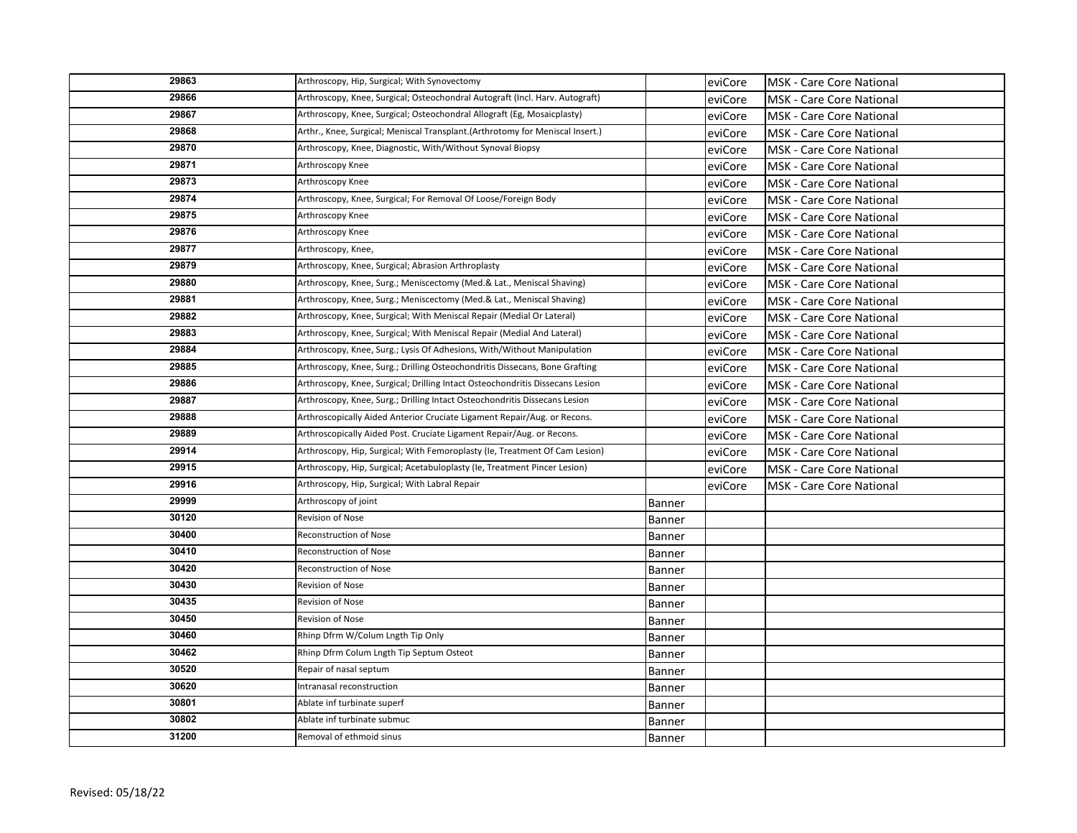| 29863 | Arthroscopy, Hip, Surgical; With Synovectomy                                  |               | eviCore | MSK - Care Core National        |
|-------|-------------------------------------------------------------------------------|---------------|---------|---------------------------------|
| 29866 | Arthroscopy, Knee, Surgical; Osteochondral Autograft (Incl. Harv. Autograft)  |               | eviCore | <b>MSK</b> - Care Core National |
| 29867 | Arthroscopy, Knee, Surgical; Osteochondral Allograft (Eg, Mosaicplasty)       |               | eviCore | <b>MSK</b> - Care Core National |
| 29868 | Arthr., Knee, Surgical; Meniscal Transplant.(Arthrotomy for Meniscal Insert.) |               | eviCore | <b>MSK</b> - Care Core National |
| 29870 | Arthroscopy, Knee, Diagnostic, With/Without Synoval Biopsy                    |               | eviCore | <b>MSK - Care Core National</b> |
| 29871 | Arthroscopy Knee                                                              |               | eviCore | <b>MSK</b> - Care Core National |
| 29873 | Arthroscopy Knee                                                              |               | eviCore | <b>MSK - Care Core National</b> |
| 29874 | Arthroscopy, Knee, Surgical; For Removal Of Loose/Foreign Body                |               | eviCore | <b>MSK</b> - Care Core National |
| 29875 | Arthroscopy Knee                                                              |               | eviCore | <b>MSK - Care Core National</b> |
| 29876 | Arthroscopy Knee                                                              |               | eviCore | <b>MSK</b> - Care Core National |
| 29877 | Arthroscopy, Knee,                                                            |               | eviCore | <b>MSK - Care Core National</b> |
| 29879 | Arthroscopy, Knee, Surgical; Abrasion Arthroplasty                            |               | eviCore | <b>MSK - Care Core National</b> |
| 29880 | Arthroscopy, Knee, Surg.; Meniscectomy (Med.& Lat., Meniscal Shaving)         |               | eviCore | <b>MSK - Care Core National</b> |
| 29881 | Arthroscopy, Knee, Surg.; Meniscectomy (Med.& Lat., Meniscal Shaving)         |               | eviCore | <b>MSK - Care Core National</b> |
| 29882 | Arthroscopy, Knee, Surgical; With Meniscal Repair (Medial Or Lateral)         |               | eviCore | MSK - Care Core National        |
| 29883 | Arthroscopy, Knee, Surgical; With Meniscal Repair (Medial And Lateral)        |               | eviCore | <b>MSK</b> - Care Core National |
| 29884 | Arthroscopy, Knee, Surg.; Lysis Of Adhesions, With/Without Manipulation       |               | eviCore | <b>MSK</b> - Care Core National |
| 29885 | Arthroscopy, Knee, Surg.; Drilling Osteochondritis Dissecans, Bone Grafting   |               | eviCore | <b>MSK</b> - Care Core National |
| 29886 | Arthroscopy, Knee, Surgical; Drilling Intact Osteochondritis Dissecans Lesion |               | eviCore | <b>MSK</b> - Care Core National |
| 29887 | Arthroscopy, Knee, Surg.; Drilling Intact Osteochondritis Dissecans Lesion    |               | eviCore | <b>MSK</b> - Care Core National |
| 29888 | Arthroscopically Aided Anterior Cruciate Ligament Repair/Aug. or Recons.      |               | eviCore | <b>MSK</b> - Care Core National |
| 29889 | Arthroscopically Aided Post. Cruciate Ligament Repair/Aug. or Recons.         |               | eviCore | <b>MSK - Care Core National</b> |
| 29914 | Arthroscopy, Hip, Surgical; With Femoroplasty (Ie, Treatment Of Cam Lesion)   |               | eviCore | <b>MSK</b> - Care Core National |
| 29915 | Arthroscopy, Hip, Surgical; Acetabuloplasty (Ie, Treatment Pincer Lesion)     |               | eviCore | MSK - Care Core National        |
| 29916 | Arthroscopy, Hip, Surgical; With Labral Repair                                |               | eviCore | <b>MSK</b> - Care Core National |
| 29999 | Arthroscopy of joint                                                          | Banner        |         |                                 |
| 30120 | Revision of Nose                                                              | <b>Banner</b> |         |                                 |
| 30400 | Reconstruction of Nose                                                        | Banner        |         |                                 |
| 30410 | <b>Reconstruction of Nose</b>                                                 | Banner        |         |                                 |
| 30420 | Reconstruction of Nose                                                        | Banner        |         |                                 |
| 30430 | Revision of Nose                                                              | Banner        |         |                                 |
| 30435 | Revision of Nose                                                              | <b>Banner</b> |         |                                 |
| 30450 | Revision of Nose                                                              | Banner        |         |                                 |
| 30460 | Rhinp Dfrm W/Colum Lngth Tip Only                                             | <b>Banner</b> |         |                                 |
| 30462 | Rhinp Dfrm Colum Lngth Tip Septum Osteot                                      | Banner        |         |                                 |
| 30520 | Repair of nasal septum                                                        | Banner        |         |                                 |
| 30620 | Intranasal reconstruction                                                     | <b>Banner</b> |         |                                 |
| 30801 | Ablate inf turbinate superf                                                   | Banner        |         |                                 |
| 30802 | Ablate inf turbinate submuc                                                   | <b>Banner</b> |         |                                 |
| 31200 | Removal of ethmoid sinus                                                      | Banner        |         |                                 |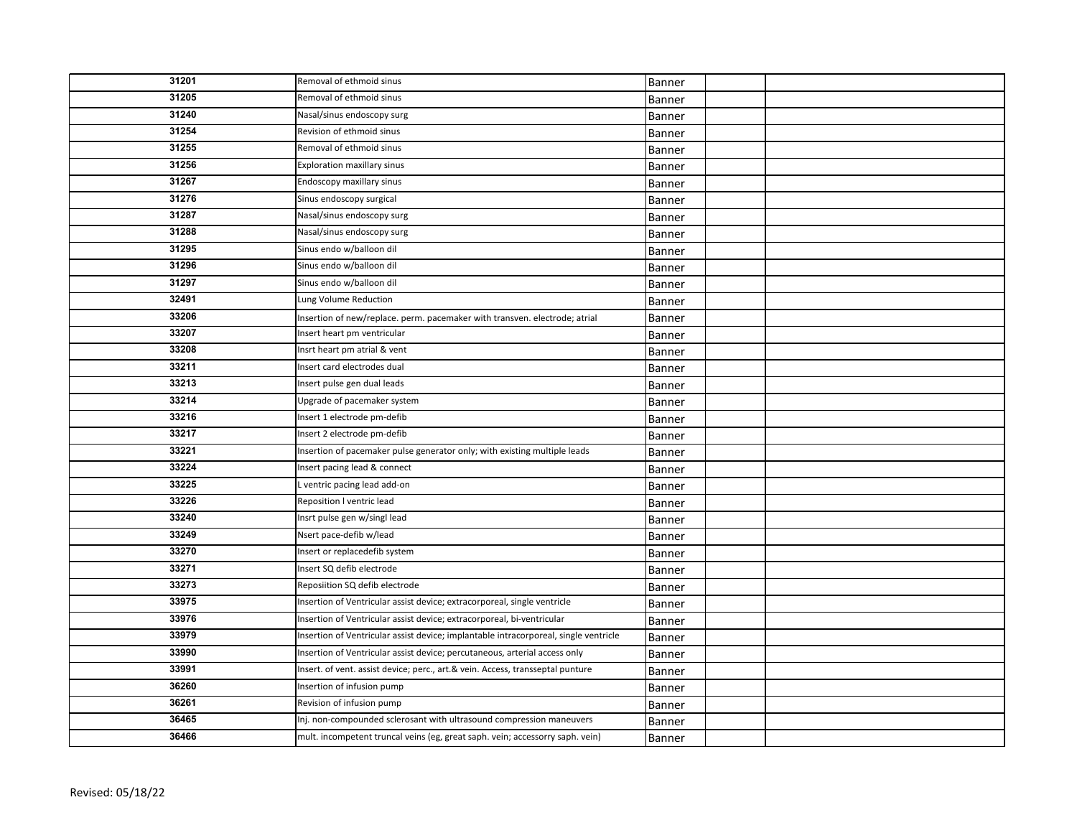| 31201 | Removal of ethmoid sinus                                                             | Banner        |  |
|-------|--------------------------------------------------------------------------------------|---------------|--|
| 31205 | Removal of ethmoid sinus                                                             | Banner        |  |
| 31240 | Nasal/sinus endoscopy surg                                                           | Banner        |  |
| 31254 | Revision of ethmoid sinus                                                            | Banner        |  |
| 31255 | Removal of ethmoid sinus                                                             | Banner        |  |
| 31256 | <b>Exploration maxillary sinus</b>                                                   | <b>Banner</b> |  |
| 31267 | Endoscopy maxillary sinus                                                            | Banner        |  |
| 31276 | Sinus endoscopy surgical                                                             | Banner        |  |
| 31287 | Nasal/sinus endoscopy surg                                                           | Banner        |  |
| 31288 | Nasal/sinus endoscopy surg                                                           | Banner        |  |
| 31295 | Sinus endo w/balloon dil                                                             | Banner        |  |
| 31296 | Sinus endo w/balloon dil                                                             | Banner        |  |
| 31297 | Sinus endo w/balloon dil                                                             | Banner        |  |
| 32491 | Lung Volume Reduction                                                                | Banner        |  |
| 33206 | Insertion of new/replace. perm. pacemaker with transven. electrode; atrial           | <b>Banner</b> |  |
| 33207 | Insert heart pm ventricular                                                          | <b>Banner</b> |  |
| 33208 | Insrt heart pm atrial & vent                                                         | Banner        |  |
| 33211 | Insert card electrodes dual                                                          | Banner        |  |
| 33213 | Insert pulse gen dual leads                                                          | Banner        |  |
| 33214 | Upgrade of pacemaker system                                                          | Banner        |  |
| 33216 | Insert 1 electrode pm-defib                                                          | Banner        |  |
| 33217 | Insert 2 electrode pm-defib                                                          | Banner        |  |
| 33221 | Insertion of pacemaker pulse generator only; with existing multiple leads            | Banner        |  |
| 33224 | Insert pacing lead & connect                                                         | Banner        |  |
| 33225 | L ventric pacing lead add-on                                                         | Banner        |  |
| 33226 | Reposition I ventric lead                                                            | Banner        |  |
| 33240 | Insrt pulse gen w/singl lead                                                         | Banner        |  |
| 33249 | Nsert pace-defib w/lead                                                              | Banner        |  |
| 33270 | Insert or replacedefib system                                                        | Banner        |  |
| 33271 | Insert SQ defib electrode                                                            | Banner        |  |
| 33273 | Reposiition SQ defib electrode                                                       | Banner        |  |
| 33975 | Insertion of Ventricular assist device; extracorporeal, single ventricle             | <b>Banner</b> |  |
| 33976 | Insertion of Ventricular assist device; extracorporeal, bi-ventricular               | Banner        |  |
| 33979 | Insertion of Ventricular assist device; implantable intracorporeal, single ventricle | Banner        |  |
| 33990 | Insertion of Ventricular assist device; percutaneous, arterial access only           | Banner        |  |
| 33991 | Insert. of vent. assist device; perc., art.& vein. Access, transseptal punture       | <b>Banner</b> |  |
| 36260 | Insertion of infusion pump                                                           | Banner        |  |
| 36261 | Revision of infusion pump                                                            | Banner        |  |
| 36465 | Inj. non-compounded sclerosant with ultrasound compression maneuvers                 | Banner        |  |
| 36466 | mult. incompetent truncal veins (eg, great saph. vein; accessorry saph. vein)        | Banner        |  |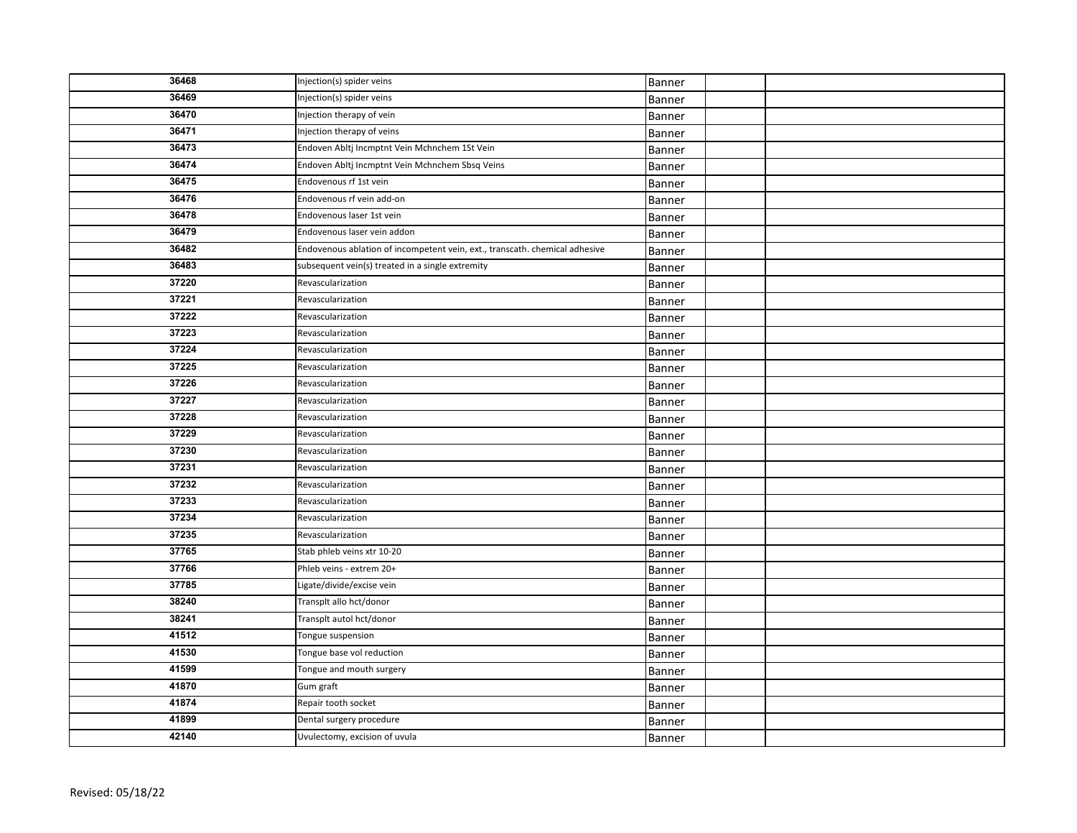| 36468 | Injection(s) spider veins                                                   | Banner |  |
|-------|-----------------------------------------------------------------------------|--------|--|
| 36469 | Injection(s) spider veins                                                   | Banner |  |
| 36470 | Injection therapy of vein                                                   | Banner |  |
| 36471 | Injection therapy of veins                                                  | Banner |  |
| 36473 | Endoven Abltj Incmptnt Vein Mchnchem 1St Vein                               | Banner |  |
| 36474 | Endoven Abltj Incmptnt Vein Mchnchem Sbsq Veins                             | Banner |  |
| 36475 | Endovenous rf 1st vein                                                      | Banner |  |
| 36476 | Endovenous rf vein add-on                                                   | Banner |  |
| 36478 | Endovenous laser 1st vein                                                   | Banner |  |
| 36479 | Endovenous laser vein addon                                                 | Banner |  |
| 36482 | Endovenous ablation of incompetent vein, ext., transcath. chemical adhesive | Banner |  |
| 36483 | subsequent vein(s) treated in a single extremity                            | Banner |  |
| 37220 | Revascularization                                                           | Banner |  |
| 37221 | Revascularization                                                           | Banner |  |
| 37222 | Revascularization                                                           | Banner |  |
| 37223 | Revascularization                                                           | Banner |  |
| 37224 | Revascularization                                                           | Banner |  |
| 37225 | Revascularization                                                           | Banner |  |
| 37226 | Revascularization                                                           | Banner |  |
| 37227 | Revascularization                                                           | Banner |  |
| 37228 | Revascularization                                                           | Banner |  |
| 37229 | Revascularization                                                           | Banner |  |
| 37230 | Revascularization                                                           | Banner |  |
| 37231 | Revascularization                                                           | Banner |  |
| 37232 | Revascularization                                                           | Banner |  |
| 37233 | Revascularization                                                           | Banner |  |
| 37234 | Revascularization                                                           | Banner |  |
| 37235 | Revascularization                                                           | Banner |  |
| 37765 | Stab phleb veins xtr 10-20                                                  | Banner |  |
| 37766 | Phleb veins - extrem 20+                                                    | Banner |  |
| 37785 | Ligate/divide/excise vein                                                   | Banner |  |
| 38240 | Transplt allo hct/donor                                                     | Banner |  |
| 38241 | Transplt autol hct/donor                                                    | Banner |  |
| 41512 | Tongue suspension                                                           | Banner |  |
| 41530 | Tongue base vol reduction                                                   | Banner |  |
| 41599 | Tongue and mouth surgery                                                    | Banner |  |
| 41870 | Gum graft                                                                   | Banner |  |
| 41874 | Repair tooth socket                                                         | Banner |  |
| 41899 | Dental surgery procedure                                                    | Banner |  |
| 42140 | Uvulectomy, excision of uvula                                               | Banner |  |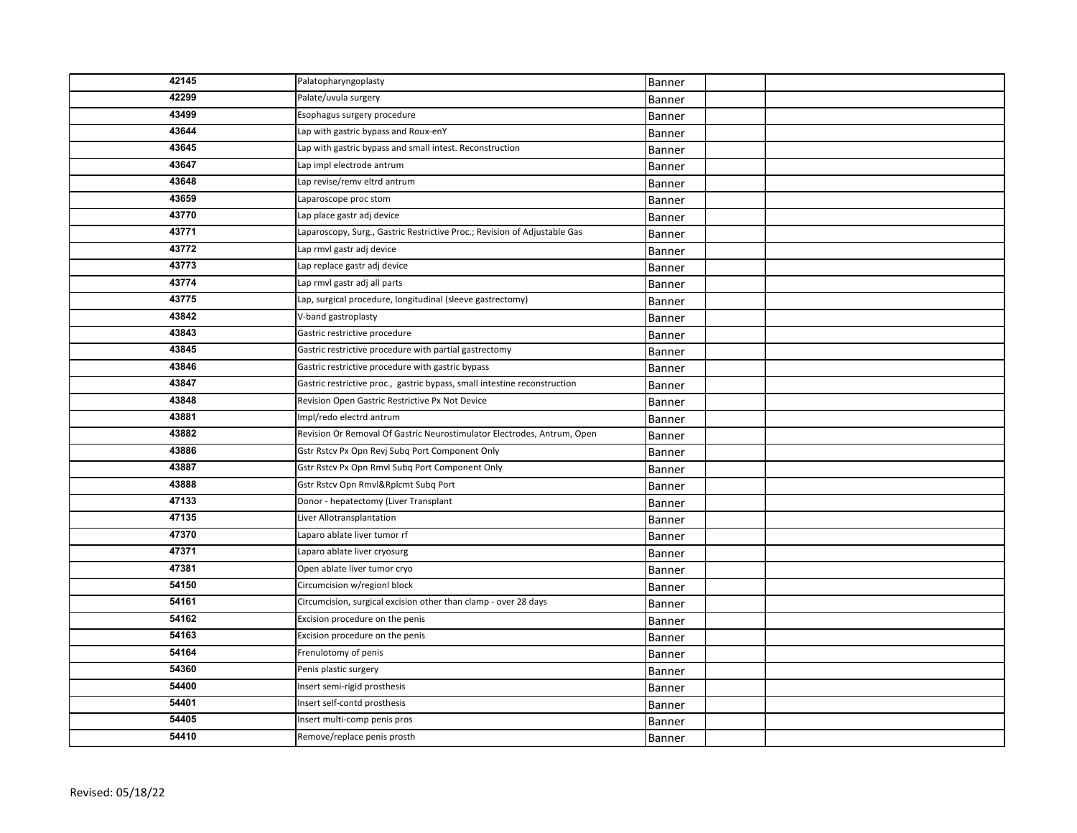| 42145 | Palatopharyngoplasty                                                      | Banner        |  |
|-------|---------------------------------------------------------------------------|---------------|--|
| 42299 | Palate/uvula surgery                                                      | Banner        |  |
| 43499 | Esophagus surgery procedure                                               | Banner        |  |
| 43644 | Lap with gastric bypass and Roux-enY                                      | Banner        |  |
| 43645 | Lap with gastric bypass and small intest. Reconstruction                  | Banner        |  |
| 43647 | Lap impl electrode antrum                                                 | <b>Banner</b> |  |
| 43648 | Lap revise/remv eltrd antrum                                              | Banner        |  |
| 43659 | Laparoscope proc stom                                                     | Banner        |  |
| 43770 | Lap place gastr adj device                                                | Banner        |  |
| 43771 | Laparoscopy, Surg., Gastric Restrictive Proc.; Revision of Adjustable Gas | Banner        |  |
| 43772 | Lap rmvl gastr adj device                                                 | Banner        |  |
| 43773 | Lap replace gastr adj device                                              | Banner        |  |
| 43774 | Lap rmvl gastr adj all parts                                              | Banner        |  |
| 43775 | Lap, surgical procedure, longitudinal (sleeve gastrectomy)                | Banner        |  |
| 43842 | V-band gastroplasty                                                       | <b>Banner</b> |  |
| 43843 | Gastric restrictive procedure                                             | <b>Banner</b> |  |
| 43845 | Gastric restrictive procedure with partial gastrectomy                    | Banner        |  |
| 43846 | Gastric restrictive procedure with gastric bypass                         | Banner        |  |
| 43847 | Gastric restrictive proc., gastric bypass, small intestine reconstruction | Banner        |  |
| 43848 | Revision Open Gastric Restrictive Px Not Device                           | Banner        |  |
| 43881 | Impl/redo electrd antrum                                                  | Banner        |  |
| 43882 | Revision Or Removal Of Gastric Neurostimulator Electrodes, Antrum, Open   | Banner        |  |
| 43886 | Gstr Rstcv Px Opn Revj Subq Port Component Only                           | Banner        |  |
| 43887 | Gstr Rstcv Px Opn Rmvl Subq Port Component Only                           | Banner        |  |
| 43888 | Gstr Rstcv Opn Rmvl&Rplcmt Subq Port                                      | Banner        |  |
| 47133 | Donor - hepatectomy (Liver Transplant                                     | Banner        |  |
| 47135 | Liver Allotransplantation                                                 | Banner        |  |
| 47370 | Laparo ablate liver tumor rf                                              | Banner        |  |
| 47371 | Laparo ablate liver cryosurg                                              | Banner        |  |
| 47381 | Open ablate liver tumor cryo                                              | <b>Banner</b> |  |
| 54150 | Circumcision w/regionl block                                              | Banner        |  |
| 54161 | Circumcision, surgical excision other than clamp - over 28 days           | Banner        |  |
| 54162 | Excision procedure on the penis                                           | Banner        |  |
| 54163 | Excision procedure on the penis                                           | Banner        |  |
| 54164 | Frenulotomy of penis                                                      | Banner        |  |
| 54360 | Penis plastic surgery                                                     | <b>Banner</b> |  |
| 54400 | Insert semi-rigid prosthesis                                              | Banner        |  |
| 54401 | Insert self-contd prosthesis                                              | Banner        |  |
| 54405 | Insert multi-comp penis pros                                              | Banner        |  |
| 54410 | Remove/replace penis prosth                                               | Banner        |  |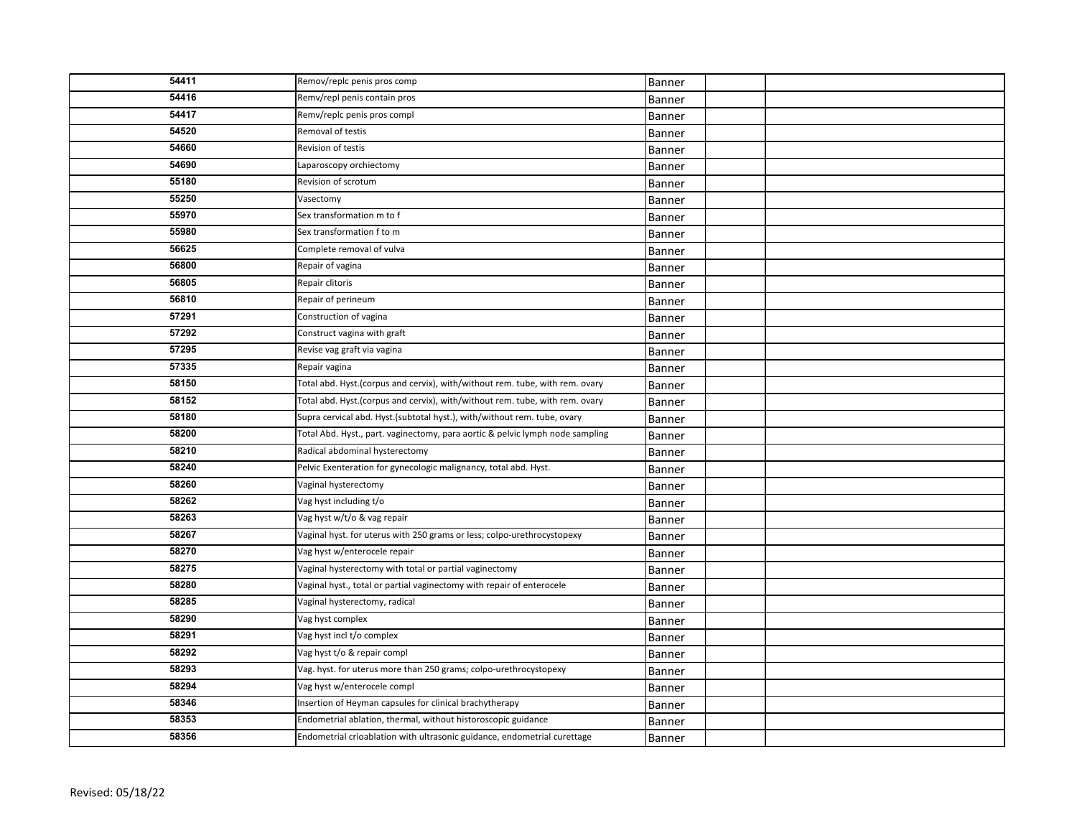| 54411 | Remov/replc penis pros comp                                                   | Banner        |  |
|-------|-------------------------------------------------------------------------------|---------------|--|
| 54416 | Remv/repl penis contain pros                                                  | Banner        |  |
| 54417 | Remv/replc penis pros compl                                                   | Banner        |  |
| 54520 | Removal of testis                                                             | Banner        |  |
| 54660 | Revision of testis                                                            | Banner        |  |
| 54690 | Laparoscopy orchiectomy                                                       | Banner        |  |
| 55180 | Revision of scrotum                                                           | Banner        |  |
| 55250 | Vasectomy                                                                     | Banner        |  |
| 55970 | Sex transformation m to f                                                     | <b>Banner</b> |  |
| 55980 | Sex transformation f to m                                                     | Banner        |  |
| 56625 | Complete removal of vulva                                                     | Banner        |  |
| 56800 | Repair of vagina                                                              | Banner        |  |
| 56805 | Repair clitoris                                                               | Banner        |  |
| 56810 | Repair of perineum                                                            | Banner        |  |
| 57291 | Construction of vagina                                                        | Banner        |  |
| 57292 | Construct vagina with graft                                                   | Banner        |  |
| 57295 | Revise vag graft via vagina                                                   | Banner        |  |
| 57335 | Repair vagina                                                                 | Banner        |  |
| 58150 | Total abd. Hyst.(corpus and cervix), with/without rem. tube, with rem. ovary  | Banner        |  |
| 58152 | Total abd. Hyst.(corpus and cervix), with/without rem. tube, with rem. ovary  | Banner        |  |
| 58180 | Supra cervical abd. Hyst.(subtotal hyst.), with/without rem. tube, ovary      | Banner        |  |
| 58200 | Total Abd. Hyst., part. vaginectomy, para aortic & pelvic lymph node sampling | Banner        |  |
| 58210 | Radical abdominal hysterectomy                                                | Banner        |  |
| 58240 | Pelvic Exenteration for gynecologic malignancy, total abd. Hyst.              | Banner        |  |
| 58260 | Vaginal hysterectomy                                                          | Banner        |  |
| 58262 | Vag hyst including t/o                                                        | Banner        |  |
| 58263 | Vag hyst w/t/o & vag repair                                                   | Banner        |  |
| 58267 | Vaginal hyst. for uterus with 250 grams or less; colpo-urethrocystopexy       | Banner        |  |
| 58270 | Vag hyst w/enterocele repair                                                  | Banner        |  |
| 58275 | Vaginal hysterectomy with total or partial vaginectomy                        | Banner        |  |
| 58280 | Vaginal hyst., total or partial vaginectomy with repair of enterocele         | Banner        |  |
| 58285 | Vaginal hysterectomy, radical                                                 | Banner        |  |
| 58290 | Vag hyst complex                                                              | Banner        |  |
| 58291 | Vag hyst incl t/o complex                                                     | Banner        |  |
| 58292 | Vag hyst t/o & repair compl                                                   | Banner        |  |
| 58293 | Vag. hyst. for uterus more than 250 grams; colpo-urethrocystopexy             | Banner        |  |
| 58294 | Vag hyst w/enterocele compl                                                   | Banner        |  |
| 58346 | Insertion of Heyman capsules for clinical brachytherapy                       | Banner        |  |
| 58353 | Endometrial ablation, thermal, without historoscopic guidance                 | Banner        |  |
| 58356 | Endometrial crioablation with ultrasonic guidance, endometrial curettage      | Banner        |  |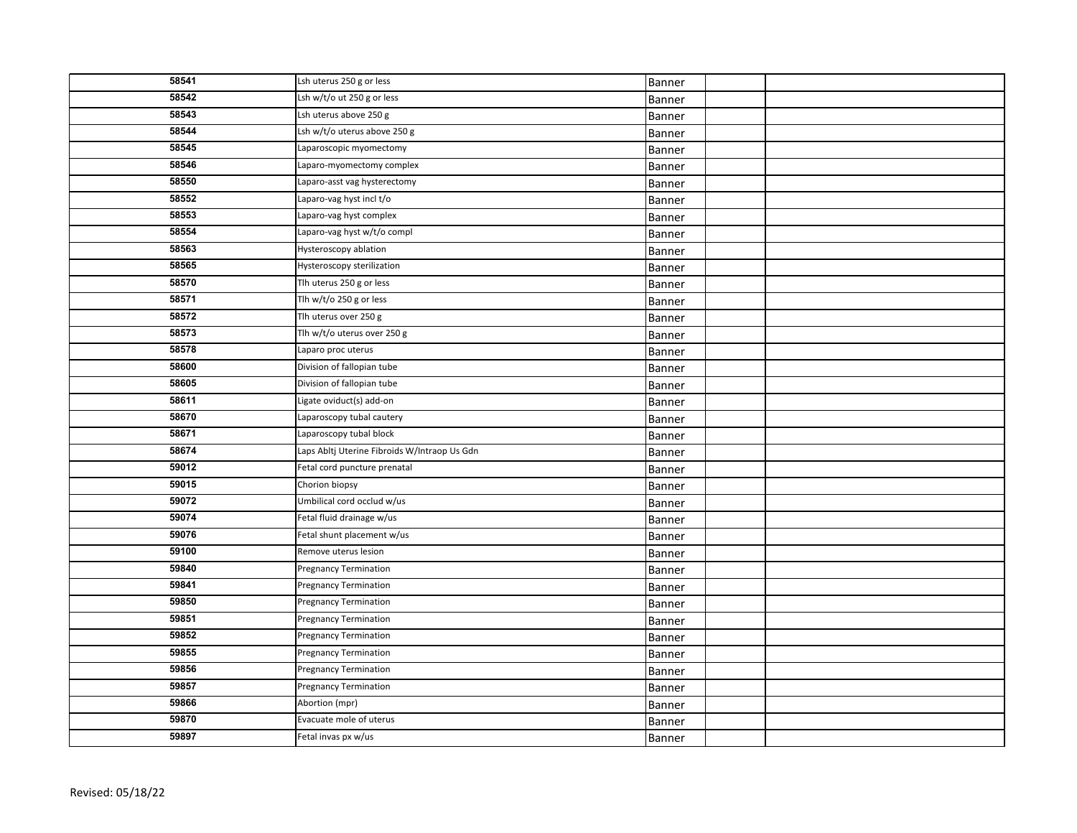| 58541 | Lsh uterus 250 g or less                     | Banner |  |
|-------|----------------------------------------------|--------|--|
| 58542 | Lsh w/t/o ut 250 g or less                   | Banner |  |
| 58543 | Lsh uterus above 250 g                       | Banner |  |
| 58544 | Lsh w/t/o uterus above 250 g                 | Banner |  |
| 58545 | Laparoscopic myomectomy                      | Banner |  |
| 58546 | Laparo-myomectomy complex                    | Banner |  |
| 58550 | Laparo-asst vag hysterectomy                 | Banner |  |
| 58552 | Laparo-vag hyst incl t/o                     | Banner |  |
| 58553 | Laparo-vag hyst complex                      | Banner |  |
| 58554 | Laparo-vag hyst w/t/o compl                  | Banner |  |
| 58563 | Hysteroscopy ablation                        | Banner |  |
| 58565 | Hysteroscopy sterilization                   | Banner |  |
| 58570 | Tlh uterus 250 g or less                     | Banner |  |
| 58571 | Tlh $w/t$ /o 250 g or less                   | Banner |  |
| 58572 | Tlh uterus over 250 g                        | Banner |  |
| 58573 | Tlh w/t/o uterus over 250 g                  | Banner |  |
| 58578 | Laparo proc uterus                           | Banner |  |
| 58600 | Division of fallopian tube                   | Banner |  |
| 58605 | Division of fallopian tube                   | Banner |  |
| 58611 | Ligate oviduct(s) add-on                     | Banner |  |
| 58670 | Laparoscopy tubal cautery                    | Banner |  |
| 58671 | Laparoscopy tubal block                      | Banner |  |
| 58674 | Laps Abltj Uterine Fibroids W/Intraop Us Gdn | Banner |  |
| 59012 | Fetal cord puncture prenatal                 | Banner |  |
| 59015 | Chorion biopsy                               | Banner |  |
| 59072 | Umbilical cord occlud w/us                   | Banner |  |
| 59074 | Fetal fluid drainage w/us                    | Banner |  |
| 59076 | Fetal shunt placement w/us                   | Banner |  |
| 59100 | Remove uterus lesion                         | Banner |  |
| 59840 | <b>Pregnancy Termination</b>                 | Banner |  |
| 59841 | <b>Pregnancy Termination</b>                 | Banner |  |
| 59850 | <b>Pregnancy Termination</b>                 | Banner |  |
| 59851 | <b>Pregnancy Termination</b>                 | Banner |  |
| 59852 | <b>Pregnancy Termination</b>                 | Banner |  |
| 59855 | <b>Pregnancy Termination</b>                 | Banner |  |
| 59856 | <b>Pregnancy Termination</b>                 | Banner |  |
| 59857 | <b>Pregnancy Termination</b>                 | Banner |  |
| 59866 | Abortion (mpr)                               | Banner |  |
| 59870 | Evacuate mole of uterus                      | Banner |  |
| 59897 | Fetal invas px w/us                          | Banner |  |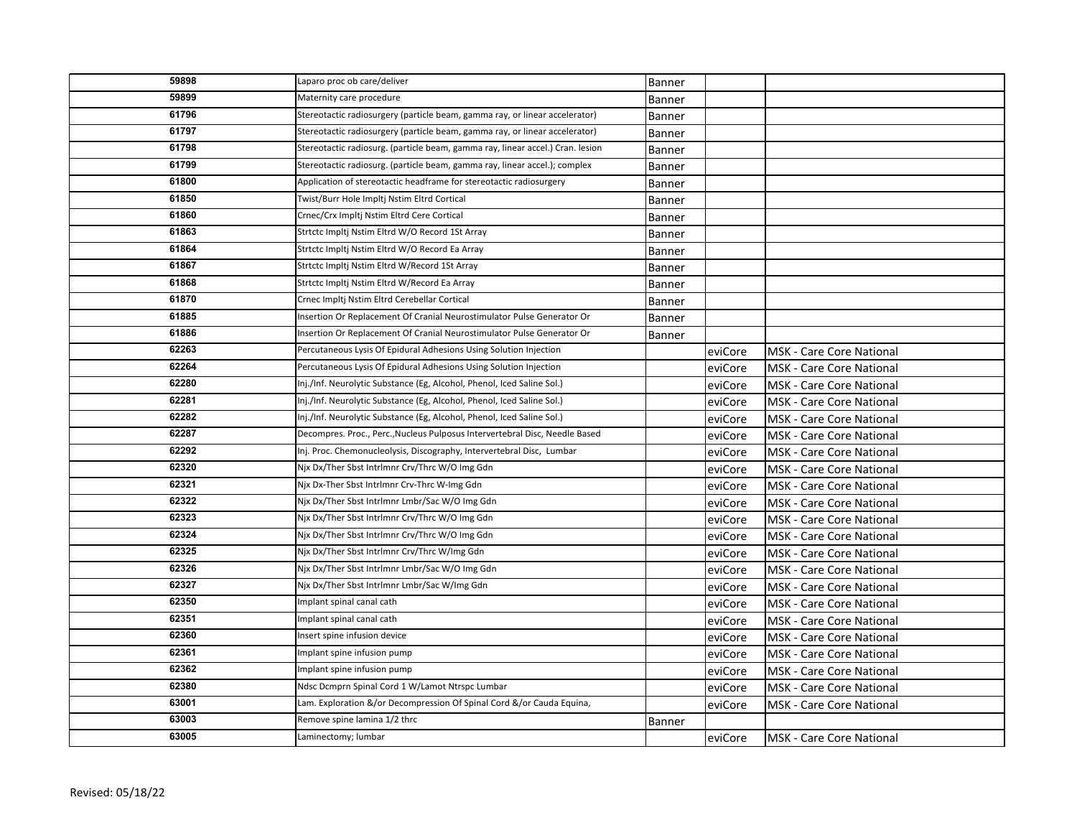| 59898 | Laparo proc ob care/deliver                                                    | Banner        |         |                                 |
|-------|--------------------------------------------------------------------------------|---------------|---------|---------------------------------|
| 59899 | Maternity care procedure                                                       | Banner        |         |                                 |
| 61796 | Stereotactic radiosurgery (particle beam, gamma ray, or linear accelerator)    | Banner        |         |                                 |
| 61797 | Stereotactic radiosurgery (particle beam, gamma ray, or linear accelerator)    | Banner        |         |                                 |
| 61798 | Stereotactic radiosurg. (particle beam, gamma ray, linear accel.) Cran. lesion | Banner        |         |                                 |
| 61799 | Stereotactic radiosurg. (particle beam, gamma ray, linear accel.); complex     | Banner        |         |                                 |
| 61800 | Application of stereotactic headframe for stereotactic radiosurgery            | Banner        |         |                                 |
| 61850 | Twist/Burr Hole Impltj Nstim Eltrd Cortical                                    | Banner        |         |                                 |
| 61860 | Crnec/Crx Impltj Nstim Eltrd Cere Cortical                                     | <b>Banner</b> |         |                                 |
| 61863 | Strtctc Impltj Nstim Eltrd W/O Record 1St Array                                | <b>Banner</b> |         |                                 |
| 61864 | Strtctc Impltj Nstim Eltrd W/O Record Ea Array                                 | Banner        |         |                                 |
| 61867 | Strtctc Impltj Nstim Eltrd W/Record 1St Array                                  | Banner        |         |                                 |
| 61868 | Strtctc Impltj Nstim Eltrd W/Record Ea Array                                   | Banner        |         |                                 |
| 61870 | Crnec Impltj Nstim Eltrd Cerebellar Cortical                                   | Banner        |         |                                 |
| 61885 | Insertion Or Replacement Of Cranial Neurostimulator Pulse Generator Or         | Banner        |         |                                 |
| 61886 | Insertion Or Replacement Of Cranial Neurostimulator Pulse Generator Or         | Banner        |         |                                 |
| 62263 | Percutaneous Lysis Of Epidural Adhesions Using Solution Injection              |               | eviCore | <b>MSK - Care Core National</b> |
| 62264 | Percutaneous Lysis Of Epidural Adhesions Using Solution Injection              |               | eviCore | <b>MSK - Care Core National</b> |
| 62280 | Inj./Inf. Neurolytic Substance (Eg, Alcohol, Phenol, Iced Saline Sol.)         |               | eviCore | <b>MSK - Care Core National</b> |
| 62281 | Inj./Inf. Neurolytic Substance (Eg, Alcohol, Phenol, Iced Saline Sol.)         |               | eviCore | <b>MSK - Care Core National</b> |
| 62282 | Inj./Inf. Neurolytic Substance (Eg, Alcohol, Phenol, Iced Saline Sol.)         |               | eviCore | <b>MSK</b> - Care Core National |
| 62287 | Decompres. Proc., Perc., Nucleus Pulposus Intervertebral Disc, Needle Based    |               | eviCore | <b>MSK - Care Core National</b> |
| 62292 | Inj. Proc. Chemonucleolysis, Discography, Intervertebral Disc, Lumbar          |               | eviCore | <b>MSK</b> - Care Core National |
| 62320 | Nix Dx/Ther Sbst Intrimnr Crv/Thrc W/O Img Gdn                                 |               | eviCore | <b>MSK - Care Core National</b> |
| 62321 | Nix Dx-Ther Sbst Intrlmnr Crv-Thrc W-Img Gdn                                   |               | eviCore | <b>MSK - Care Core National</b> |
| 62322 | Nix Dx/Ther Sbst Intrlmnr Lmbr/Sac W/O Img Gdn                                 |               | eviCore | <b>MSK</b> - Care Core National |
| 62323 | Nix Dx/Ther Sbst Intrlmnr Crv/Thrc W/O Img Gdn                                 |               | eviCore | <b>MSK - Care Core National</b> |
| 62324 | Nix Dx/Ther Sbst Intrlmnr Crv/Thrc W/O Img Gdn                                 |               | eviCore | <b>MSK - Care Core National</b> |
| 62325 | Njx Dx/Ther Sbst Intrlmnr Crv/Thrc W/Img Gdn                                   |               | eviCore | <b>MSK - Care Core National</b> |
| 62326 | Nix Dx/Ther Sbst Intrlmnr Lmbr/Sac W/O Img Gdn                                 |               | eviCore | <b>MSK - Care Core National</b> |
| 62327 | Njx Dx/Ther Sbst Intrlmnr Lmbr/Sac W/Img Gdn                                   |               | eviCore | MSK - Care Core National        |
| 62350 | Implant spinal canal cath                                                      |               | eviCore | <b>MSK</b> - Care Core National |
| 62351 | Implant spinal canal cath                                                      |               | eviCore | <b>MSK - Care Core National</b> |
| 62360 | Insert spine infusion device                                                   |               | eviCore | <b>MSK</b> - Care Core National |
| 62361 | Implant spine infusion pump                                                    |               | eviCore | <b>MSK - Care Core National</b> |
| 62362 | Implant spine infusion pump                                                    |               | eviCore | MSK - Care Core National        |
| 62380 | Ndsc Dcmprn Spinal Cord 1 W/Lamot Ntrspc Lumbar                                |               | eviCore | MSK - Care Core National        |
| 63001 | Lam. Exploration &/or Decompression Of Spinal Cord &/or Cauda Equina,          |               | eviCore | MSK - Care Core National        |
| 63003 | Remove spine lamina 1/2 thrc                                                   | <b>Banner</b> |         |                                 |
| 63005 | Laminectomy; lumbar                                                            |               | eviCore | MSK - Care Core National        |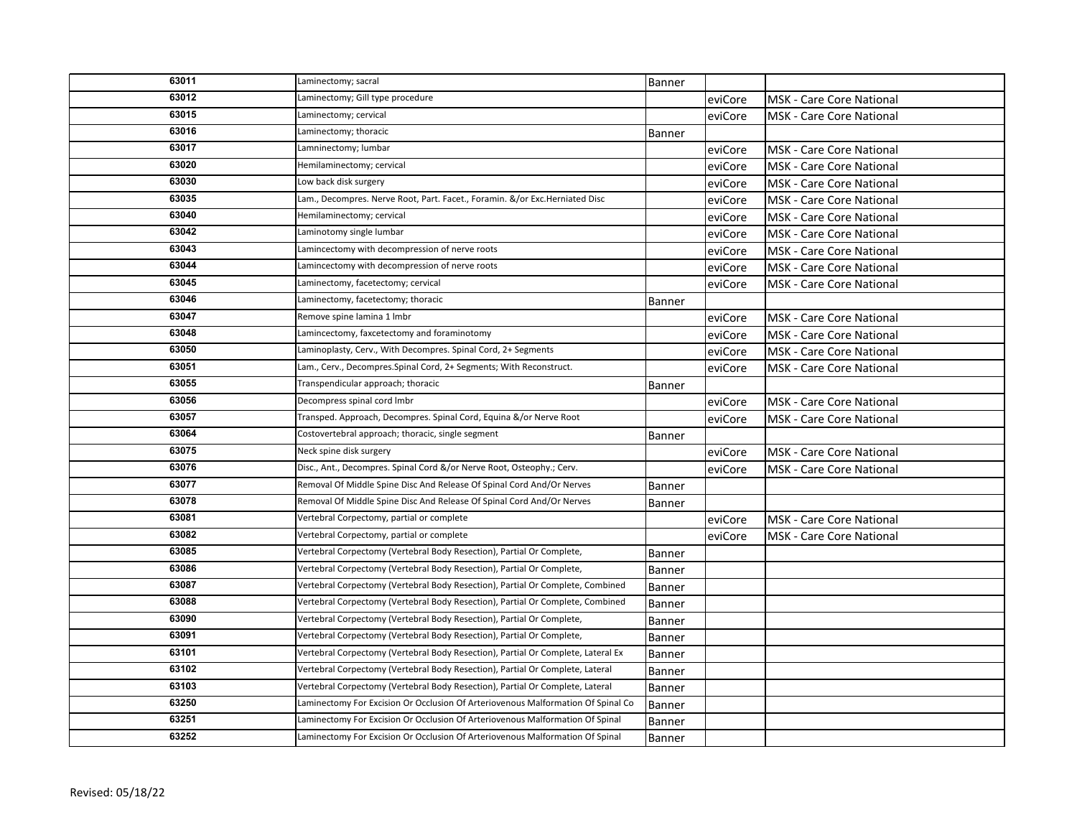| 63011 | Laminectomy; sacral                                                              | Banner        |         |                                 |
|-------|----------------------------------------------------------------------------------|---------------|---------|---------------------------------|
| 63012 | Laminectomy; Gill type procedure                                                 |               | eviCore | <b>MSK</b> - Care Core National |
| 63015 | Laminectomy; cervical                                                            |               | eviCore | <b>MSK</b> - Care Core National |
| 63016 | Laminectomy; thoracic                                                            | Banner        |         |                                 |
| 63017 | Lamninectomy; lumbar                                                             |               | eviCore | <b>MSK - Care Core National</b> |
| 63020 | Hemilaminectomy; cervical                                                        |               | eviCore | <b>MSK - Care Core National</b> |
| 63030 | Low back disk surgery                                                            |               | eviCore | MSK - Care Core National        |
| 63035 | Lam., Decompres. Nerve Root, Part. Facet., Foramin. &/or Exc.Herniated Disc      |               | eviCore | <b>MSK</b> - Care Core National |
| 63040 | Hemilaminectomy; cervical                                                        |               | eviCore | <b>MSK - Care Core National</b> |
| 63042 | Laminotomy single lumbar                                                         |               | eviCore | <b>MSK - Care Core National</b> |
| 63043 | Lamincectomy with decompression of nerve roots                                   |               | eviCore | <b>MSK</b> - Care Core National |
| 63044 | Lamincectomy with decompression of nerve roots                                   |               | eviCore | MSK - Care Core National        |
| 63045 | Laminectomy, facetectomy; cervical                                               |               | eviCore | <b>MSK</b> - Care Core National |
| 63046 | Laminectomy, facetectomy; thoracic                                               | Banner        |         |                                 |
| 63047 | Remove spine lamina 1 lmbr                                                       |               | eviCore | <b>MSK</b> - Care Core National |
| 63048 | Lamincectomy, faxcetectomy and foraminotomy                                      |               | eviCore | <b>MSK</b> - Care Core National |
| 63050 | Laminoplasty, Cerv., With Decompres. Spinal Cord, 2+ Segments                    |               | eviCore | <b>MSK</b> - Care Core National |
| 63051 | Lam., Cerv., Decompres. Spinal Cord, 2+ Segments; With Reconstruct.              |               | eviCore | MSK - Care Core National        |
| 63055 | Transpendicular approach; thoracic                                               | Banner        |         |                                 |
| 63056 | Decompress spinal cord Imbr                                                      |               | eviCore | <b>MSK</b> - Care Core National |
| 63057 | Transped. Approach, Decompres. Spinal Cord, Equina &/or Nerve Root               |               | eviCore | MSK - Care Core National        |
| 63064 | Costovertebral approach; thoracic, single segment                                | Banner        |         |                                 |
| 63075 | Neck spine disk surgery                                                          |               | eviCore | <b>MSK - Care Core National</b> |
| 63076 | Disc., Ant., Decompres. Spinal Cord &/or Nerve Root, Osteophy.; Cerv.            |               | eviCore | <b>MSK</b> - Care Core National |
| 63077 | Removal Of Middle Spine Disc And Release Of Spinal Cord And/Or Nerves            | Banner        |         |                                 |
| 63078 | Removal Of Middle Spine Disc And Release Of Spinal Cord And/Or Nerves            | Banner        |         |                                 |
| 63081 | Vertebral Corpectomy, partial or complete                                        |               | eviCore | <b>MSK - Care Core National</b> |
| 63082 | Vertebral Corpectomy, partial or complete                                        |               | eviCore | <b>MSK - Care Core National</b> |
| 63085 | Vertebral Corpectomy (Vertebral Body Resection), Partial Or Complete,            | Banner        |         |                                 |
| 63086 | Vertebral Corpectomy (Vertebral Body Resection), Partial Or Complete,            | Banner        |         |                                 |
| 63087 | Vertebral Corpectomy (Vertebral Body Resection), Partial Or Complete, Combined   | <b>Banner</b> |         |                                 |
| 63088 | Vertebral Corpectomy (Vertebral Body Resection), Partial Or Complete, Combined   | Banner        |         |                                 |
| 63090 | Vertebral Corpectomy (Vertebral Body Resection), Partial Or Complete,            | Banner        |         |                                 |
| 63091 | Vertebral Corpectomy (Vertebral Body Resection), Partial Or Complete,            | Banner        |         |                                 |
| 63101 | Vertebral Corpectomy (Vertebral Body Resection), Partial Or Complete, Lateral Ex | Banner        |         |                                 |
| 63102 | Vertebral Corpectomy (Vertebral Body Resection), Partial Or Complete, Lateral    | Banner        |         |                                 |
| 63103 | Vertebral Corpectomy (Vertebral Body Resection), Partial Or Complete, Lateral    | Banner        |         |                                 |
| 63250 | Laminectomy For Excision Or Occlusion Of Arteriovenous Malformation Of Spinal Co | Banner        |         |                                 |
| 63251 | Laminectomy For Excision Or Occlusion Of Arteriovenous Malformation Of Spinal    | Banner        |         |                                 |
| 63252 | Laminectomy For Excision Or Occlusion Of Arteriovenous Malformation Of Spinal    | Banner        |         |                                 |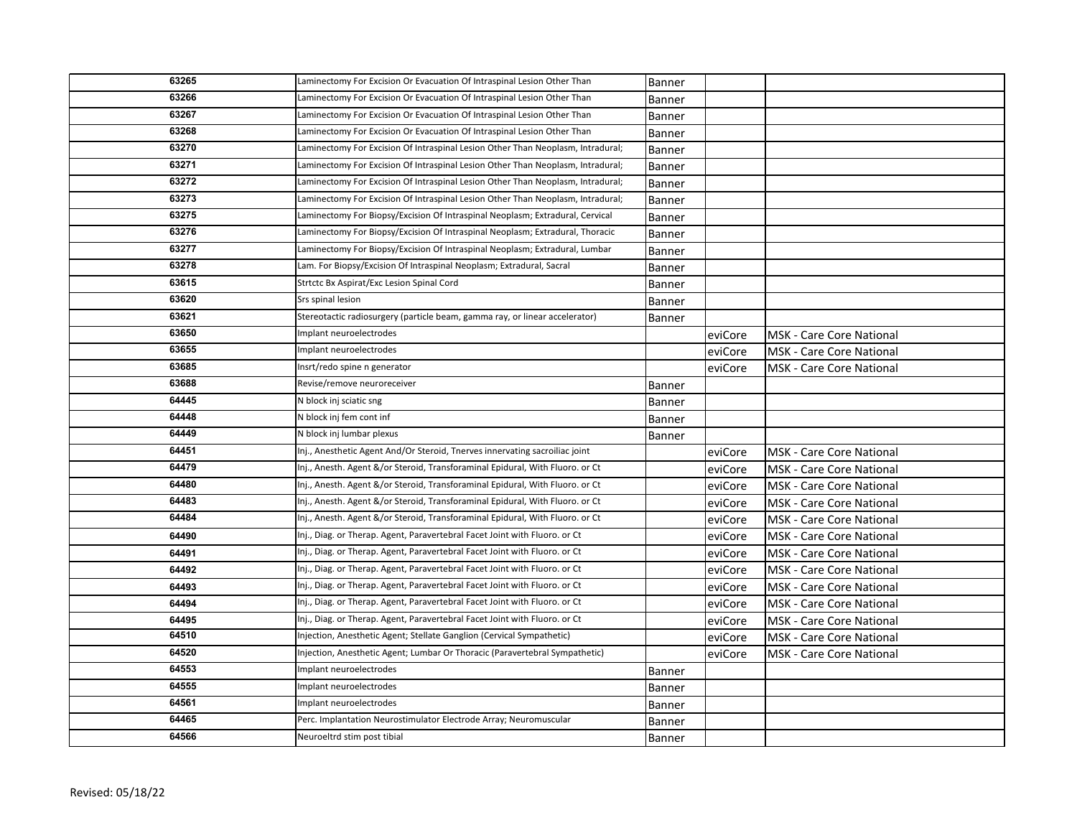| 63265 | Laminectomy For Excision Or Evacuation Of Intraspinal Lesion Other Than         | Banner        |         |                                 |
|-------|---------------------------------------------------------------------------------|---------------|---------|---------------------------------|
| 63266 | Laminectomy For Excision Or Evacuation Of Intraspinal Lesion Other Than         | <b>Banner</b> |         |                                 |
| 63267 | Laminectomy For Excision Or Evacuation Of Intraspinal Lesion Other Than         | Banner        |         |                                 |
| 63268 | Laminectomy For Excision Or Evacuation Of Intraspinal Lesion Other Than         | Banner        |         |                                 |
| 63270 | Laminectomy For Excision Of Intraspinal Lesion Other Than Neoplasm, Intradural; | Banner        |         |                                 |
| 63271 | Laminectomy For Excision Of Intraspinal Lesion Other Than Neoplasm, Intradural; | Banner        |         |                                 |
| 63272 | Laminectomy For Excision Of Intraspinal Lesion Other Than Neoplasm, Intradural; | Banner        |         |                                 |
| 63273 | Laminectomy For Excision Of Intraspinal Lesion Other Than Neoplasm, Intradural; | Banner        |         |                                 |
| 63275 | Laminectomy For Biopsy/Excision Of Intraspinal Neoplasm; Extradural, Cervical   | Banner        |         |                                 |
| 63276 | Laminectomy For Biopsy/Excision Of Intraspinal Neoplasm; Extradural, Thoracic   | Banner        |         |                                 |
| 63277 | Laminectomy For Biopsy/Excision Of Intraspinal Neoplasm; Extradural, Lumbar     | Banner        |         |                                 |
| 63278 | Lam. For Biopsy/Excision Of Intraspinal Neoplasm; Extradural, Sacral            | Banner        |         |                                 |
| 63615 | Strtctc Bx Aspirat/Exc Lesion Spinal Cord                                       | Banner        |         |                                 |
| 63620 | Srs spinal lesion                                                               | Banner        |         |                                 |
| 63621 | Stereotactic radiosurgery (particle beam, gamma ray, or linear accelerator)     | Banner        |         |                                 |
| 63650 | Implant neuroelectrodes                                                         |               | eviCore | MSK - Care Core National        |
| 63655 | Implant neuroelectrodes                                                         |               | eviCore | <b>MSK</b> - Care Core National |
| 63685 | Insrt/redo spine n generator                                                    |               | eviCore | <b>MSK - Care Core National</b> |
| 63688 | Revise/remove neuroreceiver                                                     | <b>Banner</b> |         |                                 |
| 64445 | N block inj sciatic sng                                                         | Banner        |         |                                 |
| 64448 | N block inj fem cont inf                                                        | Banner        |         |                                 |
| 64449 | N block inj lumbar plexus                                                       | Banner        |         |                                 |
| 64451 | Inj., Anesthetic Agent And/Or Steroid, Tnerves innervating sacroiliac joint     |               | eviCore | <b>MSK - Care Core National</b> |
| 64479 | Inj., Anesth. Agent &/or Steroid, Transforaminal Epidural, With Fluoro. or Ct   |               | eviCore | <b>MSK</b> - Care Core National |
| 64480 | Inj., Anesth. Agent &/or Steroid, Transforaminal Epidural, With Fluoro. or Ct   |               | eviCore | <b>MSK - Care Core National</b> |
| 64483 | Inj., Anesth. Agent &/or Steroid, Transforaminal Epidural, With Fluoro. or Ct   |               | eviCore | MSK - Care Core National        |
| 64484 | Inj., Anesth. Agent &/or Steroid, Transforaminal Epidural, With Fluoro. or Ct   |               | eviCore | <b>MSK - Care Core National</b> |
| 64490 | Inj., Diag. or Therap. Agent, Paravertebral Facet Joint with Fluoro. or Ct      |               | eviCore | <b>MSK - Care Core National</b> |
| 64491 | Inj., Diag. or Therap. Agent, Paravertebral Facet Joint with Fluoro. or Ct      |               | eviCore | MSK - Care Core National        |
| 64492 | Inj., Diag. or Therap. Agent, Paravertebral Facet Joint with Fluoro. or Ct      |               | eviCore | <b>MSK - Care Core National</b> |
| 64493 | Inj., Diag. or Therap. Agent, Paravertebral Facet Joint with Fluoro. or Ct      |               | eviCore | MSK - Care Core National        |
| 64494 | Inj., Diag. or Therap. Agent, Paravertebral Facet Joint with Fluoro. or Ct      |               | eviCore | <b>MSK</b> - Care Core National |
| 64495 | Inj., Diag. or Therap. Agent, Paravertebral Facet Joint with Fluoro. or Ct      |               | eviCore | <b>MSK - Care Core National</b> |
| 64510 | Injection, Anesthetic Agent; Stellate Ganglion (Cervical Sympathetic)           |               | eviCore | <b>MSK - Care Core National</b> |
| 64520 | Injection, Anesthetic Agent; Lumbar Or Thoracic (Paravertebral Sympathetic)     |               | eviCore | <b>MSK - Care Core National</b> |
| 64553 | Implant neuroelectrodes                                                         | Banner        |         |                                 |
| 64555 | Implant neuroelectrodes                                                         | Banner        |         |                                 |
| 64561 | Implant neuroelectrodes                                                         | Banner        |         |                                 |
| 64465 | Perc. Implantation Neurostimulator Electrode Array; Neuromuscular               | Banner        |         |                                 |
| 64566 |                                                                                 |               |         |                                 |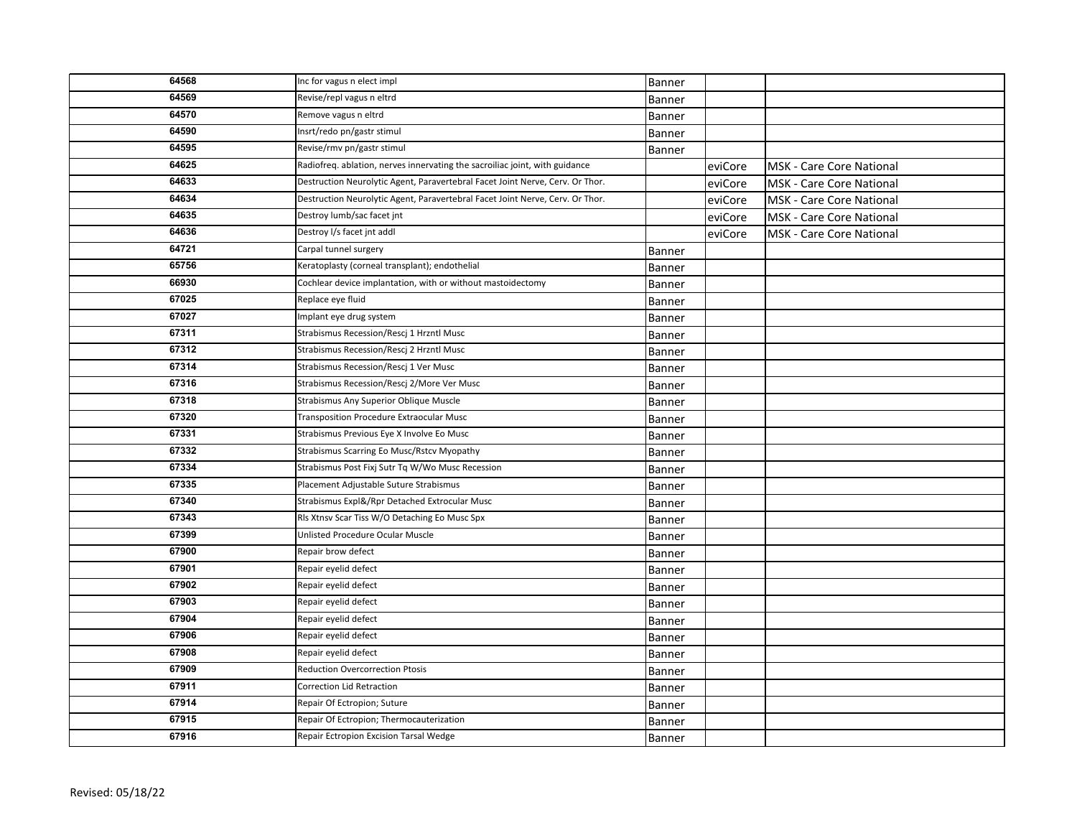| 64568 | Inc for vagus n elect impl                                                    | Banner        |         |                                 |
|-------|-------------------------------------------------------------------------------|---------------|---------|---------------------------------|
| 64569 | Revise/repl vagus n eltrd                                                     | <b>Banner</b> |         |                                 |
| 64570 | Remove vagus n eltrd                                                          | Banner        |         |                                 |
| 64590 | Insrt/redo pn/gastr stimul                                                    | Banner        |         |                                 |
| 64595 | Revise/rmv pn/gastr stimul                                                    | Banner        |         |                                 |
| 64625 | Radiofreq. ablation, nerves innervating the sacroiliac joint, with guidance   |               | eviCore | MSK - Care Core National        |
| 64633 | Destruction Neurolytic Agent, Paravertebral Facet Joint Nerve, Cerv. Or Thor. |               | eviCore | MSK - Care Core National        |
| 64634 | Destruction Neurolytic Agent, Paravertebral Facet Joint Nerve, Cerv. Or Thor. |               | eviCore | MSK - Care Core National        |
| 64635 | Destroy lumb/sac facet jnt                                                    |               | eviCore | <b>MSK - Care Core National</b> |
| 64636 | Destroy I/s facet jnt addl                                                    |               | eviCore | MSK - Care Core National        |
| 64721 | Carpal tunnel surgery                                                         | Banner        |         |                                 |
| 65756 | Keratoplasty (corneal transplant); endothelial                                | Banner        |         |                                 |
| 66930 | Cochlear device implantation, with or without mastoidectomy                   | Banner        |         |                                 |
| 67025 | Replace eye fluid                                                             | Banner        |         |                                 |
| 67027 | Implant eye drug system                                                       | <b>Banner</b> |         |                                 |
| 67311 | Strabismus Recession/Rescj 1 Hrzntl Musc                                      | Banner        |         |                                 |
| 67312 | Strabismus Recession/Rescj 2 Hrzntl Musc                                      | Banner        |         |                                 |
| 67314 | Strabismus Recession/Rescj 1 Ver Musc                                         | Banner        |         |                                 |
| 67316 | Strabismus Recession/Rescj 2/More Ver Musc                                    | Banner        |         |                                 |
| 67318 | Strabismus Any Superior Oblique Muscle                                        | Banner        |         |                                 |
| 67320 | Transposition Procedure Extraocular Musc                                      | Banner        |         |                                 |
| 67331 | Strabismus Previous Eye X Involve Eo Musc                                     | <b>Banner</b> |         |                                 |
| 67332 | Strabismus Scarring Eo Musc/Rstcv Myopathy                                    | <b>Banner</b> |         |                                 |
| 67334 | Strabismus Post Fixj Sutr Tq W/Wo Musc Recession                              | Banner        |         |                                 |
| 67335 | Placement Adjustable Suture Strabismus                                        | <b>Banner</b> |         |                                 |
| 67340 | Strabismus Expl&/Rpr Detached Extrocular Musc                                 | Banner        |         |                                 |
| 67343 | Rls Xtnsv Scar Tiss W/O Detaching Eo Musc Spx                                 | Banner        |         |                                 |
| 67399 | Unlisted Procedure Ocular Muscle                                              | Banner        |         |                                 |
| 67900 | Repair brow defect                                                            | Banner        |         |                                 |
| 67901 | Repair eyelid defect                                                          | Banner        |         |                                 |
| 67902 | Repair eyelid defect                                                          | Banner        |         |                                 |
| 67903 | Repair eyelid defect                                                          | Banner        |         |                                 |
| 67904 | Repair eyelid defect                                                          | <b>Banner</b> |         |                                 |
| 67906 | Repair eyelid defect                                                          | <b>Banner</b> |         |                                 |
| 67908 | Repair eyelid defect                                                          | <b>Banner</b> |         |                                 |
| 67909 | Reduction Overcorrection Ptosis                                               | <b>Banner</b> |         |                                 |
| 67911 | Correction Lid Retraction                                                     | Banner        |         |                                 |
| 67914 | Repair Of Ectropion; Suture                                                   | Banner        |         |                                 |
| 67915 | Repair Of Ectropion; Thermocauterization                                      | Banner        |         |                                 |
| 67916 | Repair Ectropion Excision Tarsal Wedge                                        | Banner        |         |                                 |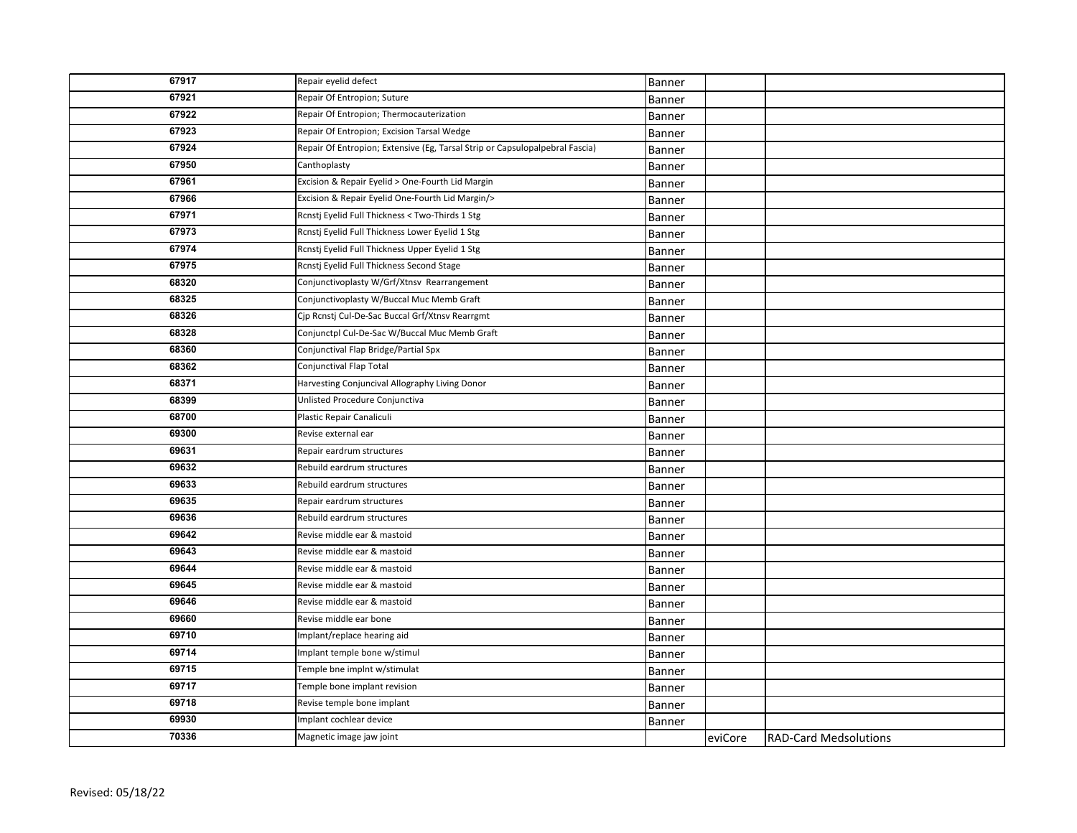| 67917 | Repair eyelid defect                                                         | Banner        |         |                              |
|-------|------------------------------------------------------------------------------|---------------|---------|------------------------------|
| 67921 | Repair Of Entropion; Suture                                                  | Banner        |         |                              |
| 67922 | Repair Of Entropion; Thermocauterization                                     | Banner        |         |                              |
| 67923 | Repair Of Entropion; Excision Tarsal Wedge                                   | Banner        |         |                              |
| 67924 | Repair Of Entropion; Extensive (Eg, Tarsal Strip or Capsulopalpebral Fascia) | Banner        |         |                              |
| 67950 | Canthoplasty                                                                 | Banner        |         |                              |
| 67961 | Excision & Repair Eyelid > One-Fourth Lid Margin                             | Banner        |         |                              |
| 67966 | Excision & Repair Eyelid One-Fourth Lid Margin/>                             | Banner        |         |                              |
| 67971 | Rcnstj Eyelid Full Thickness < Two-Thirds 1 Stg                              | <b>Banner</b> |         |                              |
| 67973 | Rcnstj Eyelid Full Thickness Lower Eyelid 1 Stg                              | Banner        |         |                              |
| 67974 | Rcnstj Eyelid Full Thickness Upper Eyelid 1 Stg                              | Banner        |         |                              |
| 67975 | Rcnstj Eyelid Full Thickness Second Stage                                    | Banner        |         |                              |
| 68320 | Conjunctivoplasty W/Grf/Xtnsv Rearrangement                                  | Banner        |         |                              |
| 68325 | Conjunctivoplasty W/Buccal Muc Memb Graft                                    | Banner        |         |                              |
| 68326 | Cjp Rcnstj Cul-De-Sac Buccal Grf/Xtnsv Rearrgmt                              | Banner        |         |                              |
| 68328 | Conjunctpl Cul-De-Sac W/Buccal Muc Memb Graft                                | Banner        |         |                              |
| 68360 | Conjunctival Flap Bridge/Partial Spx                                         | Banner        |         |                              |
| 68362 | Conjunctival Flap Total                                                      | Banner        |         |                              |
| 68371 | Harvesting Conjuncival Allography Living Donor                               | Banner        |         |                              |
| 68399 | Unlisted Procedure Conjunctiva                                               | Banner        |         |                              |
| 68700 | Plastic Repair Canaliculi                                                    | Banner        |         |                              |
| 69300 | Revise external ear                                                          | Banner        |         |                              |
| 69631 | Repair eardrum structures                                                    | Banner        |         |                              |
| 69632 | Rebuild eardrum structures                                                   | Banner        |         |                              |
| 69633 | Rebuild eardrum structures                                                   | Banner        |         |                              |
| 69635 | Repair eardrum structures                                                    | Banner        |         |                              |
| 69636 | Rebuild eardrum structures                                                   | Banner        |         |                              |
| 69642 | Revise middle ear & mastoid                                                  | Banner        |         |                              |
| 69643 | Revise middle ear & mastoid                                                  | Banner        |         |                              |
| 69644 | Revise middle ear & mastoid                                                  | Banner        |         |                              |
| 69645 | Revise middle ear & mastoid                                                  | Banner        |         |                              |
| 69646 | Revise middle ear & mastoid                                                  | Banner        |         |                              |
| 69660 | Revise middle ear bone                                                       | Banner        |         |                              |
| 69710 | Implant/replace hearing aid                                                  | Banner        |         |                              |
| 69714 | Implant temple bone w/stimul                                                 | Banner        |         |                              |
| 69715 | Temple bne implnt w/stimulat                                                 | Banner        |         |                              |
| 69717 | Temple bone implant revision                                                 | Banner        |         |                              |
| 69718 | Revise temple bone implant                                                   | Banner        |         |                              |
| 69930 | Implant cochlear device                                                      | Banner        |         |                              |
| 70336 | Magnetic image jaw joint                                                     |               | eviCore | <b>RAD-Card Medsolutions</b> |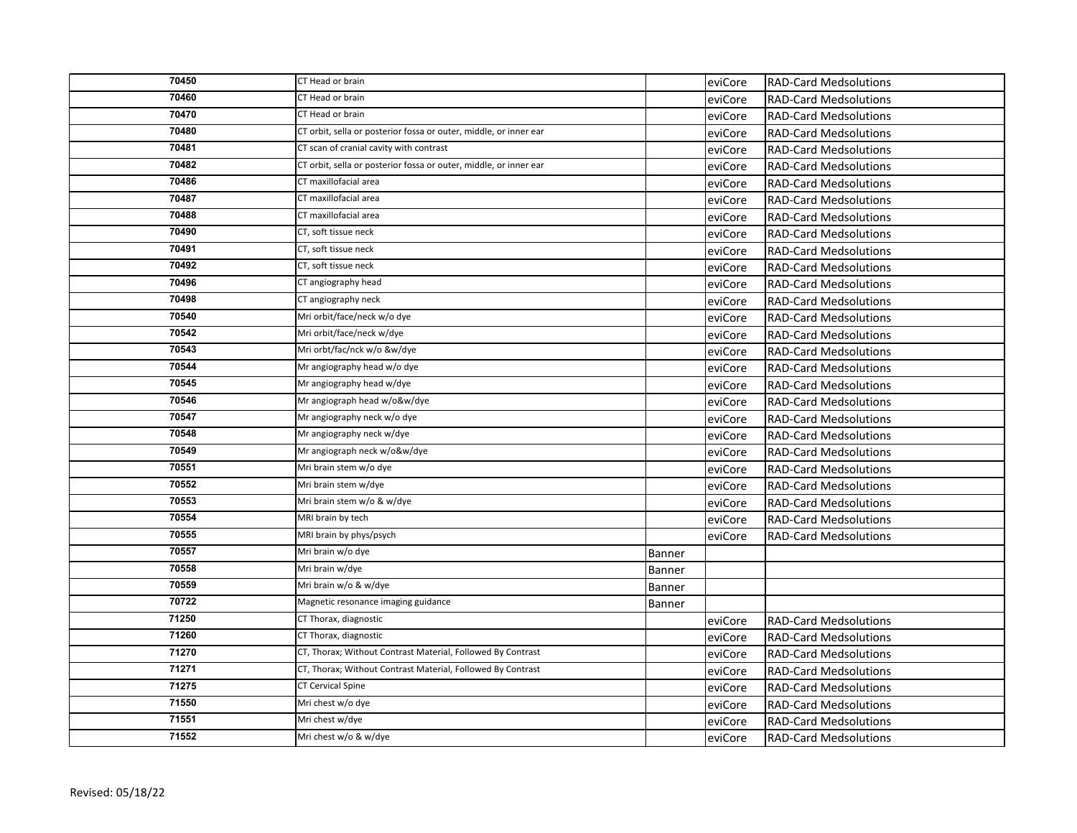| 70450 | CT Head or brain                                                  |               | eviCore | <b>RAD-Card Medsolutions</b> |
|-------|-------------------------------------------------------------------|---------------|---------|------------------------------|
| 70460 | CT Head or brain                                                  |               | eviCore | <b>RAD-Card Medsolutions</b> |
| 70470 | CT Head or brain                                                  |               | eviCore | <b>RAD-Card Medsolutions</b> |
| 70480 | CT orbit, sella or posterior fossa or outer, middle, or inner ear |               | eviCore | <b>RAD-Card Medsolutions</b> |
| 70481 | CT scan of cranial cavity with contrast                           |               | eviCore | <b>RAD-Card Medsolutions</b> |
| 70482 | CT orbit, sella or posterior fossa or outer, middle, or inner ear |               | eviCore | <b>RAD-Card Medsolutions</b> |
| 70486 | CT maxillofacial area                                             |               | eviCore | <b>RAD-Card Medsolutions</b> |
| 70487 | CT maxillofacial area                                             |               | eviCore | <b>RAD-Card Medsolutions</b> |
| 70488 | CT maxillofacial area                                             |               | eviCore | <b>RAD-Card Medsolutions</b> |
| 70490 | CT, soft tissue neck                                              |               | eviCore | <b>RAD-Card Medsolutions</b> |
| 70491 | CT, soft tissue neck                                              |               | eviCore | <b>RAD-Card Medsolutions</b> |
| 70492 | CT, soft tissue neck                                              |               | eviCore | <b>RAD-Card Medsolutions</b> |
| 70496 | CT angiography head                                               |               | eviCore | <b>RAD-Card Medsolutions</b> |
| 70498 | CT angiography neck                                               |               | eviCore | <b>RAD-Card Medsolutions</b> |
| 70540 | Mri orbit/face/neck w/o dye                                       |               | eviCore | <b>RAD-Card Medsolutions</b> |
| 70542 | Mri orbit/face/neck w/dye                                         |               | eviCore | <b>RAD-Card Medsolutions</b> |
| 70543 | Mri orbt/fac/nck w/o &w/dye                                       |               | eviCore | <b>RAD-Card Medsolutions</b> |
| 70544 | Mr angiography head w/o dye                                       |               | eviCore | <b>RAD-Card Medsolutions</b> |
| 70545 | Mr angiography head w/dye                                         |               | eviCore | <b>RAD-Card Medsolutions</b> |
| 70546 | Mr angiograph head w/o&w/dye                                      |               | eviCore | <b>RAD-Card Medsolutions</b> |
| 70547 | Mr angiography neck w/o dye                                       |               | eviCore | <b>RAD-Card Medsolutions</b> |
| 70548 | Mr angiography neck w/dye                                         |               | eviCore | <b>RAD-Card Medsolutions</b> |
| 70549 | Mr angiograph neck w/o&w/dye                                      |               | eviCore | <b>RAD-Card Medsolutions</b> |
| 70551 | Mri brain stem w/o dye                                            |               | eviCore | <b>RAD-Card Medsolutions</b> |
| 70552 | Mri brain stem w/dye                                              |               | eviCore | <b>RAD-Card Medsolutions</b> |
| 70553 | Mri brain stem w/o & w/dye                                        |               | eviCore | <b>RAD-Card Medsolutions</b> |
| 70554 | MRI brain by tech                                                 |               | eviCore | <b>RAD-Card Medsolutions</b> |
| 70555 | MRI brain by phys/psych                                           |               | eviCore | <b>RAD-Card Medsolutions</b> |
| 70557 | Mri brain w/o dye                                                 | Banner        |         |                              |
| 70558 | Mri brain w/dye                                                   | Banner        |         |                              |
| 70559 | Mri brain w/o & w/dye                                             | <b>Banner</b> |         |                              |
| 70722 | Magnetic resonance imaging guidance                               | Banner        |         |                              |
| 71250 | CT Thorax, diagnostic                                             |               | eviCore | <b>RAD-Card Medsolutions</b> |
| 71260 | CT Thorax, diagnostic                                             |               | eviCore | <b>RAD-Card Medsolutions</b> |
| 71270 | CT, Thorax; Without Contrast Material, Followed By Contrast       |               | eviCore | <b>RAD-Card Medsolutions</b> |
| 71271 | CT, Thorax; Without Contrast Material, Followed By Contrast       |               | eviCore | <b>RAD-Card Medsolutions</b> |
| 71275 | CT Cervical Spine                                                 |               | eviCore | <b>RAD-Card Medsolutions</b> |
| 71550 | Mri chest w/o dye                                                 |               | eviCore | <b>RAD-Card Medsolutions</b> |
| 71551 | Mri chest w/dye                                                   |               | eviCore | <b>RAD-Card Medsolutions</b> |
| 71552 | Mri chest w/o & w/dye                                             |               | eviCore | <b>RAD-Card Medsolutions</b> |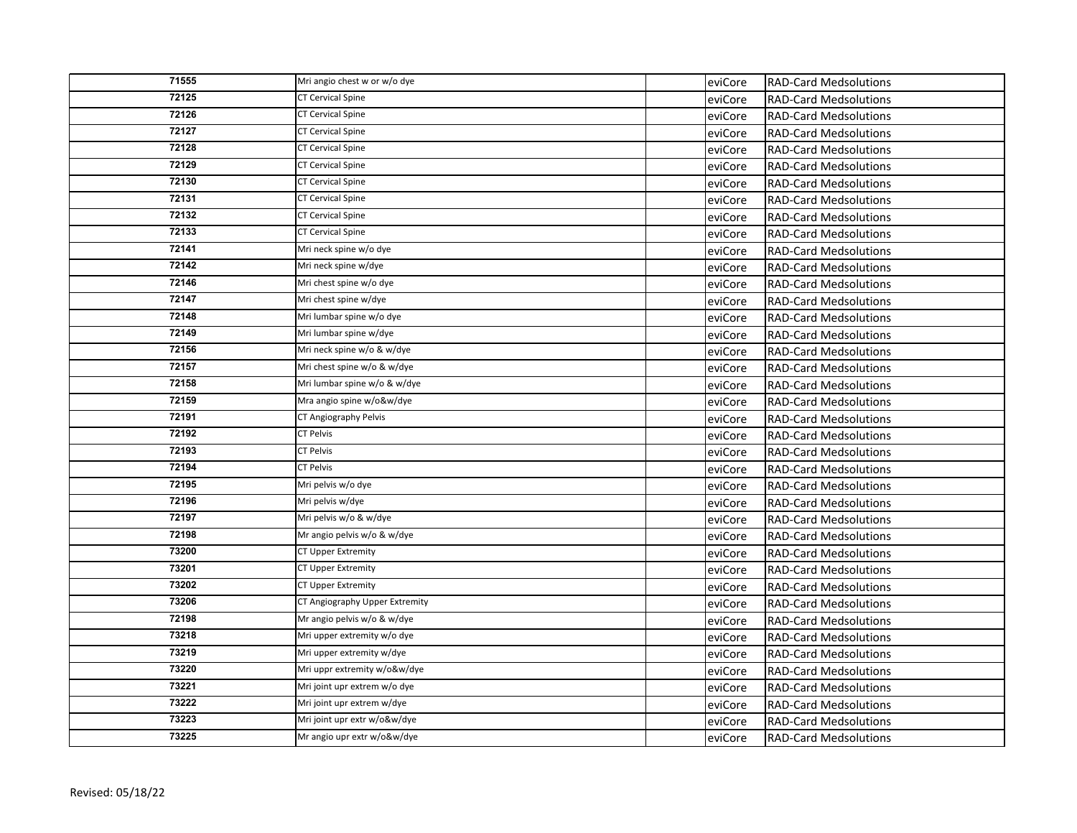| 71555 | Mri angio chest w or w/o dye   | eviCore | <b>RAD-Card Medsolutions</b> |
|-------|--------------------------------|---------|------------------------------|
| 72125 | <b>CT Cervical Spine</b>       | eviCore | <b>RAD-Card Medsolutions</b> |
| 72126 | <b>CT Cervical Spine</b>       | eviCore | <b>RAD-Card Medsolutions</b> |
| 72127 | <b>CT Cervical Spine</b>       | eviCore | <b>RAD-Card Medsolutions</b> |
| 72128 | <b>CT Cervical Spine</b>       | eviCore | <b>RAD-Card Medsolutions</b> |
| 72129 | <b>CT Cervical Spine</b>       | eviCore | <b>RAD-Card Medsolutions</b> |
| 72130 | <b>CT Cervical Spine</b>       | eviCore | <b>RAD-Card Medsolutions</b> |
| 72131 | <b>CT Cervical Spine</b>       | eviCore | <b>RAD-Card Medsolutions</b> |
| 72132 | <b>CT Cervical Spine</b>       | eviCore | <b>RAD-Card Medsolutions</b> |
| 72133 | <b>CT Cervical Spine</b>       | eviCore | <b>RAD-Card Medsolutions</b> |
| 72141 | Mri neck spine w/o dye         | eviCore | <b>RAD-Card Medsolutions</b> |
| 72142 | Mri neck spine w/dye           | eviCore | <b>RAD-Card Medsolutions</b> |
| 72146 | Mri chest spine w/o dye        | eviCore | <b>RAD-Card Medsolutions</b> |
| 72147 | Mri chest spine w/dye          | eviCore | <b>RAD-Card Medsolutions</b> |
| 72148 | Mri lumbar spine w/o dye       | eviCore | <b>RAD-Card Medsolutions</b> |
| 72149 | Mri lumbar spine w/dye         | eviCore | <b>RAD-Card Medsolutions</b> |
| 72156 | Mri neck spine w/o & w/dye     | eviCore | <b>RAD-Card Medsolutions</b> |
| 72157 | Mri chest spine w/o & w/dye    | eviCore | <b>RAD-Card Medsolutions</b> |
| 72158 | Mri lumbar spine w/o & w/dye   | eviCore | <b>RAD-Card Medsolutions</b> |
| 72159 | Mra angio spine w/o&w/dye      | eviCore | <b>RAD-Card Medsolutions</b> |
| 72191 | CT Angiography Pelvis          | eviCore | <b>RAD-Card Medsolutions</b> |
| 72192 | <b>CT Pelvis</b>               | eviCore | <b>RAD-Card Medsolutions</b> |
| 72193 | <b>CT Pelvis</b>               | eviCore | <b>RAD-Card Medsolutions</b> |
| 72194 | <b>CT Pelvis</b>               | eviCore | <b>RAD-Card Medsolutions</b> |
| 72195 | Mri pelvis w/o dye             | eviCore | <b>RAD-Card Medsolutions</b> |
| 72196 | Mri pelvis w/dye               | eviCore | <b>RAD-Card Medsolutions</b> |
| 72197 | Mri pelvis w/o & w/dye         | eviCore | <b>RAD-Card Medsolutions</b> |
| 72198 | Mr angio pelvis w/o & w/dye    | eviCore | <b>RAD-Card Medsolutions</b> |
| 73200 | CT Upper Extremity             | eviCore | <b>RAD-Card Medsolutions</b> |
| 73201 | CT Upper Extremity             | eviCore | <b>RAD-Card Medsolutions</b> |
| 73202 | CT Upper Extremity             | eviCore | <b>RAD-Card Medsolutions</b> |
| 73206 | CT Angiography Upper Extremity | eviCore | <b>RAD-Card Medsolutions</b> |
| 72198 | Mr angio pelvis w/o & w/dye    | eviCore | <b>RAD-Card Medsolutions</b> |
| 73218 | Mri upper extremity w/o dye    | eviCore | <b>RAD-Card Medsolutions</b> |
| 73219 | Mri upper extremity w/dye      | eviCore | <b>RAD-Card Medsolutions</b> |
| 73220 | Mri uppr extremity w/o&w/dye   | eviCore | <b>RAD-Card Medsolutions</b> |
| 73221 | Mri joint upr extrem w/o dye   | eviCore | <b>RAD-Card Medsolutions</b> |
| 73222 | Mri joint upr extrem w/dye     | eviCore | <b>RAD-Card Medsolutions</b> |
| 73223 | Mri joint upr extr w/o&w/dye   | eviCore | <b>RAD-Card Medsolutions</b> |
| 73225 | Mr angio upr extr w/o&w/dye    | eviCore | <b>RAD-Card Medsolutions</b> |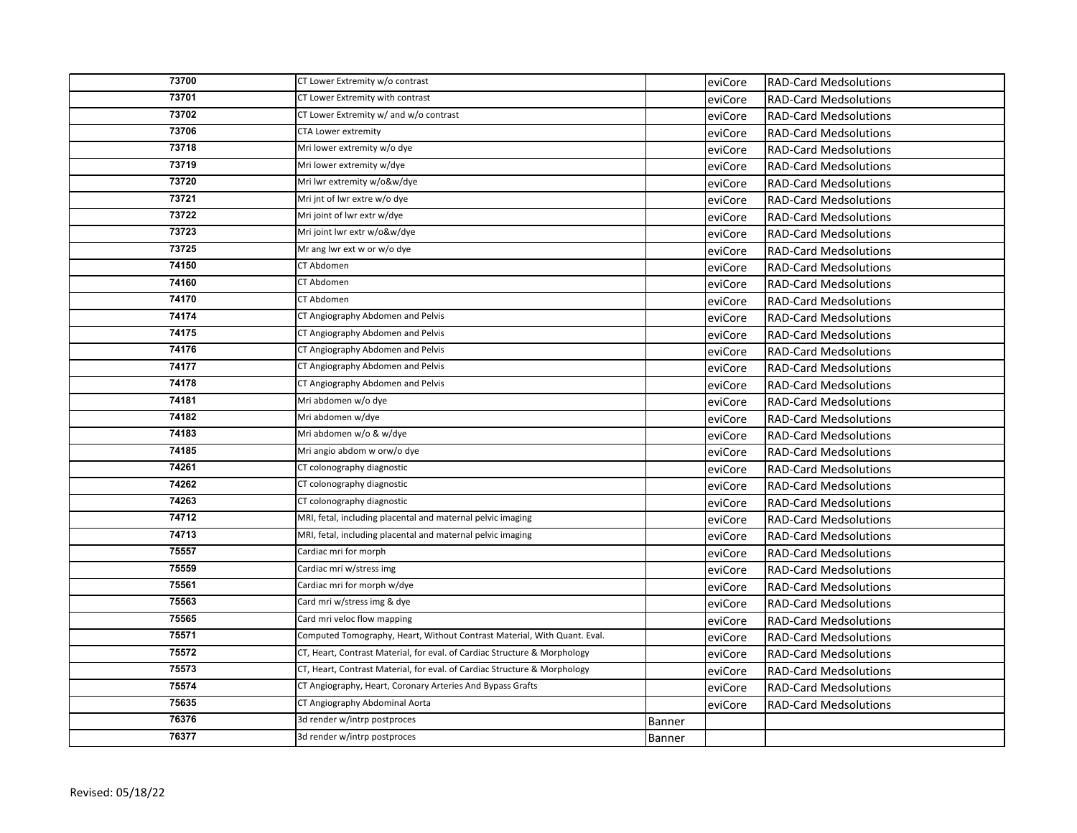| 73700 | CT Lower Extremity w/o contrast                                           |               | eviCore | <b>RAD-Card Medsolutions</b> |
|-------|---------------------------------------------------------------------------|---------------|---------|------------------------------|
| 73701 | CT Lower Extremity with contrast                                          |               | eviCore | <b>RAD-Card Medsolutions</b> |
| 73702 | CT Lower Extremity w/ and w/o contrast                                    |               | eviCore | <b>RAD-Card Medsolutions</b> |
| 73706 | <b>CTA Lower extremity</b>                                                |               | eviCore | <b>RAD-Card Medsolutions</b> |
| 73718 | Mri lower extremity w/o dye                                               |               | eviCore | <b>RAD-Card Medsolutions</b> |
| 73719 | Mri lower extremity w/dye                                                 |               | eviCore | <b>RAD-Card Medsolutions</b> |
| 73720 | Mri lwr extremity w/o&w/dye                                               |               | eviCore | <b>RAD-Card Medsolutions</b> |
| 73721 | Mri jnt of Iwr extre w/o dye                                              |               | eviCore | <b>RAD-Card Medsolutions</b> |
| 73722 | Mri joint of lwr extr w/dye                                               |               | eviCore | <b>RAD-Card Medsolutions</b> |
| 73723 | Mri joint lwr extr w/o&w/dye                                              |               | eviCore | <b>RAD-Card Medsolutions</b> |
| 73725 | Mr ang lwr ext w or w/o dye                                               |               | eviCore | <b>RAD-Card Medsolutions</b> |
| 74150 | CT Abdomen                                                                |               | eviCore | <b>RAD-Card Medsolutions</b> |
| 74160 | CT Abdomen                                                                |               | eviCore | <b>RAD-Card Medsolutions</b> |
| 74170 | CT Abdomen                                                                |               | eviCore | <b>RAD-Card Medsolutions</b> |
| 74174 | CT Angiography Abdomen and Pelvis                                         |               | eviCore | <b>RAD-Card Medsolutions</b> |
| 74175 | CT Angiography Abdomen and Pelvis                                         |               | eviCore | <b>RAD-Card Medsolutions</b> |
| 74176 | CT Angiography Abdomen and Pelvis                                         |               | eviCore | <b>RAD-Card Medsolutions</b> |
| 74177 | CT Angiography Abdomen and Pelvis                                         |               | eviCore | <b>RAD-Card Medsolutions</b> |
| 74178 | CT Angiography Abdomen and Pelvis                                         |               | eviCore | <b>RAD-Card Medsolutions</b> |
| 74181 | Mri abdomen w/o dye                                                       |               | eviCore | <b>RAD-Card Medsolutions</b> |
| 74182 | Mri abdomen w/dye                                                         |               | eviCore | <b>RAD-Card Medsolutions</b> |
| 74183 | Mri abdomen w/o & w/dye                                                   |               | eviCore | <b>RAD-Card Medsolutions</b> |
| 74185 | Mri angio abdom w orw/o dye                                               |               | eviCore | <b>RAD-Card Medsolutions</b> |
| 74261 | CT colonography diagnostic                                                |               | eviCore | <b>RAD-Card Medsolutions</b> |
| 74262 | CT colonography diagnostic                                                |               | eviCore | <b>RAD-Card Medsolutions</b> |
| 74263 | CT colonography diagnostic                                                |               | eviCore | <b>RAD-Card Medsolutions</b> |
| 74712 | MRI, fetal, including placental and maternal pelvic imaging               |               | eviCore | <b>RAD-Card Medsolutions</b> |
| 74713 | MRI, fetal, including placental and maternal pelvic imaging               |               | eviCore | <b>RAD-Card Medsolutions</b> |
| 75557 | Cardiac mri for morph                                                     |               | eviCore | <b>RAD-Card Medsolutions</b> |
| 75559 | Cardiac mri w/stress img                                                  |               | eviCore | <b>RAD-Card Medsolutions</b> |
| 75561 | Cardiac mri for morph w/dye                                               |               | eviCore | <b>RAD-Card Medsolutions</b> |
| 75563 | Card mri w/stress img & dye                                               |               | eviCore | <b>RAD-Card Medsolutions</b> |
| 75565 | Card mri veloc flow mapping                                               |               | eviCore | <b>RAD-Card Medsolutions</b> |
| 75571 | Computed Tomography, Heart, Without Contrast Material, With Quant. Eval.  |               | eviCore | <b>RAD-Card Medsolutions</b> |
| 75572 | CT, Heart, Contrast Material, for eval. of Cardiac Structure & Morphology |               | eviCore | <b>RAD-Card Medsolutions</b> |
| 75573 | CT, Heart, Contrast Material, for eval. of Cardiac Structure & Morphology |               | eviCore | <b>RAD-Card Medsolutions</b> |
| 75574 | CT Angiography, Heart, Coronary Arteries And Bypass Grafts                |               | eviCore | <b>RAD-Card Medsolutions</b> |
| 75635 | CT Angiography Abdominal Aorta                                            |               | eviCore | <b>RAD-Card Medsolutions</b> |
| 76376 | 3d render w/intrp postproces                                              | <b>Banner</b> |         |                              |
| 76377 | 3d render w/intrp postproces                                              | Banner        |         |                              |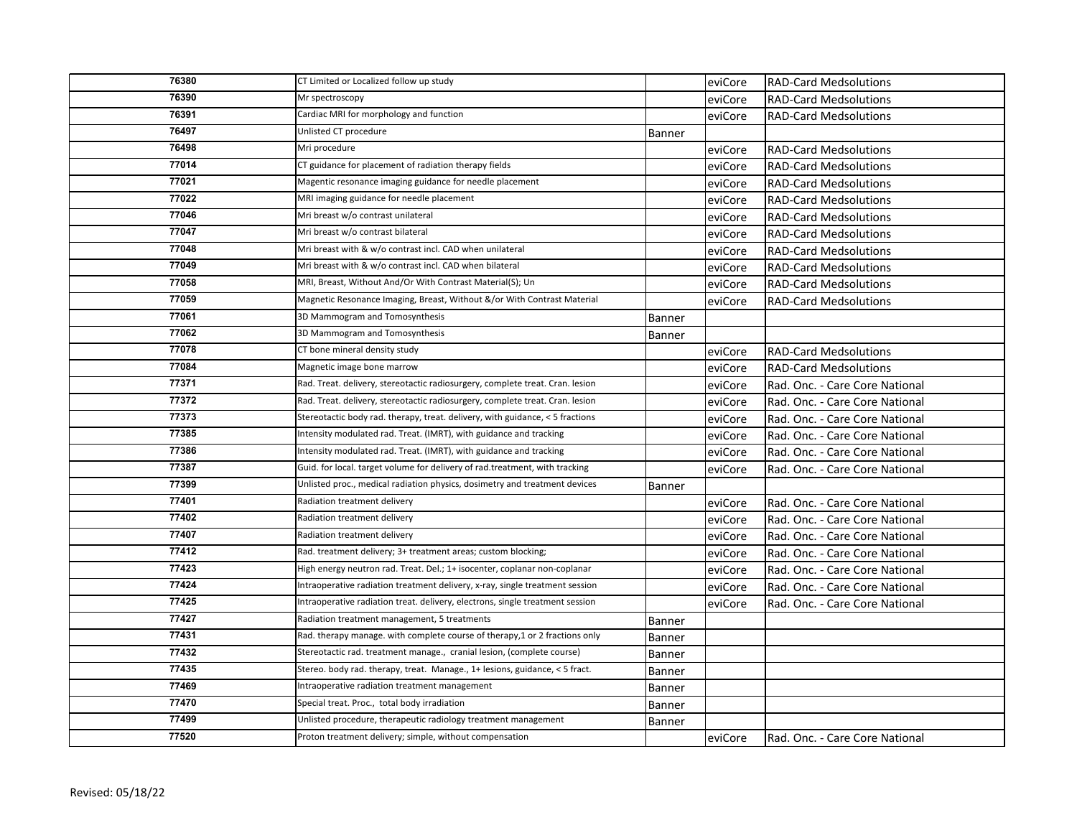| 76380 | CT Limited or Localized follow up study                                       |        | eviCore | <b>RAD-Card Medsolutions</b>   |
|-------|-------------------------------------------------------------------------------|--------|---------|--------------------------------|
| 76390 | Mr spectroscopy                                                               |        | eviCore | <b>RAD-Card Medsolutions</b>   |
| 76391 | Cardiac MRI for morphology and function                                       |        | eviCore | <b>RAD-Card Medsolutions</b>   |
| 76497 | Unlisted CT procedure                                                         | Banner |         |                                |
| 76498 | Mri procedure                                                                 |        | eviCore | <b>RAD-Card Medsolutions</b>   |
| 77014 | CT guidance for placement of radiation therapy fields                         |        | eviCore | <b>RAD-Card Medsolutions</b>   |
| 77021 | Magentic resonance imaging guidance for needle placement                      |        | eviCore | <b>RAD-Card Medsolutions</b>   |
| 77022 | MRI imaging guidance for needle placement                                     |        | eviCore | <b>RAD-Card Medsolutions</b>   |
| 77046 | Mri breast w/o contrast unilateral                                            |        | eviCore | <b>RAD-Card Medsolutions</b>   |
| 77047 | Mri breast w/o contrast bilateral                                             |        | eviCore | <b>RAD-Card Medsolutions</b>   |
| 77048 | Mri breast with & w/o contrast incl. CAD when unilateral                      |        | eviCore | <b>RAD-Card Medsolutions</b>   |
| 77049 | Mri breast with & w/o contrast incl. CAD when bilateral                       |        | eviCore | <b>RAD-Card Medsolutions</b>   |
| 77058 | MRI, Breast, Without And/Or With Contrast Material(S); Un                     |        | eviCore | <b>RAD-Card Medsolutions</b>   |
| 77059 | Magnetic Resonance Imaging, Breast, Without &/or With Contrast Material       |        | eviCore | <b>RAD-Card Medsolutions</b>   |
| 77061 | 3D Mammogram and Tomosynthesis                                                | Banner |         |                                |
| 77062 | 3D Mammogram and Tomosynthesis                                                | Banner |         |                                |
| 77078 | CT bone mineral density study                                                 |        | eviCore | <b>RAD-Card Medsolutions</b>   |
| 77084 | Magnetic image bone marrow                                                    |        | eviCore | <b>RAD-Card Medsolutions</b>   |
| 77371 | Rad. Treat. delivery, stereotactic radiosurgery, complete treat. Cran. lesion |        | eviCore | Rad. Onc. - Care Core National |
| 77372 | Rad. Treat. delivery, stereotactic radiosurgery, complete treat. Cran. lesion |        | eviCore | Rad. Onc. - Care Core National |
| 77373 | Stereotactic body rad. therapy, treat. delivery, with guidance, < 5 fractions |        | eviCore | Rad. Onc. - Care Core National |
| 77385 | Intensity modulated rad. Treat. (IMRT), with guidance and tracking            |        | eviCore | Rad. Onc. - Care Core National |
| 77386 | Intensity modulated rad. Treat. (IMRT), with guidance and tracking            |        | eviCore | Rad. Onc. - Care Core National |
| 77387 | Guid. for local. target volume for delivery of rad.treatment, with tracking   |        | eviCore | Rad. Onc. - Care Core National |
| 77399 | Unlisted proc., medical radiation physics, dosimetry and treatment devices    | Banner |         |                                |
| 77401 | Radiation treatment delivery                                                  |        | eviCore | Rad. Onc. - Care Core National |
| 77402 | Radiation treatment delivery                                                  |        | eviCore | Rad. Onc. - Care Core National |
| 77407 | Radiation treatment delivery                                                  |        | eviCore | Rad. Onc. - Care Core National |
| 77412 | Rad. treatment delivery; 3+ treatment areas; custom blocking;                 |        | eviCore | Rad. Onc. - Care Core National |
| 77423 | High energy neutron rad. Treat. Del.; 1+ isocenter, coplanar non-coplanar     |        | eviCore | Rad. Onc. - Care Core National |
| 77424 | Intraoperative radiation treatment delivery, x-ray, single treatment session  |        | eviCore | Rad. Onc. - Care Core National |
| 77425 | Intraoperative radiation treat. delivery, electrons, single treatment session |        | eviCore | Rad. Onc. - Care Core National |
| 77427 | Radiation treatment management, 5 treatments                                  | Banner |         |                                |
| 77431 | Rad. therapy manage. with complete course of therapy, 1 or 2 fractions only   | Banner |         |                                |
| 77432 | Stereotactic rad. treatment manage., cranial lesion, (complete course)        | Banner |         |                                |
| 77435 | Stereo. body rad. therapy, treat. Manage., 1+ lesions, guidance, < 5 fract.   | Banner |         |                                |
| 77469 | Intraoperative radiation treatment management                                 | Banner |         |                                |
| 77470 | Special treat. Proc., total body irradiation                                  | Banner |         |                                |
| 77499 | Unlisted procedure, therapeutic radiology treatment management                | Banner |         |                                |
| 77520 | Proton treatment delivery; simple, without compensation                       |        | eviCore | Rad. Onc. - Care Core National |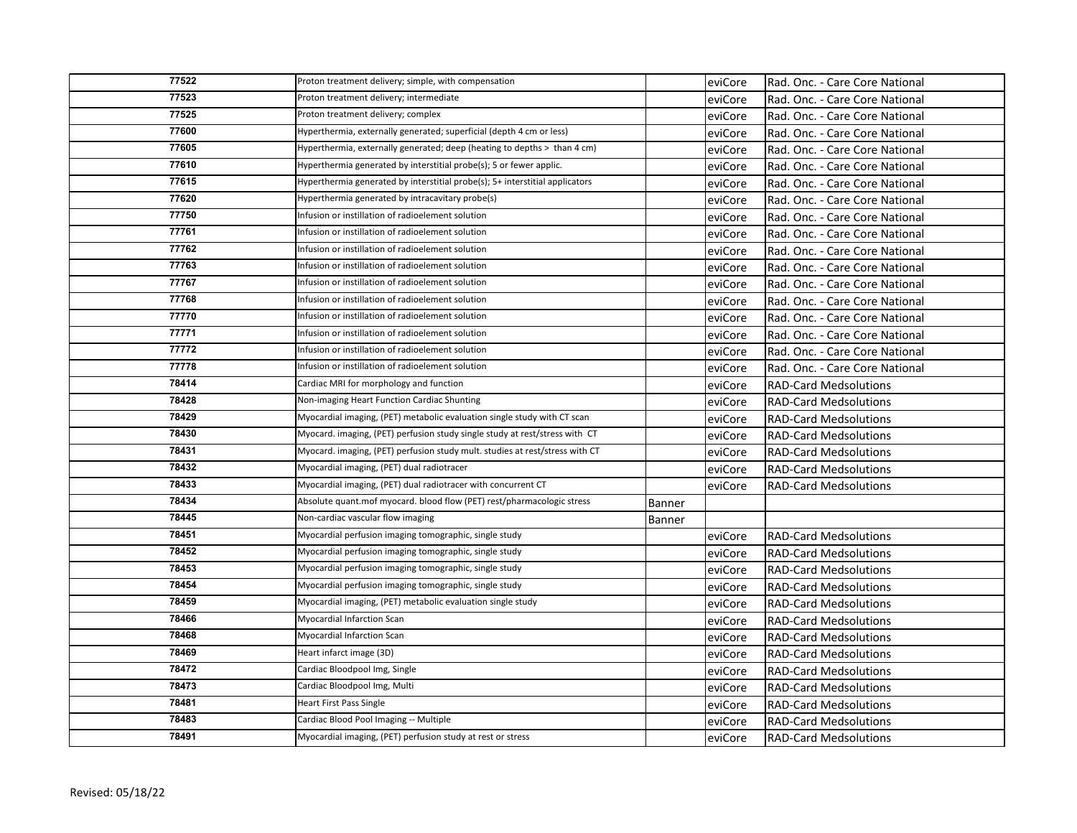| 77522 | Proton treatment delivery; simple, with compensation                         |        | eviCore | Rad. Onc. - Care Core National |
|-------|------------------------------------------------------------------------------|--------|---------|--------------------------------|
| 77523 | Proton treatment delivery; intermediate                                      |        | eviCore | Rad. Onc. - Care Core National |
| 77525 | Proton treatment delivery; complex                                           |        | eviCore | Rad. Onc. - Care Core National |
| 77600 | Hyperthermia, externally generated; superficial (depth 4 cm or less)         |        | eviCore | Rad. Onc. - Care Core National |
| 77605 | Hyperthermia, externally generated; deep (heating to depths > than 4 cm)     |        | eviCore | Rad. Onc. - Care Core National |
| 77610 | Hyperthermia generated by interstitial probe(s); 5 or fewer applic.          |        | eviCore | Rad. Onc. - Care Core National |
| 77615 | Hyperthermia generated by interstitial probe(s); 5+ interstitial applicators |        | eviCore | Rad. Onc. - Care Core National |
| 77620 | Hyperthermia generated by intracavitary probe(s)                             |        | eviCore | Rad. Onc. - Care Core National |
| 77750 | Infusion or instillation of radioelement solution                            |        | eviCore | Rad. Onc. - Care Core National |
| 77761 | Infusion or instillation of radioelement solution                            |        | eviCore | Rad. Onc. - Care Core National |
| 77762 | Infusion or instillation of radioelement solution                            |        | eviCore | Rad. Onc. - Care Core National |
| 77763 | Infusion or instillation of radioelement solution                            |        | eviCore | Rad. Onc. - Care Core National |
| 77767 | Infusion or instillation of radioelement solution                            |        | eviCore | Rad. Onc. - Care Core National |
| 77768 | Infusion or instillation of radioelement solution                            |        | eviCore | Rad. Onc. - Care Core National |
| 77770 | Infusion or instillation of radioelement solution                            |        | eviCore | Rad. Onc. - Care Core National |
| 77771 | Infusion or instillation of radioelement solution                            |        | eviCore | Rad. Onc. - Care Core National |
| 77772 | Infusion or instillation of radioelement solution                            |        | eviCore | Rad. Onc. - Care Core National |
| 77778 | Infusion or instillation of radioelement solution                            |        | eviCore | Rad. Onc. - Care Core National |
| 78414 | Cardiac MRI for morphology and function                                      |        | eviCore | <b>RAD-Card Medsolutions</b>   |
| 78428 | Non-imaging Heart Function Cardiac Shunting                                  |        | eviCore | <b>RAD-Card Medsolutions</b>   |
| 78429 | Myocardial imaging, (PET) metabolic evaluation single study with CT scan     |        | eviCore | <b>RAD-Card Medsolutions</b>   |
| 78430 | Myocard. imaging, (PET) perfusion study single study at rest/stress with CT  |        | eviCore | <b>RAD-Card Medsolutions</b>   |
| 78431 | Myocard. imaging, (PET) perfusion study mult. studies at rest/stress with CT |        | eviCore | <b>RAD-Card Medsolutions</b>   |
| 78432 | Myocardial imaging, (PET) dual radiotracer                                   |        | eviCore | <b>RAD-Card Medsolutions</b>   |
| 78433 | Myocardial imaging, (PET) dual radiotracer with concurrent CT                |        | eviCore | <b>RAD-Card Medsolutions</b>   |
| 78434 | Absolute quant.mof myocard. blood flow (PET) rest/pharmacologic stress       | Banner |         |                                |
| 78445 | Non-cardiac vascular flow imaging                                            | Banner |         |                                |
| 78451 | Myocardial perfusion imaging tomographic, single study                       |        | eviCore | <b>RAD-Card Medsolutions</b>   |
| 78452 | Myocardial perfusion imaging tomographic, single study                       |        | eviCore | <b>RAD-Card Medsolutions</b>   |
| 78453 | Myocardial perfusion imaging tomographic, single study                       |        | eviCore | <b>RAD-Card Medsolutions</b>   |
| 78454 | Myocardial perfusion imaging tomographic, single study                       |        | eviCore | <b>RAD-Card Medsolutions</b>   |
| 78459 | Myocardial imaging, (PET) metabolic evaluation single study                  |        | eviCore | <b>RAD-Card Medsolutions</b>   |
| 78466 | Myocardial Infarction Scan                                                   |        | eviCore | <b>RAD-Card Medsolutions</b>   |
| 78468 | Myocardial Infarction Scan                                                   |        | eviCore | <b>RAD-Card Medsolutions</b>   |
| 78469 | Heart infarct image (3D)                                                     |        | eviCore | <b>RAD-Card Medsolutions</b>   |
| 78472 | Cardiac Bloodpool Img, Single                                                |        | eviCore | <b>RAD-Card Medsolutions</b>   |
| 78473 | Cardiac Bloodpool Img, Multi                                                 |        | eviCore | <b>RAD-Card Medsolutions</b>   |
| 78481 | <b>Heart First Pass Single</b>                                               |        | eviCore | <b>RAD-Card Medsolutions</b>   |
| 78483 | Cardiac Blood Pool Imaging -- Multiple                                       |        | eviCore | <b>RAD-Card Medsolutions</b>   |
| 78491 | Myocardial imaging, (PET) perfusion study at rest or stress                  |        | eviCore | <b>RAD-Card Medsolutions</b>   |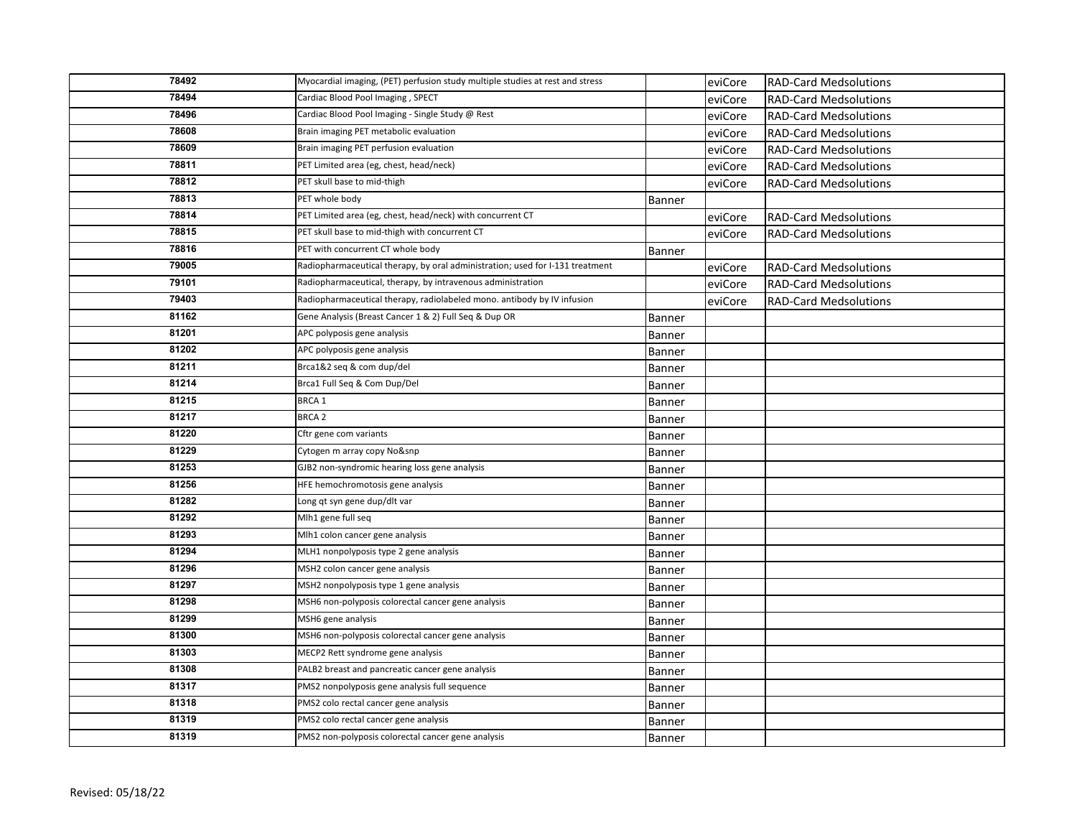| 78492 | Myocardial imaging, (PET) perfusion study multiple studies at rest and stress |               | eviCore | <b>RAD-Card Medsolutions</b> |
|-------|-------------------------------------------------------------------------------|---------------|---------|------------------------------|
| 78494 | Cardiac Blood Pool Imaging, SPECT                                             |               | eviCore | <b>RAD-Card Medsolutions</b> |
| 78496 | Cardiac Blood Pool Imaging - Single Study @ Rest                              |               | eviCore | <b>RAD-Card Medsolutions</b> |
| 78608 | Brain imaging PET metabolic evaluation                                        |               | eviCore | <b>RAD-Card Medsolutions</b> |
| 78609 | Brain imaging PET perfusion evaluation                                        |               | eviCore | <b>RAD-Card Medsolutions</b> |
| 78811 | PET Limited area (eg, chest, head/neck)                                       |               | eviCore | <b>RAD-Card Medsolutions</b> |
| 78812 | PET skull base to mid-thigh                                                   |               | eviCore | <b>RAD-Card Medsolutions</b> |
| 78813 | PET whole body                                                                | Banner        |         |                              |
| 78814 | PET Limited area (eg, chest, head/neck) with concurrent CT                    |               | eviCore | <b>RAD-Card Medsolutions</b> |
| 78815 | PET skull base to mid-thigh with concurrent CT                                |               | eviCore | <b>RAD-Card Medsolutions</b> |
| 78816 | PET with concurrent CT whole body                                             | Banner        |         |                              |
| 79005 | Radiopharmaceutical therapy, by oral administration; used for I-131 treatment |               | eviCore | <b>RAD-Card Medsolutions</b> |
| 79101 | Radiopharmaceutical, therapy, by intravenous administration                   |               | eviCore | <b>RAD-Card Medsolutions</b> |
| 79403 | Radiopharmaceutical therapy, radiolabeled mono. antibody by IV infusion       |               | eviCore | <b>RAD-Card Medsolutions</b> |
| 81162 | Gene Analysis (Breast Cancer 1 & 2) Full Seq & Dup OR                         | Banner        |         |                              |
| 81201 | APC polyposis gene analysis                                                   | <b>Banner</b> |         |                              |
| 81202 | APC polyposis gene analysis                                                   | Banner        |         |                              |
| 81211 | Brca1&2 seq & com dup/del                                                     | Banner        |         |                              |
| 81214 | Brca1 Full Seq & Com Dup/Del                                                  | Banner        |         |                              |
| 81215 | BRCA 1                                                                        | Banner        |         |                              |
|       |                                                                               |               |         |                              |
| 81217 | <b>BRCA 2</b>                                                                 | Banner        |         |                              |
| 81220 | Cftr gene com variants                                                        | <b>Banner</b> |         |                              |
| 81229 | Cytogen m array copy No&snp                                                   | <b>Banner</b> |         |                              |
| 81253 | GJB2 non-syndromic hearing loss gene analysis                                 | Banner        |         |                              |
| 81256 | HFE hemochromotosis gene analysis                                             | Banner        |         |                              |
| 81282 | Long qt syn gene dup/dlt var                                                  | Banner        |         |                              |
| 81292 | Mlh1 gene full seq                                                            | Banner        |         |                              |
| 81293 | Mlh1 colon cancer gene analysis                                               | Banner        |         |                              |
| 81294 | MLH1 nonpolyposis type 2 gene analysis                                        | Banner        |         |                              |
| 81296 | MSH2 colon cancer gene analysis                                               | Banner        |         |                              |
| 81297 | MSH2 nonpolyposis type 1 gene analysis                                        | Banner        |         |                              |
| 81298 | MSH6 non-polyposis colorectal cancer gene analysis                            | Banner        |         |                              |
| 81299 | MSH6 gene analysis                                                            | Banner        |         |                              |
| 81300 | MSH6 non-polyposis colorectal cancer gene analysis                            | Banner        |         |                              |
| 81303 | MECP2 Rett syndrome gene analysis                                             | Banner        |         |                              |
| 81308 | PALB2 breast and pancreatic cancer gene analysis                              | Banner        |         |                              |
| 81317 | PMS2 nonpolyposis gene analysis full sequence                                 | Banner        |         |                              |
| 81318 | PMS2 colo rectal cancer gene analysis                                         | Banner        |         |                              |
| 81319 | PMS2 colo rectal cancer gene analysis                                         | Banner        |         |                              |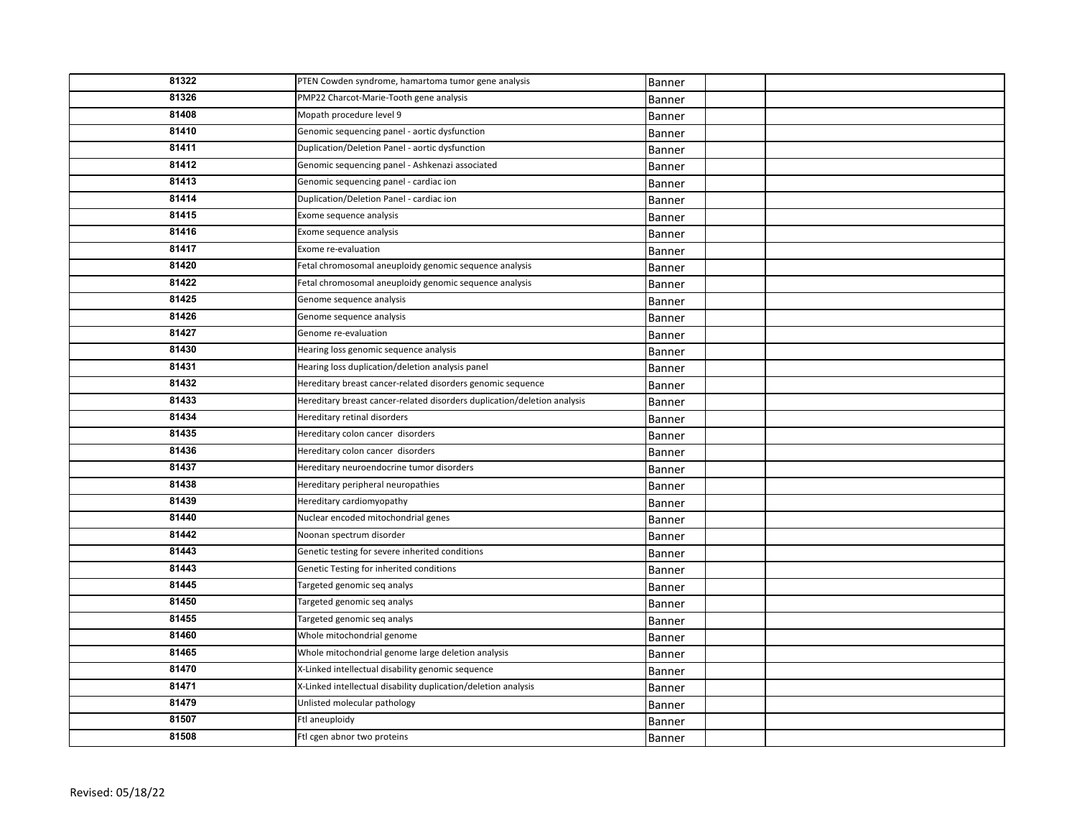| 81322 | PTEN Cowden syndrome, hamartoma tumor gene analysis                      | Banner        |  |
|-------|--------------------------------------------------------------------------|---------------|--|
| 81326 | PMP22 Charcot-Marie-Tooth gene analysis                                  | Banner        |  |
| 81408 | Mopath procedure level 9                                                 | Banner        |  |
| 81410 | Genomic sequencing panel - aortic dysfunction                            | Banner        |  |
| 81411 | Duplication/Deletion Panel - aortic dysfunction                          | Banner        |  |
| 81412 | Genomic sequencing panel - Ashkenazi associated                          | Banner        |  |
| 81413 | Genomic sequencing panel - cardiac ion                                   | Banner        |  |
| 81414 | Duplication/Deletion Panel - cardiac ion                                 | Banner        |  |
| 81415 | Exome sequence analysis                                                  | Banner        |  |
| 81416 | Exome sequence analysis                                                  | Banner        |  |
| 81417 | Exome re-evaluation                                                      | Banner        |  |
| 81420 | Fetal chromosomal aneuploidy genomic sequence analysis                   | Banner        |  |
| 81422 | Fetal chromosomal aneuploidy genomic sequence analysis                   | Banner        |  |
| 81425 | Genome sequence analysis                                                 | Banner        |  |
| 81426 | Genome sequence analysis                                                 | Banner        |  |
| 81427 | Genome re-evaluation                                                     | Banner        |  |
| 81430 | Hearing loss genomic sequence analysis                                   | Banner        |  |
| 81431 | Hearing loss duplication/deletion analysis panel                         | Banner        |  |
| 81432 | Hereditary breast cancer-related disorders genomic sequence              | Banner        |  |
| 81433 | Hereditary breast cancer-related disorders duplication/deletion analysis | Banner        |  |
| 81434 | Hereditary retinal disorders                                             | Banner        |  |
| 81435 | Hereditary colon cancer disorders                                        | Banner        |  |
| 81436 | Hereditary colon cancer disorders                                        | Banner        |  |
| 81437 | Hereditary neuroendocrine tumor disorders                                | <b>Banner</b> |  |
| 81438 | Hereditary peripheral neuropathies                                       | Banner        |  |
| 81439 | Hereditary cardiomyopathy                                                | Banner        |  |
| 81440 | Nuclear encoded mitochondrial genes                                      | Banner        |  |
| 81442 | Noonan spectrum disorder                                                 | Banner        |  |
| 81443 | Genetic testing for severe inherited conditions                          | Banner        |  |
| 81443 | Genetic Testing for inherited conditions                                 | Banner        |  |
| 81445 | Targeted genomic seq analys                                              | Banner        |  |
| 81450 | Targeted genomic seq analys                                              | Banner        |  |
| 81455 | Targeted genomic seq analys                                              | Banner        |  |
| 81460 | Whole mitochondrial genome                                               | Banner        |  |
| 81465 | Whole mitochondrial genome large deletion analysis                       | Banner        |  |
| 81470 | X-Linked intellectual disability genomic sequence                        | Banner        |  |
| 81471 | X-Linked intellectual disability duplication/deletion analysis           | Banner        |  |
| 81479 | Unlisted molecular pathology                                             | Banner        |  |
| 81507 | Ftl aneuploidy                                                           | Banner        |  |
| 81508 | Ftl cgen abnor two proteins                                              | Banner        |  |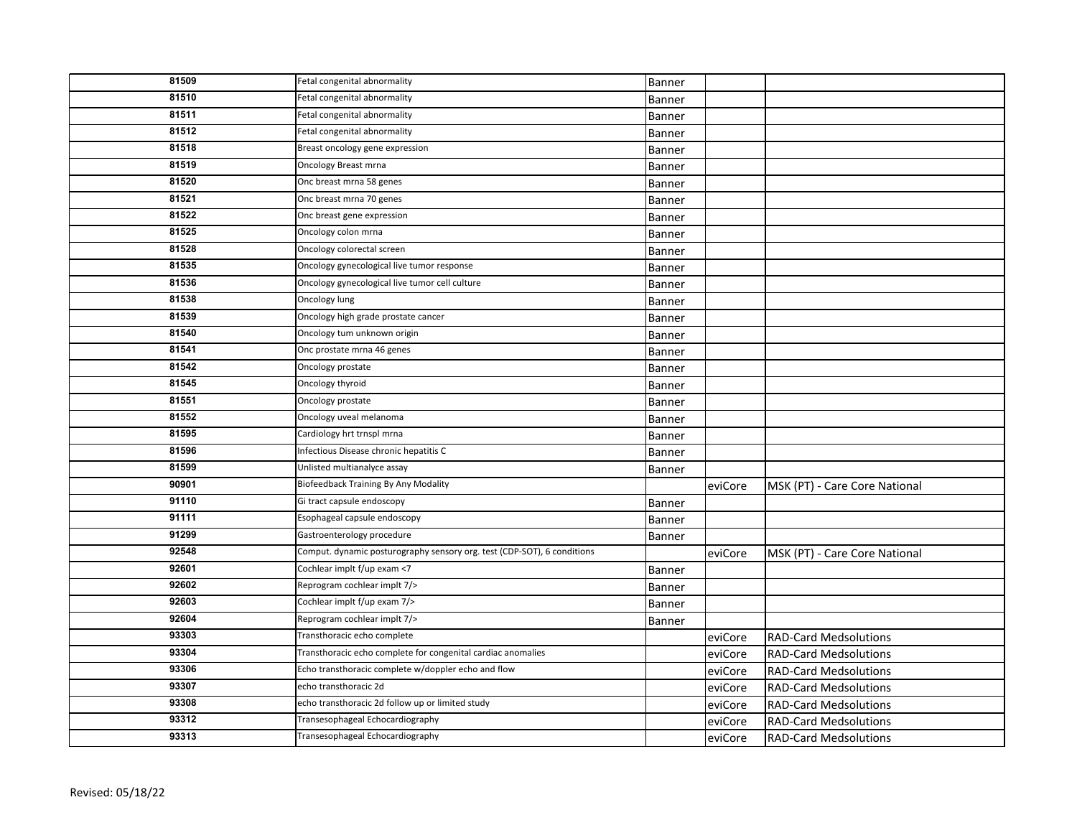| 81509 | Fetal congenital abnormality                                            | Banner        |         |                               |
|-------|-------------------------------------------------------------------------|---------------|---------|-------------------------------|
| 81510 | Fetal congenital abnormality                                            | Banner        |         |                               |
| 81511 | Fetal congenital abnormality                                            | Banner        |         |                               |
| 81512 | Fetal congenital abnormality                                            | Banner        |         |                               |
| 81518 | Breast oncology gene expression                                         | Banner        |         |                               |
| 81519 | <b>Oncology Breast mrna</b>                                             | Banner        |         |                               |
| 81520 | Onc breast mrna 58 genes                                                | Banner        |         |                               |
| 81521 | Onc breast mrna 70 genes                                                | Banner        |         |                               |
| 81522 | Onc breast gene expression                                              | Banner        |         |                               |
| 81525 | Oncology colon mrna                                                     | Banner        |         |                               |
| 81528 | Oncology colorectal screen                                              | Banner        |         |                               |
| 81535 | Oncology gynecological live tumor response                              | <b>Banner</b> |         |                               |
| 81536 | Oncology gynecological live tumor cell culture                          | Banner        |         |                               |
| 81538 | Oncology lung                                                           | Banner        |         |                               |
| 81539 | Oncology high grade prostate cancer                                     | Banner        |         |                               |
| 81540 | Oncology tum unknown origin                                             | Banner        |         |                               |
| 81541 | Onc prostate mrna 46 genes                                              | Banner        |         |                               |
| 81542 | Oncology prostate                                                       | Banner        |         |                               |
| 81545 | Oncology thyroid                                                        | Banner        |         |                               |
| 81551 | Oncology prostate                                                       | Banner        |         |                               |
| 81552 | Oncology uveal melanoma                                                 | Banner        |         |                               |
| 81595 | Cardiology hrt trnspl mrna                                              | Banner        |         |                               |
| 81596 | Infectious Disease chronic hepatitis C                                  | Banner        |         |                               |
| 81599 | Unlisted multianalyce assay                                             | Banner        |         |                               |
| 90901 | <b>Biofeedback Training By Any Modality</b>                             |               | eviCore | MSK (PT) - Care Core National |
| 91110 | Gi tract capsule endoscopy                                              | Banner        |         |                               |
| 91111 | Esophageal capsule endoscopy                                            | Banner        |         |                               |
| 91299 | Gastroenterology procedure                                              | Banner        |         |                               |
| 92548 | Comput. dynamic posturography sensory org. test (CDP-SOT), 6 conditions |               | eviCore | MSK (PT) - Care Core National |
| 92601 | Cochlear implt f/up exam <7                                             | Banner        |         |                               |
| 92602 | Reprogram cochlear implt 7/>                                            | Banner        |         |                               |
| 92603 | Cochlear implt f/up exam 7/>                                            | Banner        |         |                               |
| 92604 | Reprogram cochlear implt 7/>                                            | Banner        |         |                               |
| 93303 | Transthoracic echo complete                                             |               | eviCore | <b>RAD-Card Medsolutions</b>  |
| 93304 | Transthoracic echo complete for congenital cardiac anomalies            |               | eviCore | <b>RAD-Card Medsolutions</b>  |
| 93306 | Echo transthoracic complete w/doppler echo and flow                     |               | eviCore | <b>RAD-Card Medsolutions</b>  |
| 93307 | echo transthoracic 2d                                                   |               | eviCore | <b>RAD-Card Medsolutions</b>  |
| 93308 | echo transthoracic 2d follow up or limited study                        |               | eviCore | <b>RAD-Card Medsolutions</b>  |
| 93312 | Transesophageal Echocardiography                                        |               | eviCore | <b>RAD-Card Medsolutions</b>  |
| 93313 | Transesophageal Echocardiography                                        |               | eviCore | <b>RAD-Card Medsolutions</b>  |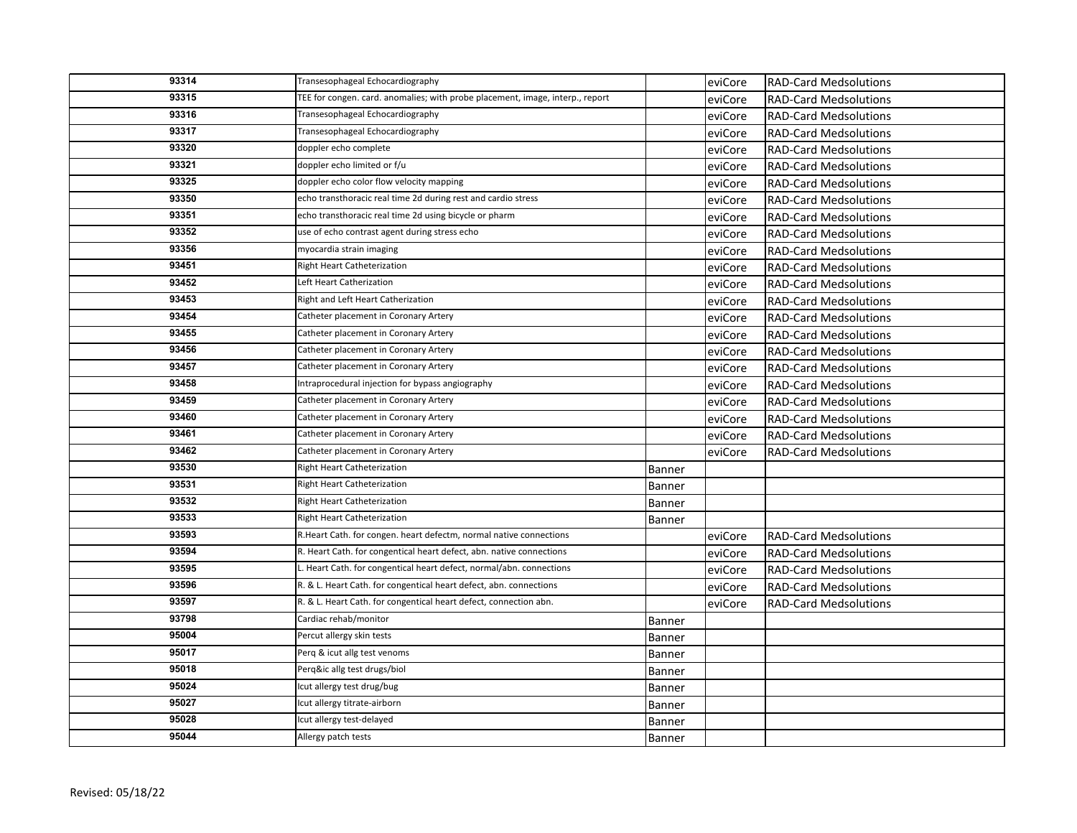| 93314 | Transesophageal Echocardiography                                              |               | eviCore | <b>RAD-Card Medsolutions</b> |
|-------|-------------------------------------------------------------------------------|---------------|---------|------------------------------|
| 93315 | TEE for congen. card. anomalies; with probe placement, image, interp., report |               | eviCore | <b>RAD-Card Medsolutions</b> |
| 93316 | Transesophageal Echocardiography                                              |               | eviCore | <b>RAD-Card Medsolutions</b> |
| 93317 | Transesophageal Echocardiography                                              |               | eviCore | <b>RAD-Card Medsolutions</b> |
| 93320 | doppler echo complete                                                         |               | eviCore | <b>RAD-Card Medsolutions</b> |
| 93321 | doppler echo limited or f/u                                                   |               | eviCore | <b>RAD-Card Medsolutions</b> |
| 93325 | doppler echo color flow velocity mapping                                      |               | eviCore | <b>RAD-Card Medsolutions</b> |
| 93350 | echo transthoracic real time 2d during rest and cardio stress                 |               | eviCore | <b>RAD-Card Medsolutions</b> |
| 93351 | echo transthoracic real time 2d using bicycle or pharm                        |               | eviCore | <b>RAD-Card Medsolutions</b> |
| 93352 | use of echo contrast agent during stress echo                                 |               | eviCore | <b>RAD-Card Medsolutions</b> |
| 93356 | myocardia strain imaging                                                      |               | eviCore | <b>RAD-Card Medsolutions</b> |
| 93451 | Right Heart Catheterization                                                   |               | eviCore | <b>RAD-Card Medsolutions</b> |
| 93452 | Left Heart Catherization                                                      |               | eviCore | <b>RAD-Card Medsolutions</b> |
| 93453 | Right and Left Heart Catherization                                            |               | eviCore | <b>RAD-Card Medsolutions</b> |
| 93454 | Catheter placement in Coronary Artery                                         |               | eviCore | <b>RAD-Card Medsolutions</b> |
| 93455 | Catheter placement in Coronary Artery                                         |               | eviCore | <b>RAD-Card Medsolutions</b> |
| 93456 | Catheter placement in Coronary Artery                                         |               | eviCore | <b>RAD-Card Medsolutions</b> |
| 93457 | Catheter placement in Coronary Artery                                         |               | eviCore | <b>RAD-Card Medsolutions</b> |
| 93458 | Intraprocedural injection for bypass angiography                              |               | eviCore | <b>RAD-Card Medsolutions</b> |
| 93459 | Catheter placement in Coronary Artery                                         |               | eviCore | <b>RAD-Card Medsolutions</b> |
| 93460 | Catheter placement in Coronary Artery                                         |               | eviCore | <b>RAD-Card Medsolutions</b> |
| 93461 | Catheter placement in Coronary Artery                                         |               | eviCore | <b>RAD-Card Medsolutions</b> |
| 93462 | Catheter placement in Coronary Artery                                         |               | eviCore | <b>RAD-Card Medsolutions</b> |
| 93530 | Right Heart Catheterization                                                   | Banner        |         |                              |
| 93531 | Right Heart Catheterization                                                   | <b>Banner</b> |         |                              |
| 93532 | Right Heart Catheterization                                                   | <b>Banner</b> |         |                              |
| 93533 | Right Heart Catheterization                                                   | Banner        |         |                              |
| 93593 | R.Heart Cath. for congen. heart defectm, normal native connections            |               | eviCore | <b>RAD-Card Medsolutions</b> |
| 93594 | R. Heart Cath. for congentical heart defect, abn. native connections          |               | eviCore | <b>RAD-Card Medsolutions</b> |
| 93595 | L. Heart Cath. for congentical heart defect, normal/abn. connections          |               | eviCore | <b>RAD-Card Medsolutions</b> |
| 93596 | R. & L. Heart Cath. for congentical heart defect, abn. connections            |               | eviCore | <b>RAD-Card Medsolutions</b> |
| 93597 | R. & L. Heart Cath. for congentical heart defect, connection abn.             |               | eviCore | <b>RAD-Card Medsolutions</b> |
| 93798 | Cardiac rehab/monitor                                                         | <b>Banner</b> |         |                              |
| 95004 | Percut allergy skin tests                                                     | Banner        |         |                              |
| 95017 | Perg & icut allg test venoms                                                  | <b>Banner</b> |         |                              |
| 95018 | Perq⁣ allg test drugs/biol                                                    | <b>Banner</b> |         |                              |
| 95024 | Icut allergy test drug/bug                                                    | <b>Banner</b> |         |                              |
| 95027 | Icut allergy titrate-airborn                                                  | Banner        |         |                              |
| 95028 | Icut allergy test-delayed                                                     | <b>Banner</b> |         |                              |
| 95044 | Allergy patch tests                                                           | Banner        |         |                              |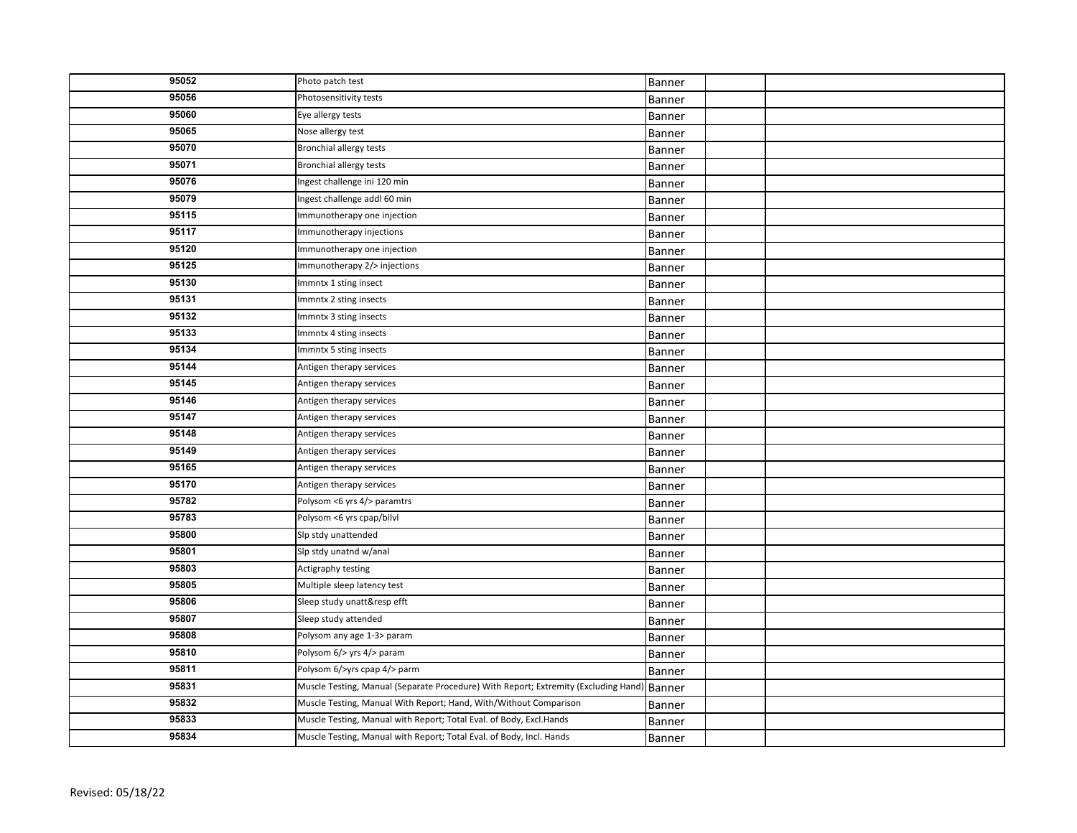| 95052 | Photo patch test                                                                    | Banner |  |
|-------|-------------------------------------------------------------------------------------|--------|--|
| 95056 | Photosensitivity tests                                                              | Banner |  |
| 95060 | Eye allergy tests                                                                   | Banner |  |
| 95065 | Nose allergy test                                                                   | Banner |  |
| 95070 | <b>Bronchial allergy tests</b>                                                      | Banner |  |
| 95071 | <b>Bronchial allergy tests</b>                                                      | Banner |  |
| 95076 | Ingest challenge ini 120 min                                                        | Banner |  |
| 95079 | ngest challenge addl 60 min                                                         | Banner |  |
| 95115 | Immunotherapy one injection                                                         | Banner |  |
| 95117 | Immunotherapy injections                                                            | Banner |  |
| 95120 | Immunotherapy one injection                                                         | Banner |  |
| 95125 | Immunotherapy 2/> injections                                                        | Banner |  |
| 95130 | Immntx 1 sting insect                                                               | Banner |  |
| 95131 | Immntx 2 sting insects                                                              | Banner |  |
| 95132 | Immntx 3 sting insects                                                              | Banner |  |
| 95133 | Immntx 4 sting insects                                                              | Banner |  |
| 95134 | Immntx 5 sting insects                                                              | Banner |  |
| 95144 | Antigen therapy services                                                            | Banner |  |
| 95145 | Antigen therapy services                                                            | Banner |  |
| 95146 | Antigen therapy services                                                            | Banner |  |
| 95147 | Antigen therapy services                                                            | Banner |  |
| 95148 | Antigen therapy services                                                            | Banner |  |
| 95149 | Antigen therapy services                                                            | Banner |  |
| 95165 | Antigen therapy services                                                            | Banner |  |
| 95170 | Antigen therapy services                                                            | Banner |  |
| 95782 | Polysom <6 yrs 4/> paramtrs                                                         | Banner |  |
| 95783 | Polysom <6 yrs cpap/bilvl                                                           | Banner |  |
| 95800 | Slp stdy unattended                                                                 | Banner |  |
| 95801 | Slp stdy unatnd w/anal                                                              | Banner |  |
| 95803 | Actigraphy testing                                                                  | Banner |  |
| 95805 | Multiple sleep latency test                                                         | Banner |  |
| 95806 | Sleep study unatt&resp efft                                                         | Banner |  |
| 95807 | Sleep study attended                                                                | Banner |  |
| 95808 | Polysom any age 1-3> param                                                          | Banner |  |
| 95810 | Polysom 6/> yrs 4/> param                                                           | Banner |  |
| 95811 | Polysom 6/>yrs cpap 4/> parm                                                        | Banner |  |
| 95831 | Muscle Testing, Manual (Separate Procedure) With Report; Extremity (Excluding Hand) | Banner |  |
| 95832 | Muscle Testing, Manual With Report; Hand, With/Without Comparison                   | Banner |  |
| 95833 | Muscle Testing, Manual with Report; Total Eval. of Body, Excl.Hands                 | Banner |  |
| 95834 | Muscle Testing, Manual with Report; Total Eval. of Body, Incl. Hands                | Banner |  |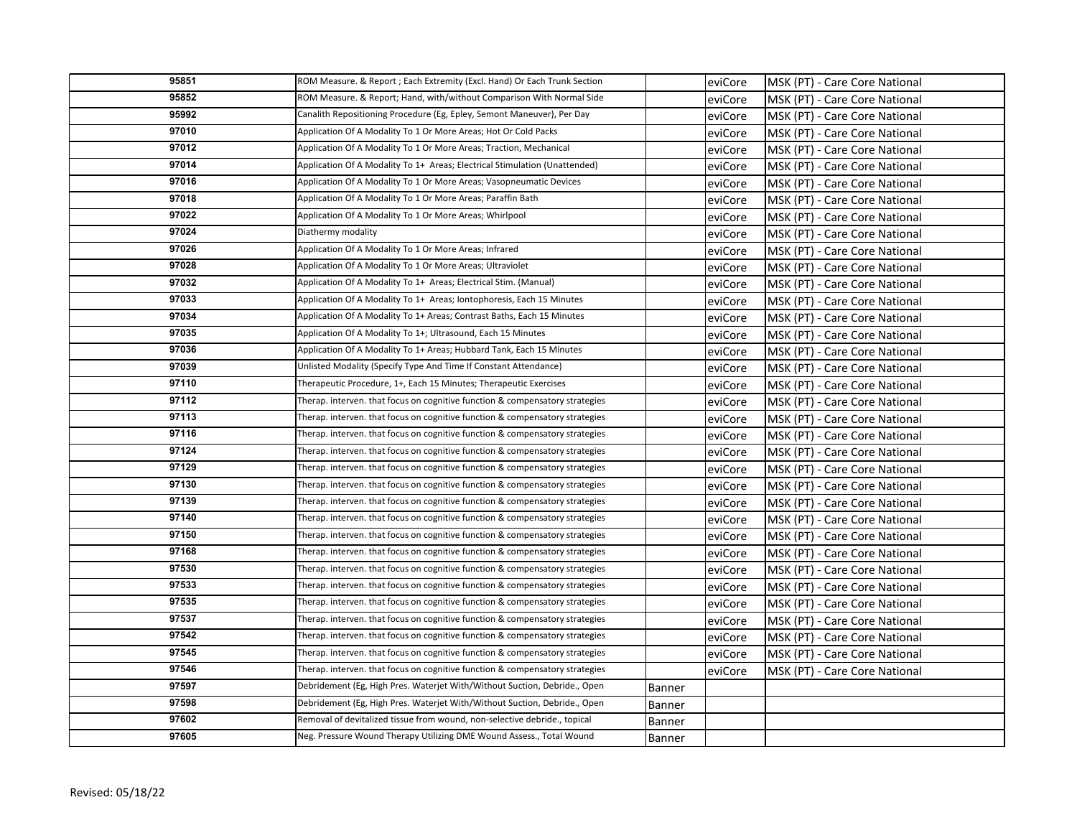| 95851 | ROM Measure. & Report ; Each Extremity (Excl. Hand) Or Each Trunk Section    |        | eviCore | MSK (PT) - Care Core National |
|-------|------------------------------------------------------------------------------|--------|---------|-------------------------------|
| 95852 | ROM Measure. & Report; Hand, with/without Comparison With Normal Side        |        | eviCore | MSK (PT) - Care Core National |
| 95992 | Canalith Repositioning Procedure (Eg, Epley, Semont Maneuver), Per Day       |        | eviCore | MSK (PT) - Care Core National |
| 97010 | Application Of A Modality To 1 Or More Areas; Hot Or Cold Packs              |        | eviCore | MSK (PT) - Care Core National |
| 97012 | Application Of A Modality To 1 Or More Areas; Traction, Mechanical           |        | eviCore | MSK (PT) - Care Core National |
| 97014 | Application Of A Modality To 1+ Areas; Electrical Stimulation (Unattended)   |        | eviCore | MSK (PT) - Care Core National |
| 97016 | Application Of A Modality To 1 Or More Areas; Vasopneumatic Devices          |        | eviCore | MSK (PT) - Care Core National |
| 97018 | Application Of A Modality To 1 Or More Areas; Paraffin Bath                  |        | eviCore | MSK (PT) - Care Core National |
| 97022 | Application Of A Modality To 1 Or More Areas; Whirlpool                      |        | eviCore | MSK (PT) - Care Core National |
| 97024 | Diathermy modality                                                           |        | eviCore | MSK (PT) - Care Core National |
| 97026 | Application Of A Modality To 1 Or More Areas; Infrared                       |        | eviCore | MSK (PT) - Care Core National |
| 97028 | Application Of A Modality To 1 Or More Areas; Ultraviolet                    |        | eviCore | MSK (PT) - Care Core National |
| 97032 | Application Of A Modality To 1+ Areas; Electrical Stim. (Manual)             |        | eviCore | MSK (PT) - Care Core National |
| 97033 | Application Of A Modality To 1+ Areas; Iontophoresis, Each 15 Minutes        |        | eviCore | MSK (PT) - Care Core National |
| 97034 | Application Of A Modality To 1+ Areas; Contrast Baths, Each 15 Minutes       |        | eviCore | MSK (PT) - Care Core National |
| 97035 | Application Of A Modality To 1+; Ultrasound, Each 15 Minutes                 |        | eviCore | MSK (PT) - Care Core National |
| 97036 | Application Of A Modality To 1+ Areas; Hubbard Tank, Each 15 Minutes         |        | eviCore | MSK (PT) - Care Core National |
| 97039 | Unlisted Modality (Specify Type And Time If Constant Attendance)             |        | eviCore | MSK (PT) - Care Core National |
| 97110 | Therapeutic Procedure, 1+, Each 15 Minutes; Therapeutic Exercises            |        | eviCore | MSK (PT) - Care Core National |
| 97112 | Therap. interven. that focus on cognitive function & compensatory strategies |        | eviCore | MSK (PT) - Care Core National |
| 97113 | Therap. interven. that focus on cognitive function & compensatory strategies |        | eviCore | MSK (PT) - Care Core National |
| 97116 | Therap. interven. that focus on cognitive function & compensatory strategies |        | eviCore | MSK (PT) - Care Core National |
| 97124 | Therap. interven. that focus on cognitive function & compensatory strategies |        | eviCore | MSK (PT) - Care Core National |
| 97129 | Therap. interven. that focus on cognitive function & compensatory strategies |        | eviCore | MSK (PT) - Care Core National |
| 97130 | Therap. interven. that focus on cognitive function & compensatory strategies |        | eviCore | MSK (PT) - Care Core National |
| 97139 | Therap. interven. that focus on cognitive function & compensatory strategies |        | eviCore | MSK (PT) - Care Core National |
| 97140 | Therap. interven. that focus on cognitive function & compensatory strategies |        | eviCore | MSK (PT) - Care Core National |
| 97150 | Therap. interven. that focus on cognitive function & compensatory strategies |        | eviCore | MSK (PT) - Care Core National |
| 97168 | Therap. interven. that focus on cognitive function & compensatory strategies |        | eviCore | MSK (PT) - Care Core National |
| 97530 | Therap. interven. that focus on cognitive function & compensatory strategies |        | eviCore | MSK (PT) - Care Core National |
| 97533 | Therap. interven. that focus on cognitive function & compensatory strategies |        | eviCore | MSK (PT) - Care Core National |
| 97535 | Therap. interven. that focus on cognitive function & compensatory strategies |        | eviCore | MSK (PT) - Care Core National |
| 97537 | Therap. interven. that focus on cognitive function & compensatory strategies |        | eviCore | MSK (PT) - Care Core National |
| 97542 | Therap. interven. that focus on cognitive function & compensatory strategies |        | eviCore | MSK (PT) - Care Core National |
| 97545 | Therap. interven. that focus on cognitive function & compensatory strategies |        | eviCore | MSK (PT) - Care Core National |
| 97546 | Therap. interven. that focus on cognitive function & compensatory strategies |        | eviCore | MSK (PT) - Care Core National |
| 97597 | Debridement (Eg, High Pres. Waterjet With/Without Suction, Debride., Open    | Banner |         |                               |
| 97598 | Debridement (Eg, High Pres. Waterjet With/Without Suction, Debride., Open    | Banner |         |                               |
| 97602 | Removal of devitalized tissue from wound, non-selective debride., topical    | Banner |         |                               |
| 97605 | Neg. Pressure Wound Therapy Utilizing DME Wound Assess., Total Wound         | Banner |         |                               |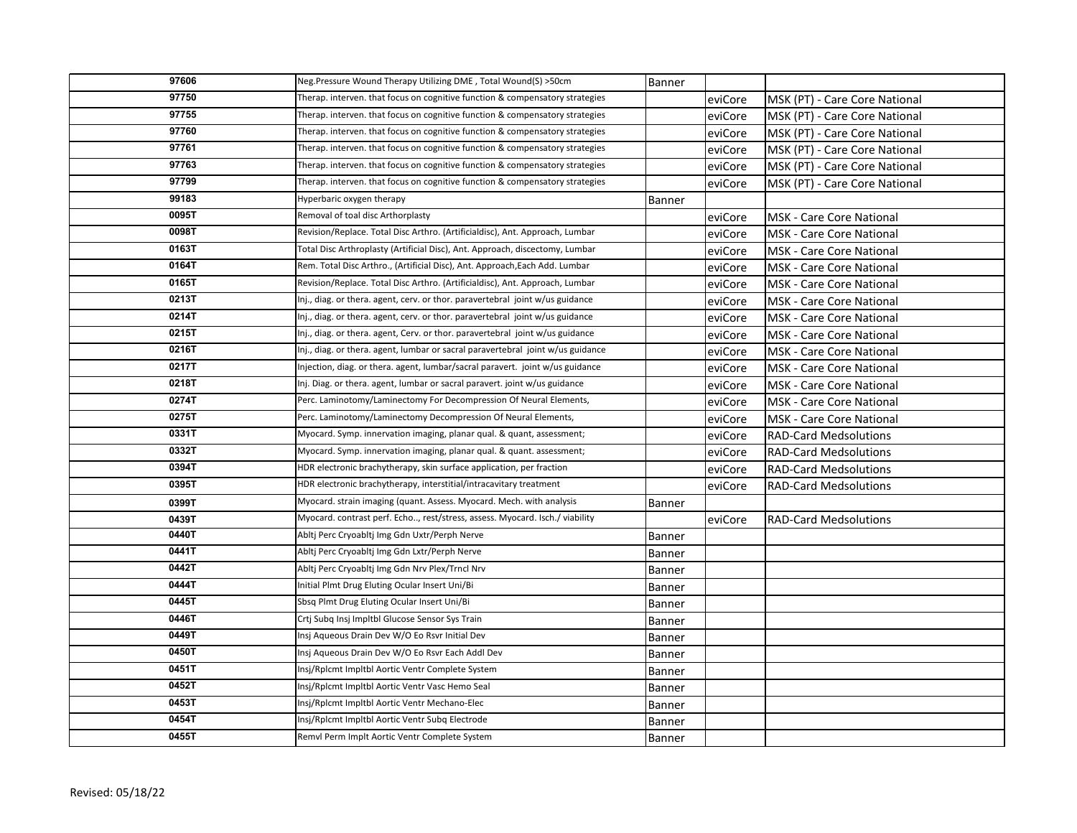| 97606 | Neg.Pressure Wound Therapy Utilizing DME, Total Wound(S) >50cm                  | Banner        |         |                                 |
|-------|---------------------------------------------------------------------------------|---------------|---------|---------------------------------|
| 97750 | Therap. interven. that focus on cognitive function & compensatory strategies    |               | eviCore | MSK (PT) - Care Core National   |
| 97755 | Therap. interven. that focus on cognitive function & compensatory strategies    |               | eviCore | MSK (PT) - Care Core National   |
| 97760 | Therap. interven. that focus on cognitive function & compensatory strategies    |               | eviCore | MSK (PT) - Care Core National   |
| 97761 | Therap. interven. that focus on cognitive function & compensatory strategies    |               | eviCore | MSK (PT) - Care Core National   |
| 97763 | Therap. interven. that focus on cognitive function & compensatory strategies    |               | eviCore | MSK (PT) - Care Core National   |
| 97799 | Therap. interven. that focus on cognitive function & compensatory strategies    |               | eviCore | MSK (PT) - Care Core National   |
| 99183 | Hyperbaric oxygen therapy                                                       | <b>Banner</b> |         |                                 |
| 0095T | Removal of toal disc Arthorplasty                                               |               | eviCore | <b>MSK - Care Core National</b> |
| 0098T | Revision/Replace. Total Disc Arthro. (Artificialdisc), Ant. Approach, Lumbar    |               | eviCore | <b>MSK</b> - Care Core National |
| 0163T | Total Disc Arthroplasty (Artificial Disc), Ant. Approach, discectomy, Lumbar    |               | eviCore | MSK - Care Core National        |
| 0164T | Rem. Total Disc Arthro., (Artificial Disc), Ant. Approach, Each Add. Lumbar     |               | eviCore | MSK - Care Core National        |
| 0165T | Revision/Replace. Total Disc Arthro. (Artificialdisc), Ant. Approach, Lumbar    |               | eviCore | <b>MSK</b> - Care Core National |
| 0213T | Inj., diag. or thera. agent, cerv. or thor. paravertebral joint w/us guidance   |               | eviCore | <b>MSK - Care Core National</b> |
| 0214T | Inj., diag. or thera. agent, cerv. or thor. paravertebral joint w/us guidance   |               | eviCore | <b>MSK - Care Core National</b> |
| 0215T | Inj., diag. or thera. agent, Cerv. or thor. paravertebral joint w/us guidance   |               | eviCore | MSK - Care Core National        |
| 0216T | Inj., diag. or thera. agent, lumbar or sacral paravertebral joint w/us guidance |               | eviCore | <b>MSK - Care Core National</b> |
| 0217T | Injection, diag. or thera. agent, lumbar/sacral paravert. joint w/us guidance   |               | eviCore | <b>MSK - Care Core National</b> |
| 0218T | Inj. Diag. or thera. agent, lumbar or sacral paravert. joint w/us guidance      |               | eviCore | <b>MSK - Care Core National</b> |
| 0274T | Perc. Laminotomy/Laminectomy For Decompression Of Neural Elements,              |               | eviCore | <b>MSK - Care Core National</b> |
| 0275T | Perc. Laminotomy/Laminectomy Decompression Of Neural Elements,                  |               | eviCore | <b>MSK - Care Core National</b> |
| 0331T | Myocard. Symp. innervation imaging, planar qual. & quant, assessment;           |               | eviCore | <b>RAD-Card Medsolutions</b>    |
| 0332T | Myocard. Symp. innervation imaging, planar qual. & quant. assessment;           |               | eviCore | <b>RAD-Card Medsolutions</b>    |
| 0394T | HDR electronic brachytherapy, skin surface application, per fraction            |               | eviCore | <b>RAD-Card Medsolutions</b>    |
| 0395T | HDR electronic brachytherapy, interstitial/intracavitary treatment              |               | eviCore | <b>RAD-Card Medsolutions</b>    |
| 0399T | Myocard. strain imaging (quant. Assess. Myocard. Mech. with analysis            | Banner        |         |                                 |
| 0439T | Myocard. contrast perf. Echo, rest/stress, assess. Myocard. Isch./ viability    |               | eviCore | <b>RAD-Card Medsolutions</b>    |
| 0440T | Abltj Perc Cryoabltj Img Gdn Uxtr/Perph Nerve                                   | Banner        |         |                                 |
| 0441T | Abltj Perc Cryoabltj Img Gdn Lxtr/Perph Nerve                                   | Banner        |         |                                 |
| 0442T | Abltj Perc Cryoabltj Img Gdn Nrv Plex/Trncl Nrv                                 | Banner        |         |                                 |
| 0444T | Initial Plmt Drug Eluting Ocular Insert Uni/Bi                                  | <b>Banner</b> |         |                                 |
| 0445T | Sbsq Plmt Drug Eluting Ocular Insert Uni/Bi                                     | Banner        |         |                                 |
| 0446T | Crtj Subq Insj Impltbl Glucose Sensor Sys Train                                 | Banner        |         |                                 |
| 0449T | Insj Aqueous Drain Dev W/O Eo Rsvr Initial Dev                                  | Banner        |         |                                 |
| 0450T | Insj Aqueous Drain Dev W/O Eo Rsvr Each Addl Dev                                | <b>Banner</b> |         |                                 |
| 0451T | Insj/Rplcmt Impltbl Aortic Ventr Complete System                                | Banner        |         |                                 |
| 0452T | Insj/Rplcmt Impltbl Aortic Ventr Vasc Hemo Seal                                 | <b>Banner</b> |         |                                 |
| 0453T | Insj/Rplcmt Impltbl Aortic Ventr Mechano-Elec                                   | Banner        |         |                                 |
| 0454T | Insj/Rplcmt Impltbl Aortic Ventr Subg Electrode                                 | Banner        |         |                                 |
| 0455T | Remvl Perm Implt Aortic Ventr Complete System                                   | Banner        |         |                                 |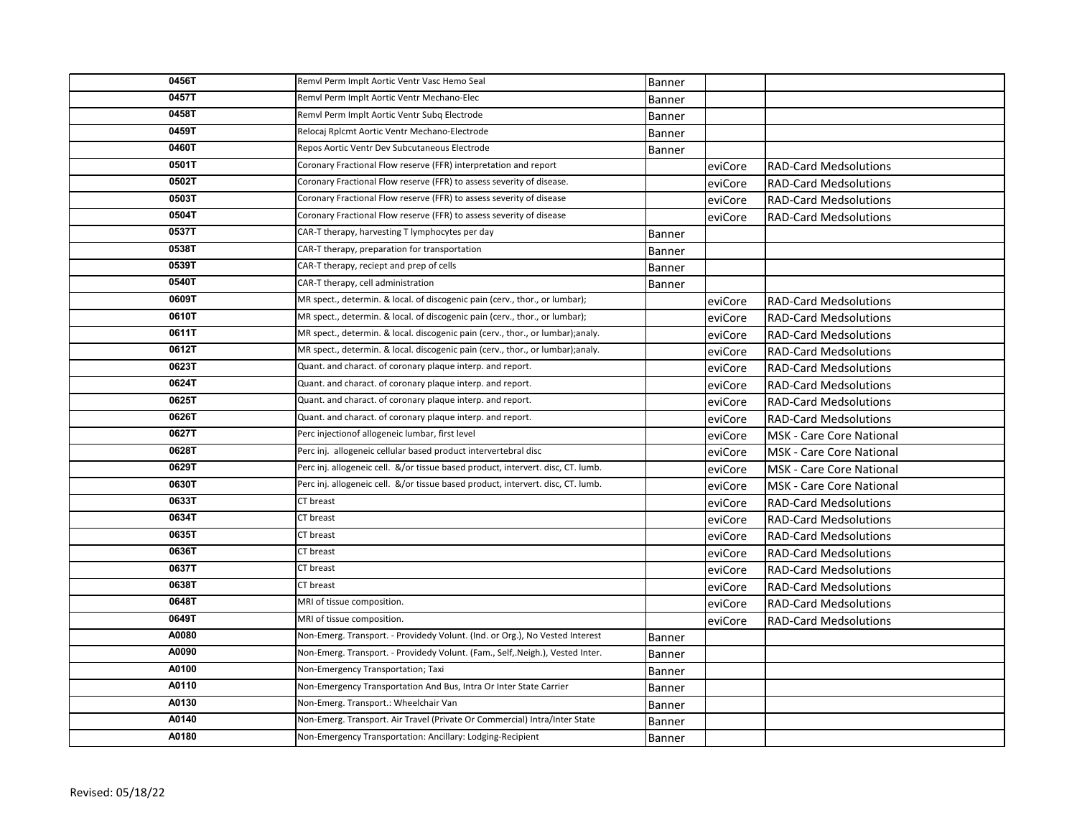| 0456T | Remvl Perm Implt Aortic Ventr Vasc Hemo Seal                                     | Banner        |         |                                 |
|-------|----------------------------------------------------------------------------------|---------------|---------|---------------------------------|
| 0457T | Remvl Perm Implt Aortic Ventr Mechano-Elec                                       | Banner        |         |                                 |
| 0458T | Remvl Perm Implt Aortic Ventr Subg Electrode                                     | <b>Banner</b> |         |                                 |
| 0459T | Relocaj Rplcmt Aortic Ventr Mechano-Electrode                                    | <b>Banner</b> |         |                                 |
| 0460T | Repos Aortic Ventr Dev Subcutaneous Electrode                                    | <b>Banner</b> |         |                                 |
| 0501T | Coronary Fractional Flow reserve (FFR) interpretation and report                 |               | eviCore | <b>RAD-Card Medsolutions</b>    |
| 0502T | Coronary Fractional Flow reserve (FFR) to assess severity of disease.            |               | eviCore | <b>RAD-Card Medsolutions</b>    |
| 0503T | Coronary Fractional Flow reserve (FFR) to assess severity of disease             |               | eviCore | <b>RAD-Card Medsolutions</b>    |
| 0504T | Coronary Fractional Flow reserve (FFR) to assess severity of disease             |               | eviCore | <b>RAD-Card Medsolutions</b>    |
| 0537T | CAR-T therapy, harvesting T lymphocytes per day                                  | Banner        |         |                                 |
| 0538T | CAR-T therapy, preparation for transportation                                    | <b>Banner</b> |         |                                 |
| 0539T | CAR-T therapy, reciept and prep of cells                                         | <b>Banner</b> |         |                                 |
| 0540T | CAR-T therapy, cell administration                                               | Banner        |         |                                 |
| 0609T | MR spect., determin. & local. of discogenic pain (cerv., thor., or lumbar);      |               | eviCore | <b>RAD-Card Medsolutions</b>    |
| 0610T | MR spect., determin. & local. of discogenic pain (cerv., thor., or lumbar);      |               | eviCore | <b>RAD-Card Medsolutions</b>    |
| 0611T | MR spect., determin. & local. discogenic pain (cerv., thor., or lumbar);analy.   |               | eviCore | <b>RAD-Card Medsolutions</b>    |
| 0612T | MR spect., determin. & local. discogenic pain (cerv., thor., or lumbar);analy.   |               | eviCore | <b>RAD-Card Medsolutions</b>    |
| 0623T | Quant. and charact. of coronary plaque interp. and report.                       |               | eviCore | <b>RAD-Card Medsolutions</b>    |
| 0624T | Quant. and charact. of coronary plaque interp. and report.                       |               | eviCore | <b>RAD-Card Medsolutions</b>    |
| 0625T | Quant. and charact. of coronary plaque interp. and report.                       |               | eviCore | <b>RAD-Card Medsolutions</b>    |
| 0626T | Quant. and charact. of coronary plaque interp. and report.                       |               | eviCore | <b>RAD-Card Medsolutions</b>    |
| 0627T | Perc injectionof allogeneic lumbar, first level                                  |               | eviCore | <b>MSK - Care Core National</b> |
| 0628T | Perc inj. allogeneic cellular based product intervertebral disc                  |               | eviCore | <b>MSK - Care Core National</b> |
| 0629T | Perc inj. allogeneic cell. &/or tissue based product, intervert. disc, CT. lumb. |               | eviCore | <b>MSK - Care Core National</b> |
| 0630T | Perc inj. allogeneic cell. &/or tissue based product, intervert. disc, CT. lumb. |               | eviCore | <b>MSK - Care Core National</b> |
| 0633T | CT breast                                                                        |               | eviCore | <b>RAD-Card Medsolutions</b>    |
| 0634T | CT breast                                                                        |               | eviCore | <b>RAD-Card Medsolutions</b>    |
| 0635T | CT breast                                                                        |               | eviCore | <b>RAD-Card Medsolutions</b>    |
| 0636T | CT breast                                                                        |               | eviCore | <b>RAD-Card Medsolutions</b>    |
| 0637T | CT breast                                                                        |               | eviCore | <b>RAD-Card Medsolutions</b>    |
| 0638T | CT breast                                                                        |               | eviCore | <b>RAD-Card Medsolutions</b>    |
| 0648T | MRI of tissue composition.                                                       |               | eviCore | <b>RAD-Card Medsolutions</b>    |
| 0649T | MRI of tissue composition.                                                       |               | eviCore | <b>RAD-Card Medsolutions</b>    |
| A0080 | Non-Emerg. Transport. - Providedy Volunt. (Ind. or Org.), No Vested Interest     | Banner        |         |                                 |
| A0090 | Non-Emerg. Transport. - Providedy Volunt. (Fam., Self,.Neigh.), Vested Inter.    | Banner        |         |                                 |
| A0100 | Non-Emergency Transportation; Taxi                                               | Banner        |         |                                 |
| A0110 | Non-Emergency Transportation And Bus, Intra Or Inter State Carrier               | <b>Banner</b> |         |                                 |
| A0130 | Non-Emerg. Transport.: Wheelchair Van                                            | Banner        |         |                                 |
| A0140 | Non-Emerg. Transport. Air Travel (Private Or Commercial) Intra/Inter State       | Banner        |         |                                 |
| A0180 | Non-Emergency Transportation: Ancillary: Lodging-Recipient                       | Banner        |         |                                 |
|       |                                                                                  |               |         |                                 |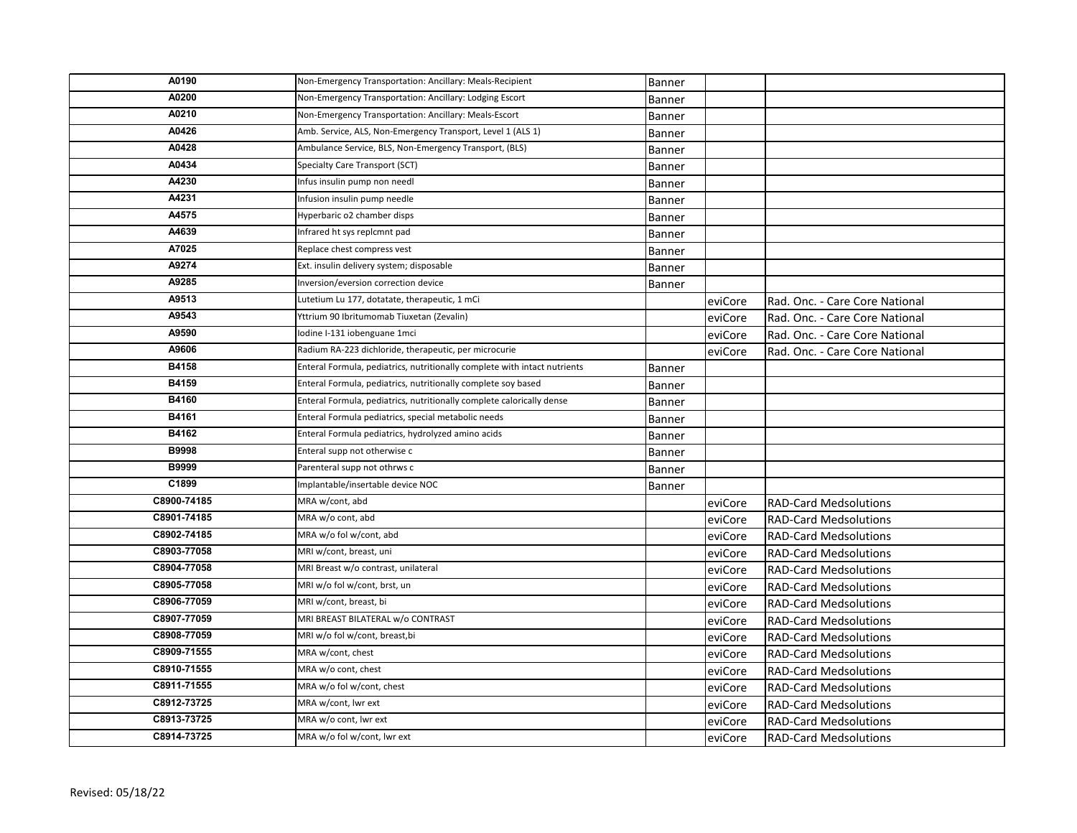| A0190       | Non-Emergency Transportation: Ancillary: Meals-Recipient                  | Banner        |         |                                |
|-------------|---------------------------------------------------------------------------|---------------|---------|--------------------------------|
| A0200       | Non-Emergency Transportation: Ancillary: Lodging Escort                   | <b>Banner</b> |         |                                |
| A0210       | Non-Emergency Transportation: Ancillary: Meals-Escort                     | Banner        |         |                                |
| A0426       | Amb. Service, ALS, Non-Emergency Transport, Level 1 (ALS 1)               | Banner        |         |                                |
| A0428       | Ambulance Service, BLS, Non-Emergency Transport, (BLS)                    | Banner        |         |                                |
| A0434       | Specialty Care Transport (SCT)                                            | Banner        |         |                                |
| A4230       | Infus insulin pump non needl                                              | Banner        |         |                                |
| A4231       | Infusion insulin pump needle                                              | Banner        |         |                                |
| A4575       | Hyperbaric o2 chamber disps                                               | <b>Banner</b> |         |                                |
| A4639       | Infrared ht sys replcmnt pad                                              | Banner        |         |                                |
| A7025       | Replace chest compress vest                                               | Banner        |         |                                |
| A9274       | Ext. insulin delivery system; disposable                                  | Banner        |         |                                |
| A9285       | Inversion/eversion correction device                                      | Banner        |         |                                |
| A9513       | Lutetium Lu 177, dotatate, therapeutic, 1 mCi                             |               | eviCore | Rad. Onc. - Care Core National |
| A9543       | Yttrium 90 Ibritumomab Tiuxetan (Zevalin)                                 |               | eviCore | Rad. Onc. - Care Core National |
| A9590       | Iodine I-131 iobenguane 1mci                                              |               | eviCore | Rad. Onc. - Care Core National |
| A9606       | Radium RA-223 dichloride, therapeutic, per microcurie                     |               | eviCore | Rad. Onc. - Care Core National |
| B4158       | Enteral Formula, pediatrics, nutritionally complete with intact nutrients | <b>Banner</b> |         |                                |
| B4159       | Enteral Formula, pediatrics, nutritionally complete soy based             | <b>Banner</b> |         |                                |
| B4160       | Enteral Formula, pediatrics, nutritionally complete calorically dense     | <b>Banner</b> |         |                                |
| B4161       | Enteral Formula pediatrics, special metabolic needs                       | Banner        |         |                                |
| B4162       | Enteral Formula pediatrics, hydrolyzed amino acids                        | Banner        |         |                                |
| B9998       | Enteral supp not otherwise c                                              | Banner        |         |                                |
| B9999       | Parenteral supp not othrws c                                              | Banner        |         |                                |
| C1899       | Implantable/insertable device NOC                                         | Banner        |         |                                |
| C8900-74185 | MRA w/cont, abd                                                           |               | eviCore | <b>RAD-Card Medsolutions</b>   |
| C8901-74185 | MRA w/o cont, abd                                                         |               | eviCore | <b>RAD-Card Medsolutions</b>   |
| C8902-74185 | MRA w/o fol w/cont, abd                                                   |               | eviCore | <b>RAD-Card Medsolutions</b>   |
| C8903-77058 | MRI w/cont, breast, uni                                                   |               | eviCore | <b>RAD-Card Medsolutions</b>   |
| C8904-77058 | MRI Breast w/o contrast, unilateral                                       |               | eviCore | <b>RAD-Card Medsolutions</b>   |
| C8905-77058 | MRI w/o fol w/cont, brst, un                                              |               | eviCore | <b>RAD-Card Medsolutions</b>   |
| C8906-77059 | MRI w/cont, breast, bi                                                    |               | eviCore | <b>RAD-Card Medsolutions</b>   |
| C8907-77059 | MRI BREAST BILATERAL w/o CONTRAST                                         |               | eviCore | <b>RAD-Card Medsolutions</b>   |
| C8908-77059 | MRI w/o fol w/cont, breast,bi                                             |               | eviCore | <b>RAD-Card Medsolutions</b>   |
| C8909-71555 | MRA w/cont, chest                                                         |               | eviCore | <b>RAD-Card Medsolutions</b>   |
| C8910-71555 | MRA w/o cont, chest                                                       |               | eviCore | <b>RAD-Card Medsolutions</b>   |
| C8911-71555 | MRA w/o fol w/cont, chest                                                 |               | eviCore | <b>RAD-Card Medsolutions</b>   |
| C8912-73725 | MRA w/cont, lwr ext                                                       |               | eviCore | <b>RAD-Card Medsolutions</b>   |
| C8913-73725 | MRA w/o cont, Iwr ext                                                     |               | eviCore | <b>RAD-Card Medsolutions</b>   |
| C8914-73725 | MRA w/o fol w/cont, lwr ext                                               |               | eviCore | <b>RAD-Card Medsolutions</b>   |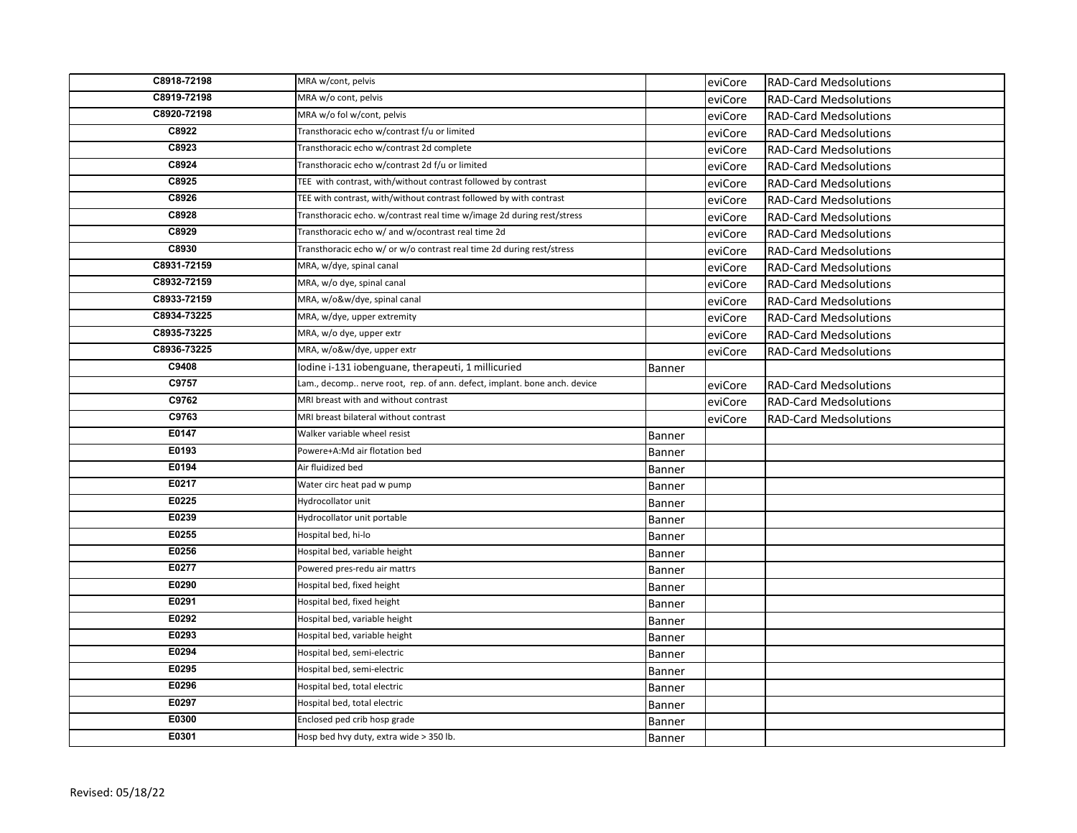| C8918-72198 | MRA w/cont, pelvis                                                       |               | eviCore | <b>RAD-Card Medsolutions</b> |
|-------------|--------------------------------------------------------------------------|---------------|---------|------------------------------|
| C8919-72198 | MRA w/o cont, pelvis                                                     |               | eviCore | <b>RAD-Card Medsolutions</b> |
| C8920-72198 | MRA w/o fol w/cont, pelvis                                               |               | eviCore | <b>RAD-Card Medsolutions</b> |
| C8922       | Transthoracic echo w/contrast f/u or limited                             |               | eviCore | <b>RAD-Card Medsolutions</b> |
| C8923       | Transthoracic echo w/contrast 2d complete                                |               | eviCore | <b>RAD-Card Medsolutions</b> |
| C8924       | Transthoracic echo w/contrast 2d f/u or limited                          |               | eviCore | <b>RAD-Card Medsolutions</b> |
| C8925       | TEE with contrast, with/without contrast followed by contrast            |               | eviCore | <b>RAD-Card Medsolutions</b> |
| C8926       | TEE with contrast, with/without contrast followed by with contrast       |               | eviCore | <b>RAD-Card Medsolutions</b> |
| C8928       | Transthoracic echo. w/contrast real time w/image 2d during rest/stress   |               | eviCore | <b>RAD-Card Medsolutions</b> |
| C8929       | Transthoracic echo w/ and w/ocontrast real time 2d                       |               | eviCore | <b>RAD-Card Medsolutions</b> |
| C8930       | Transthoracic echo w/ or w/o contrast real time 2d during rest/stress    |               | eviCore | <b>RAD-Card Medsolutions</b> |
| C8931-72159 | MRA, w/dye, spinal canal                                                 |               | eviCore | <b>RAD-Card Medsolutions</b> |
| C8932-72159 | MRA, w/o dye, spinal canal                                               |               | eviCore | <b>RAD-Card Medsolutions</b> |
| C8933-72159 | MRA, w/o&w/dye, spinal canal                                             |               | eviCore | <b>RAD-Card Medsolutions</b> |
| C8934-73225 | MRA, w/dye, upper extremity                                              |               | eviCore | <b>RAD-Card Medsolutions</b> |
| C8935-73225 | MRA, w/o dye, upper extr                                                 |               | eviCore | <b>RAD-Card Medsolutions</b> |
| C8936-73225 | MRA, w/o&w/dye, upper extr                                               |               | eviCore | <b>RAD-Card Medsolutions</b> |
| C9408       | Iodine i-131 iobenguane, therapeuti, 1 millicuried                       | Banner        |         |                              |
| C9757       | Lam., decomp nerve root, rep. of ann. defect, implant. bone anch. device |               | eviCore | <b>RAD-Card Medsolutions</b> |
| C9762       | MRI breast with and without contrast                                     |               | eviCore | <b>RAD-Card Medsolutions</b> |
| C9763       | MRI breast bilateral without contrast                                    |               | eviCore | <b>RAD-Card Medsolutions</b> |
| E0147       | Walker variable wheel resist                                             | Banner        |         |                              |
| E0193       | Powere+A:Md air flotation bed                                            | <b>Banner</b> |         |                              |
| E0194       | Air fluidized bed                                                        | Banner        |         |                              |
| E0217       | Water circ heat pad w pump                                               | Banner        |         |                              |
| E0225       | Hydrocollator unit                                                       | Banner        |         |                              |
| E0239       | Hydrocollator unit portable                                              | Banner        |         |                              |
| E0255       | Hospital bed, hi-lo                                                      | Banner        |         |                              |
| E0256       | Hospital bed, variable height                                            | Banner        |         |                              |
| E0277       | Powered pres-redu air mattrs                                             | Banner        |         |                              |
| E0290       | Hospital bed, fixed height                                               | Banner        |         |                              |
| E0291       | Hospital bed, fixed height                                               | Banner        |         |                              |
| E0292       | Hospital bed, variable height                                            | Banner        |         |                              |
| E0293       | Hospital bed, variable height                                            | Banner        |         |                              |
| E0294       | Hospital bed, semi-electric                                              | Banner        |         |                              |
| E0295       | Hospital bed, semi-electric                                              | Banner        |         |                              |
| E0296       | Hospital bed, total electric                                             | Banner        |         |                              |
| E0297       | Hospital bed, total electric                                             | Banner        |         |                              |
| E0300       | Enclosed ped crib hosp grade                                             | Banner        |         |                              |
| E0301       | Hosp bed hvy duty, extra wide > 350 lb.                                  | Banner        |         |                              |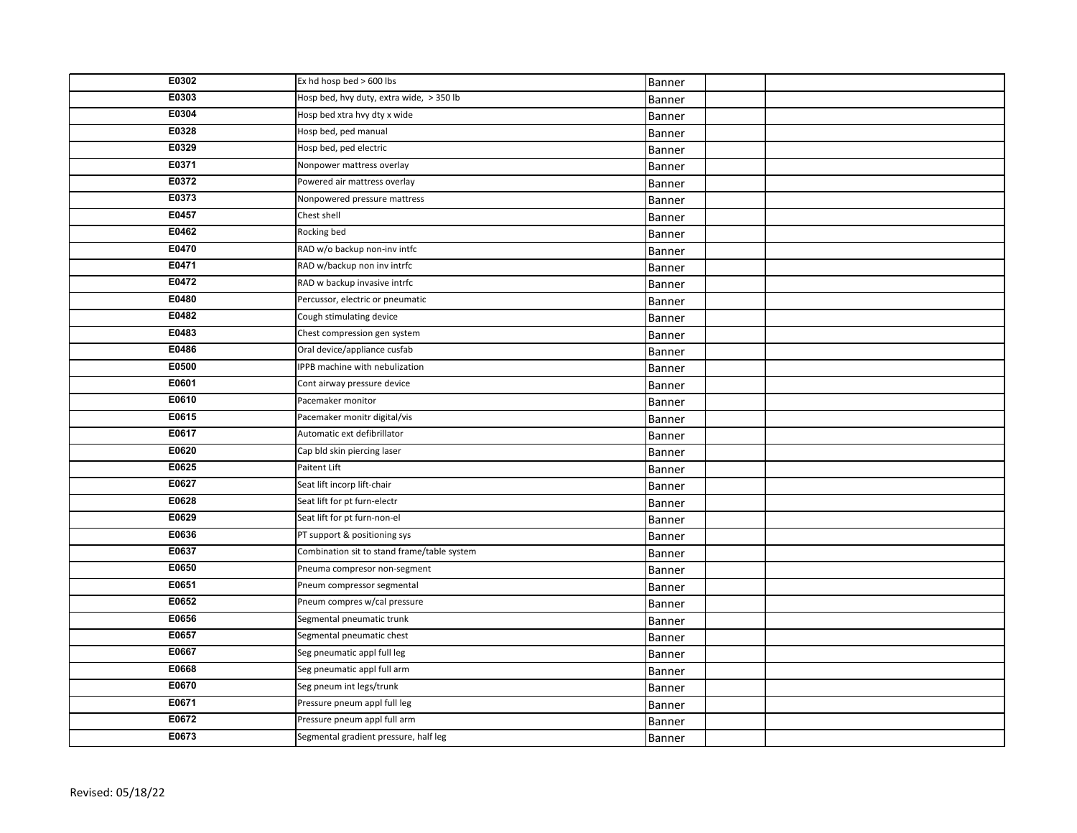| E0302 | Ex hd hosp bed > 600 lbs                    | Banner |  |
|-------|---------------------------------------------|--------|--|
| E0303 | Hosp bed, hvy duty, extra wide, > 350 lb    | Banner |  |
| E0304 | Hosp bed xtra hvy dty x wide                | Banner |  |
| E0328 | Hosp bed, ped manual                        | Banner |  |
| E0329 | Hosp bed, ped electric                      | Banner |  |
| E0371 | Nonpower mattress overlay                   | Banner |  |
| E0372 | Powered air mattress overlay                | Banner |  |
| E0373 | Nonpowered pressure mattress                | Banner |  |
| E0457 | Chest shell                                 | Banner |  |
| E0462 | Rocking bed                                 | Banner |  |
| E0470 | RAD w/o backup non-inv intfc                | Banner |  |
| E0471 | RAD w/backup non inv intrfc                 | Banner |  |
| E0472 | RAD w backup invasive intrfc                | Banner |  |
| E0480 | Percussor, electric or pneumatic            | Banner |  |
| E0482 | Cough stimulating device                    | Banner |  |
| E0483 | Chest compression gen system                | Banner |  |
| E0486 | Oral device/appliance cusfab                | Banner |  |
| E0500 | IPPB machine with nebulization              | Banner |  |
| E0601 | Cont airway pressure device                 | Banner |  |
| E0610 | Pacemaker monitor                           | Banner |  |
| E0615 | Pacemaker monitr digital/vis                | Banner |  |
| E0617 | Automatic ext defibrillator                 | Banner |  |
| E0620 | Cap bld skin piercing laser                 | Banner |  |
| E0625 | Paitent Lift                                | Banner |  |
| E0627 | Seat lift incorp lift-chair                 | Banner |  |
| E0628 | Seat lift for pt furn-electr                | Banner |  |
| E0629 | Seat lift for pt furn-non-el                | Banner |  |
| E0636 | PT support & positioning sys                | Banner |  |
| E0637 | Combination sit to stand frame/table system | Banner |  |
| E0650 | Pneuma compresor non-segment                | Banner |  |
| E0651 | Pneum compressor segmental                  | Banner |  |
| E0652 | Pneum compres w/cal pressure                | Banner |  |
| E0656 | Segmental pneumatic trunk                   | Banner |  |
| E0657 | Segmental pneumatic chest                   | Banner |  |
| E0667 | Seg pneumatic appl full leg                 | Banner |  |
| E0668 | Seg pneumatic appl full arm                 | Banner |  |
| E0670 | Seg pneum int legs/trunk                    | Banner |  |
| E0671 | Pressure pneum appl full leg                | Banner |  |
| E0672 | Pressure pneum appl full arm                | Banner |  |
| E0673 | Segmental gradient pressure, half leg       | Banner |  |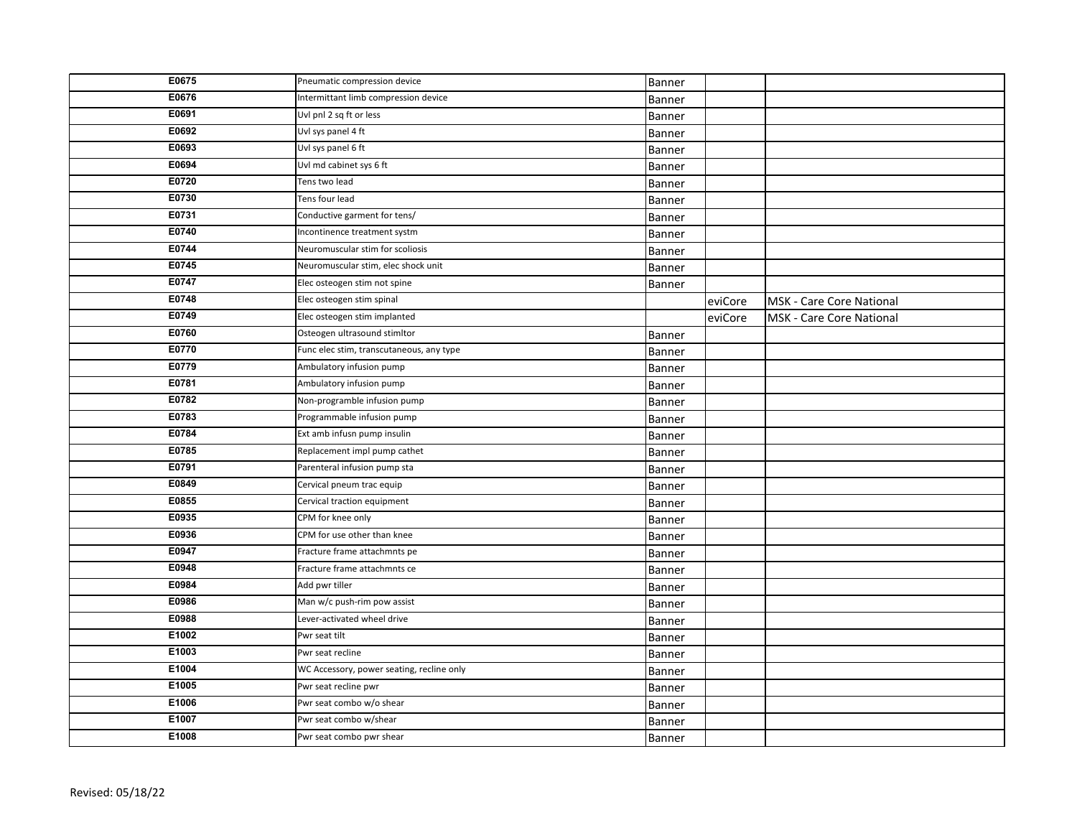| E0675 | Pneumatic compression device              | Banner        |         |                          |
|-------|-------------------------------------------|---------------|---------|--------------------------|
| E0676 | Intermittant limb compression device      | Banner        |         |                          |
| E0691 | Uvl pnl 2 sq ft or less                   | Banner        |         |                          |
| E0692 | Uvl sys panel 4 ft                        | Banner        |         |                          |
| E0693 | Uvl sys panel 6 ft                        | Banner        |         |                          |
| E0694 | Uvl md cabinet sys 6 ft                   | Banner        |         |                          |
| E0720 | Tens two lead                             | Banner        |         |                          |
| E0730 | Tens four lead                            | Banner        |         |                          |
| E0731 | Conductive garment for tens/              | Banner        |         |                          |
| E0740 | Incontinence treatment systm              | Banner        |         |                          |
| E0744 | Neuromuscular stim for scoliosis          | Banner        |         |                          |
| E0745 | Neuromuscular stim, elec shock unit       | Banner        |         |                          |
| E0747 | Elec osteogen stim not spine              | Banner        |         |                          |
| E0748 | Elec osteogen stim spinal                 |               | eviCore | MSK - Care Core National |
| E0749 | Elec osteogen stim implanted              |               | eviCore | MSK - Care Core National |
| E0760 | Osteogen ultrasound stimltor              | <b>Banner</b> |         |                          |
| E0770 | Func elec stim, transcutaneous, any type  | Banner        |         |                          |
| E0779 | Ambulatory infusion pump                  | Banner        |         |                          |
| E0781 | Ambulatory infusion pump                  | Banner        |         |                          |
| E0782 | Non-programble infusion pump              | Banner        |         |                          |
| E0783 | Programmable infusion pump                | Banner        |         |                          |
| E0784 | Ext amb infusn pump insulin               | Banner        |         |                          |
| E0785 | Replacement impl pump cathet              | Banner        |         |                          |
| E0791 | Parenteral infusion pump sta              | Banner        |         |                          |
| E0849 | Cervical pneum trac equip                 | Banner        |         |                          |
| E0855 | Cervical traction equipment               | Banner        |         |                          |
| E0935 | CPM for knee only                         | Banner        |         |                          |
| E0936 | CPM for use other than knee               | Banner        |         |                          |
| E0947 | Fracture frame attachmnts pe              | Banner        |         |                          |
| E0948 | Fracture frame attachmnts ce              | Banner        |         |                          |
| E0984 | Add pwr tiller                            | Banner        |         |                          |
| E0986 | Man w/c push-rim pow assist               | Banner        |         |                          |
| E0988 | Lever-activated wheel drive               | Banner        |         |                          |
| E1002 | Pwr seat tilt                             | Banner        |         |                          |
| E1003 | Pwr seat recline                          | Banner        |         |                          |
| E1004 | WC Accessory, power seating, recline only | Banner        |         |                          |
| E1005 | Pwr seat recline pwr                      | Banner        |         |                          |
| E1006 | Pwr seat combo w/o shear                  | Banner        |         |                          |
| E1007 | Pwr seat combo w/shear                    | Banner        |         |                          |
| E1008 | Pwr seat combo pwr shear                  | Banner        |         |                          |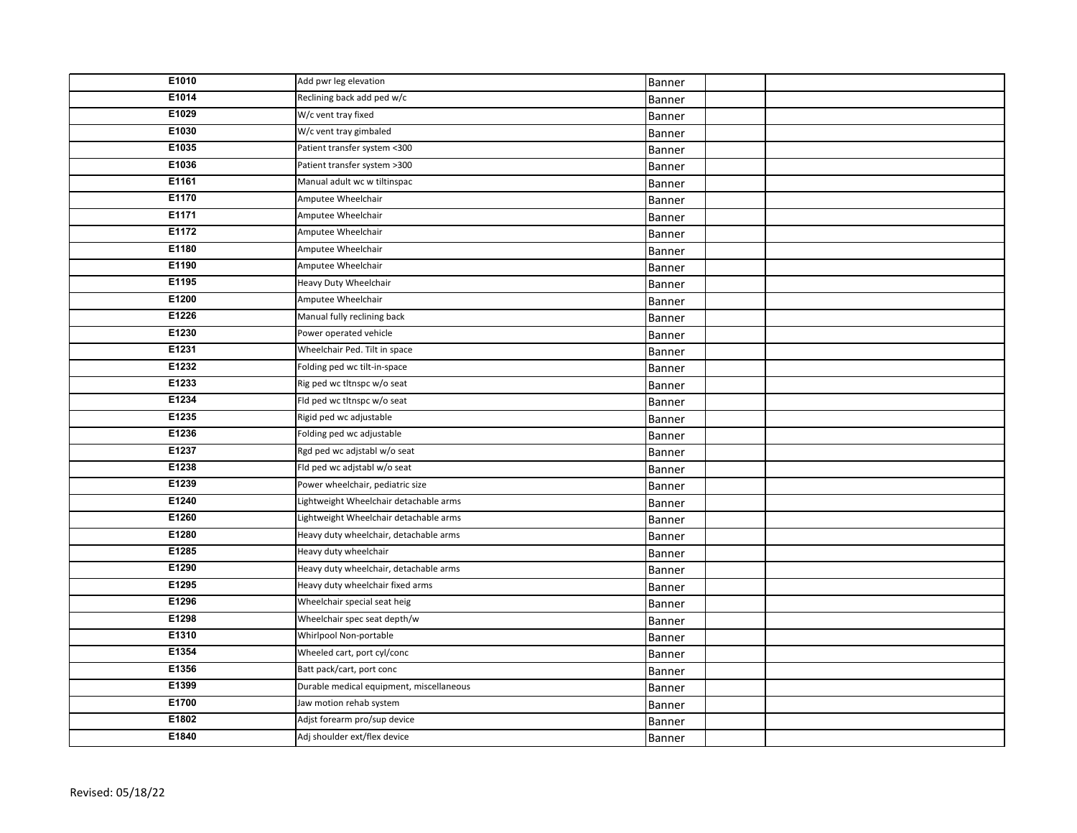| E1010 | Add pwr leg elevation                    | Banner        |  |
|-------|------------------------------------------|---------------|--|
| E1014 | Reclining back add ped w/c               | Banner        |  |
| E1029 | W/c vent tray fixed                      | Banner        |  |
| E1030 | W/c vent tray gimbaled                   | Banner        |  |
| E1035 | Patient transfer system <300             | Banner        |  |
| E1036 | Patient transfer system >300             | Banner        |  |
| E1161 | Manual adult wc w tiltinspac             | Banner        |  |
| E1170 | Amputee Wheelchair                       | Banner        |  |
| E1171 | Amputee Wheelchair                       | Banner        |  |
| E1172 | Amputee Wheelchair                       | Banner        |  |
| E1180 | Amputee Wheelchair                       | Banner        |  |
| E1190 | Amputee Wheelchair                       | Banner        |  |
| E1195 | Heavy Duty Wheelchair                    | Banner        |  |
| E1200 | Amputee Wheelchair                       | Banner        |  |
| E1226 | Manual fully reclining back              | Banner        |  |
| E1230 | Power operated vehicle                   | Banner        |  |
| E1231 | Wheelchair Ped. Tilt in space            | Banner        |  |
| E1232 | Folding ped wc tilt-in-space             | Banner        |  |
| E1233 | Rig ped wc tltnspc w/o seat              | Banner        |  |
| E1234 | Fld ped wc tltnspc w/o seat              | Banner        |  |
| E1235 | Rigid ped wc adjustable                  | Banner        |  |
| E1236 | Folding ped wc adjustable                | <b>Banner</b> |  |
| E1237 | Rgd ped wc adjstabl w/o seat             | Banner        |  |
| E1238 | Fld ped wc adjstabl w/o seat             | Banner        |  |
| E1239 | Power wheelchair, pediatric size         | Banner        |  |
| E1240 | Lightweight Wheelchair detachable arms   | Banner        |  |
| E1260 | Lightweight Wheelchair detachable arms   | Banner        |  |
| E1280 | Heavy duty wheelchair, detachable arms   | Banner        |  |
| E1285 | Heavy duty wheelchair                    | Banner        |  |
| E1290 | Heavy duty wheelchair, detachable arms   | <b>Banner</b> |  |
| E1295 | Heavy duty wheelchair fixed arms         | Banner        |  |
| E1296 | Wheelchair special seat heig             | Banner        |  |
| E1298 | Wheelchair spec seat depth/w             | Banner        |  |
| E1310 | Whirlpool Non-portable                   | Banner        |  |
| E1354 | Wheeled cart, port cyl/conc              | Banner        |  |
| E1356 | Batt pack/cart, port conc                | Banner        |  |
| E1399 | Durable medical equipment, miscellaneous | <b>Banner</b> |  |
| E1700 | Jaw motion rehab system                  | Banner        |  |
| E1802 | Adjst forearm pro/sup device             | Banner        |  |
| E1840 | Adj shoulder ext/flex device             | Banner        |  |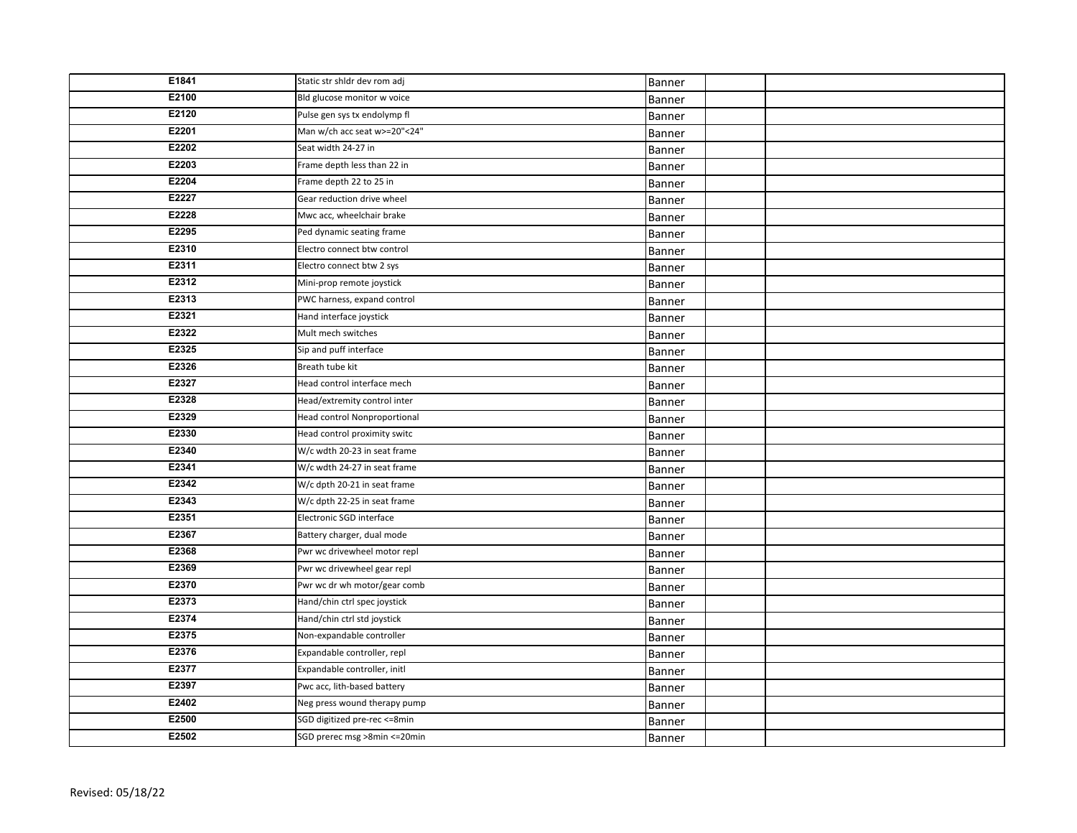| E1841 | Static str shldr dev rom adj  | Banner        |  |
|-------|-------------------------------|---------------|--|
| E2100 | Bld glucose monitor w voice   | Banner        |  |
| E2120 | Pulse gen sys tx endolymp fl  | Banner        |  |
| E2201 | Man w/ch acc seat w>=20"<24"  | Banner        |  |
| E2202 | Seat width 24-27 in           | Banner        |  |
| E2203 | Frame depth less than 22 in   | Banner        |  |
| E2204 | Frame depth 22 to 25 in       | Banner        |  |
| E2227 | Gear reduction drive wheel    | Banner        |  |
| E2228 | Mwc acc, wheelchair brake     | Banner        |  |
| E2295 | Ped dynamic seating frame     | Banner        |  |
| E2310 | Electro connect btw control   | Banner        |  |
| E2311 | Electro connect btw 2 sys     | Banner        |  |
| E2312 | Mini-prop remote joystick     | Banner        |  |
| E2313 | PWC harness, expand control   | Banner        |  |
| E2321 | Hand interface joystick       | Banner        |  |
| E2322 | Mult mech switches            | Banner        |  |
| E2325 | Sip and puff interface        | Banner        |  |
| E2326 | Breath tube kit               | Banner        |  |
| E2327 | Head control interface mech   | Banner        |  |
| E2328 | Head/extremity control inter  | Banner        |  |
| E2329 | Head control Nonproportional  | Banner        |  |
| E2330 | Head control proximity switc  | Banner        |  |
| E2340 | W/c wdth 20-23 in seat frame  | Banner        |  |
| E2341 | W/c wdth 24-27 in seat frame  | Banner        |  |
| E2342 | W/c dpth 20-21 in seat frame  | Banner        |  |
| E2343 | W/c dpth 22-25 in seat frame  | Banner        |  |
| E2351 | Electronic SGD interface      | Banner        |  |
| E2367 | Battery charger, dual mode    | Banner        |  |
| E2368 | Pwr wc drivewheel motor repl  | Banner        |  |
| E2369 | Pwr wc drivewheel gear repl   | Banner        |  |
| E2370 | Pwr wc dr wh motor/gear comb  | Banner        |  |
| E2373 | Hand/chin ctrl spec joystick  | <b>Banner</b> |  |
| E2374 | Hand/chin ctrl std joystick   | Banner        |  |
| E2375 | Non-expandable controller     | Banner        |  |
| E2376 | Expandable controller, repl   | Banner        |  |
| E2377 | Expandable controller, initl  | Banner        |  |
| E2397 | Pwc acc, lith-based battery   | Banner        |  |
| E2402 | Neg press wound therapy pump  | Banner        |  |
| E2500 | SGD digitized pre-rec <= 8min | Banner        |  |
| E2502 | SGD prerec msg >8min <= 20min | Banner        |  |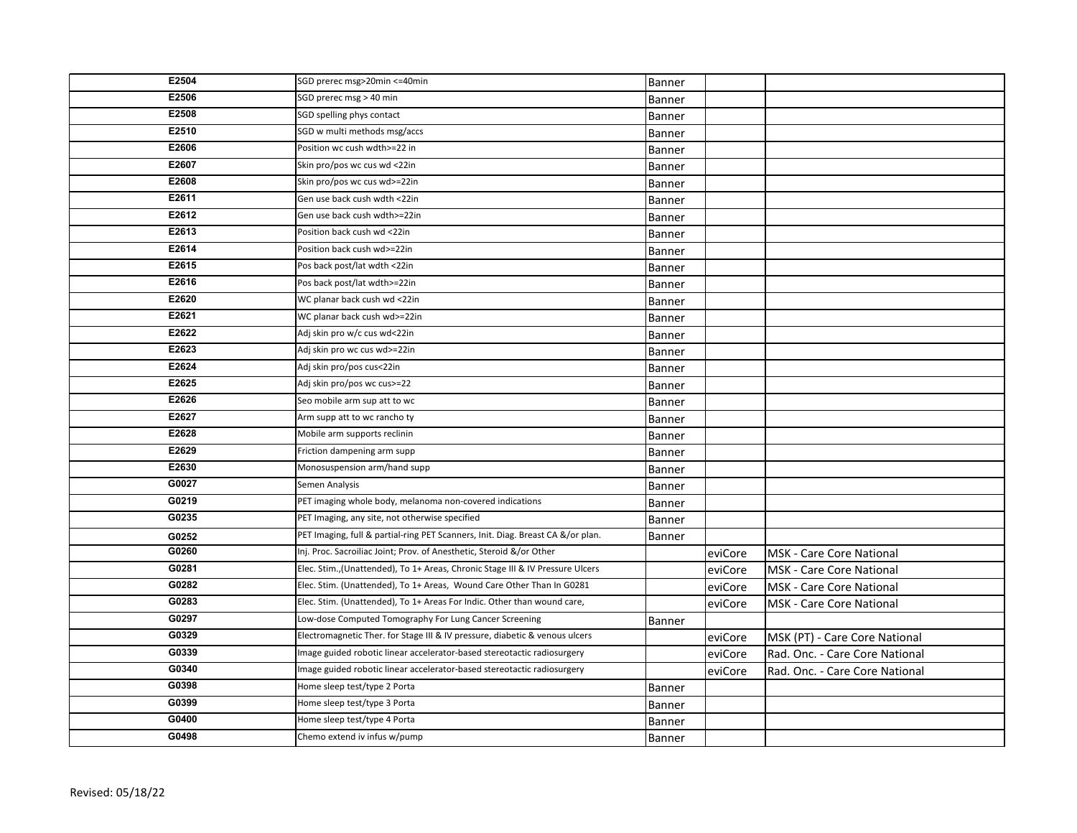| E2504 | SGD prerec msg>20min <= 40min                                                   | Banner        |         |                                 |
|-------|---------------------------------------------------------------------------------|---------------|---------|---------------------------------|
| E2506 | SGD prerec msg > 40 min                                                         | Banner        |         |                                 |
| E2508 | SGD spelling phys contact                                                       | Banner        |         |                                 |
| E2510 | SGD w multi methods msg/accs                                                    | Banner        |         |                                 |
| E2606 | Position wc cush wdth>=22 in                                                    | <b>Banner</b> |         |                                 |
| E2607 | Skin pro/pos wc cus wd <22in                                                    | Banner        |         |                                 |
| E2608 | Skin pro/pos wc cus wd>=22in                                                    | Banner        |         |                                 |
| E2611 | Gen use back cush wdth <22in                                                    | Banner        |         |                                 |
| E2612 | Gen use back cush wdth>=22in                                                    | <b>Banner</b> |         |                                 |
| E2613 | Position back cush wd <22in                                                     | Banner        |         |                                 |
| E2614 | Position back cush wd>=22in                                                     | Banner        |         |                                 |
| E2615 | Pos back post/lat wdth <22in                                                    | <b>Banner</b> |         |                                 |
| E2616 | Pos back post/lat wdth>=22in                                                    | Banner        |         |                                 |
| E2620 | WC planar back cush wd <22in                                                    | <b>Banner</b> |         |                                 |
| E2621 | WC planar back cush wd>=22in                                                    | <b>Banner</b> |         |                                 |
| E2622 | Adj skin pro w/c cus wd<22in                                                    | <b>Banner</b> |         |                                 |
| E2623 | Adj skin pro wc cus wd>=22in                                                    | Banner        |         |                                 |
| E2624 | Adj skin pro/pos cus<22in                                                       | Banner        |         |                                 |
| E2625 | Adj skin pro/pos wc cus>=22                                                     | Banner        |         |                                 |
| E2626 | Seo mobile arm sup att to wc                                                    | Banner        |         |                                 |
| E2627 | Arm supp att to wc rancho ty                                                    | Banner        |         |                                 |
| E2628 | Mobile arm supports reclinin                                                    | Banner        |         |                                 |
| E2629 | Friction dampening arm supp                                                     | Banner        |         |                                 |
| E2630 | Monosuspension arm/hand supp                                                    | <b>Banner</b> |         |                                 |
| G0027 | Semen Analysis                                                                  | Banner        |         |                                 |
| G0219 | PET imaging whole body, melanoma non-covered indications                        | Banner        |         |                                 |
| G0235 | PET Imaging, any site, not otherwise specified                                  | Banner        |         |                                 |
| G0252 | PET Imaging, full & partial-ring PET Scanners, Init. Diag. Breast CA &/or plan. | <b>Banner</b> |         |                                 |
| G0260 | Inj. Proc. Sacroiliac Joint; Prov. of Anesthetic, Steroid &/or Other            |               | eviCore | <b>MSK</b> - Care Core National |
| G0281 | Elec. Stim., (Unattended), To 1+ Areas, Chronic Stage III & IV Pressure Ulcers  |               | eviCore | <b>MSK</b> - Care Core National |
| G0282 | Elec. Stim. (Unattended), To 1+ Areas, Wound Care Other Than In G0281           |               | eviCore | <b>MSK</b> - Care Core National |
| G0283 | Elec. Stim. (Unattended), To 1+ Areas For Indic. Other than wound care,         |               | eviCore | <b>MSK - Care Core National</b> |
| G0297 | Low-dose Computed Tomography For Lung Cancer Screening                          | Banner        |         |                                 |
| G0329 | Electromagnetic Ther. for Stage III & IV pressure, diabetic & venous ulcers     |               | eviCore | MSK (PT) - Care Core National   |
| G0339 | Image guided robotic linear accelerator-based stereotactic radiosurgery         |               | eviCore | Rad. Onc. - Care Core National  |
| G0340 | Image guided robotic linear accelerator-based stereotactic radiosurgery         |               | eviCore | Rad. Onc. - Care Core National  |
| G0398 | Home sleep test/type 2 Porta                                                    | Banner        |         |                                 |
| G0399 | Home sleep test/type 3 Porta                                                    | Banner        |         |                                 |
| G0400 | Home sleep test/type 4 Porta                                                    | Banner        |         |                                 |
| G0498 | Chemo extend iv infus w/pump                                                    | Banner        |         |                                 |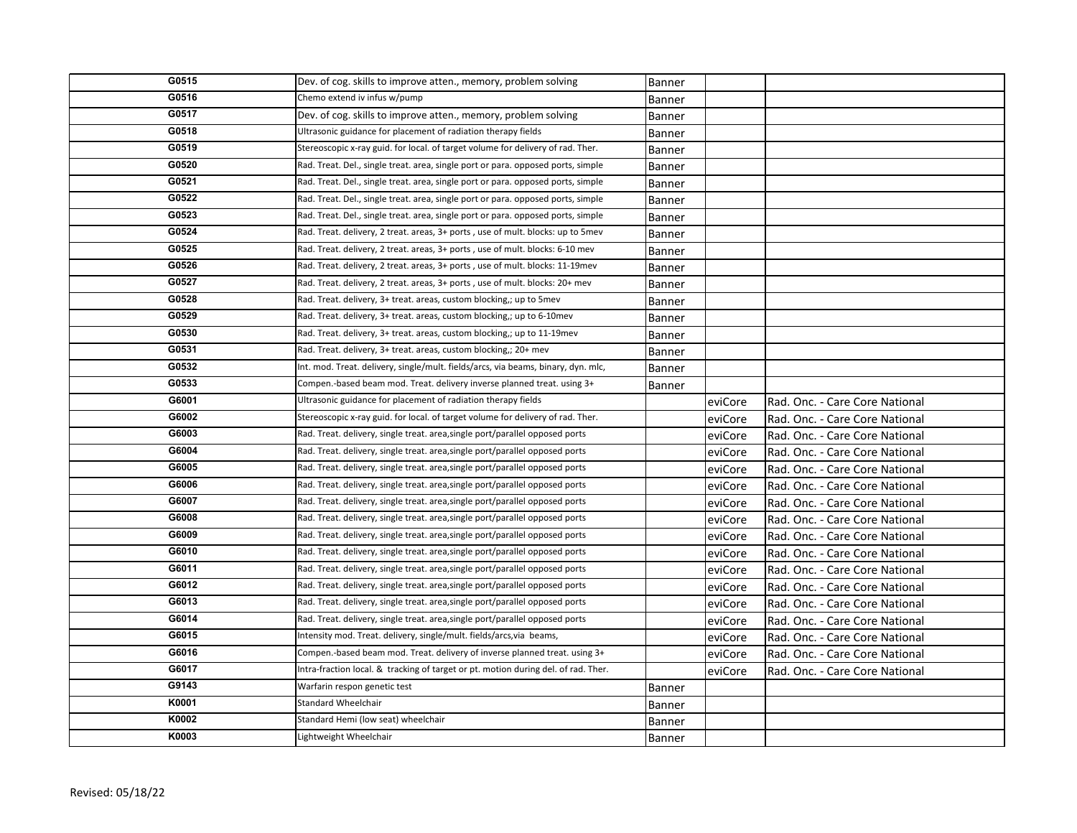| G0515 | Dev. of cog. skills to improve atten., memory, problem solving                     | Banner        |         |                                |
|-------|------------------------------------------------------------------------------------|---------------|---------|--------------------------------|
| G0516 | Chemo extend iv infus w/pump                                                       | Banner        |         |                                |
| G0517 | Dev. of cog. skills to improve atten., memory, problem solving                     | <b>Banner</b> |         |                                |
| G0518 | Ultrasonic guidance for placement of radiation therapy fields                      | Banner        |         |                                |
| G0519 | Stereoscopic x-ray guid. for local. of target volume for delivery of rad. Ther.    | Banner        |         |                                |
| G0520 | Rad. Treat. Del., single treat. area, single port or para. opposed ports, simple   | <b>Banner</b> |         |                                |
| G0521 | Rad. Treat. Del., single treat. area, single port or para. opposed ports, simple   | Banner        |         |                                |
| G0522 | Rad. Treat. Del., single treat. area, single port or para. opposed ports, simple   | Banner        |         |                                |
| G0523 | Rad. Treat. Del., single treat. area, single port or para. opposed ports, simple   | Banner        |         |                                |
| G0524 | Rad. Treat. delivery, 2 treat. areas, 3+ ports, use of mult. blocks: up to 5mev    | Banner        |         |                                |
| G0525 | Rad. Treat. delivery, 2 treat. areas, 3+ ports, use of mult. blocks: 6-10 mev      | Banner        |         |                                |
| G0526 | Rad. Treat. delivery, 2 treat. areas, 3+ ports, use of mult. blocks: 11-19mev      | Banner        |         |                                |
| G0527 | Rad. Treat. delivery, 2 treat. areas, 3+ ports, use of mult. blocks: 20+ mev       | Banner        |         |                                |
| G0528 | Rad. Treat. delivery, 3+ treat. areas, custom blocking,; up to 5mev                | Banner        |         |                                |
| G0529 | Rad. Treat. delivery, 3+ treat. areas, custom blocking,; up to 6-10mev             | Banner        |         |                                |
| G0530 | Rad. Treat. delivery, 3+ treat. areas, custom blocking,; up to 11-19mev            | Banner        |         |                                |
| G0531 | Rad. Treat. delivery, 3+ treat. areas, custom blocking,; 20+ mev                   | Banner        |         |                                |
| G0532 | Int. mod. Treat. delivery, single/mult. fields/arcs, via beams, binary, dyn. mlc,  | Banner        |         |                                |
| G0533 | Compen.-based beam mod. Treat. delivery inverse planned treat. using 3+            | <b>Banner</b> |         |                                |
| G6001 | Ultrasonic guidance for placement of radiation therapy fields                      |               | eviCore | Rad. Onc. - Care Core National |
| G6002 | Stereoscopic x-ray guid. for local. of target volume for delivery of rad. Ther.    |               | eviCore | Rad. Onc. - Care Core National |
| G6003 | Rad. Treat. delivery, single treat. area, single port/parallel opposed ports       |               | eviCore | Rad. Onc. - Care Core National |
| G6004 | Rad. Treat. delivery, single treat. area, single port/parallel opposed ports       |               | eviCore | Rad. Onc. - Care Core National |
| G6005 | Rad. Treat. delivery, single treat. area, single port/parallel opposed ports       |               | eviCore | Rad. Onc. - Care Core National |
| G6006 | Rad. Treat. delivery, single treat. area, single port/parallel opposed ports       |               | eviCore | Rad. Onc. - Care Core National |
| G6007 | Rad. Treat. delivery, single treat. area, single port/parallel opposed ports       |               | eviCore | Rad. Onc. - Care Core National |
| G6008 | Rad. Treat. delivery, single treat. area, single port/parallel opposed ports       |               | eviCore | Rad. Onc. - Care Core National |
| G6009 | Rad. Treat. delivery, single treat. area, single port/parallel opposed ports       |               | eviCore | Rad. Onc. - Care Core National |
| G6010 | Rad. Treat. delivery, single treat. area, single port/parallel opposed ports       |               | eviCore | Rad. Onc. - Care Core National |
| G6011 | Rad. Treat. delivery, single treat. area, single port/parallel opposed ports       |               | eviCore | Rad. Onc. - Care Core National |
| G6012 | Rad. Treat. delivery, single treat. area, single port/parallel opposed ports       |               | eviCore | Rad. Onc. - Care Core National |
| G6013 | Rad. Treat. delivery, single treat. area, single port/parallel opposed ports       |               | eviCore | Rad. Onc. - Care Core National |
| G6014 | Rad. Treat. delivery, single treat. area, single port/parallel opposed ports       |               | eviCore | Rad. Onc. - Care Core National |
| G6015 | Intensity mod. Treat. delivery, single/mult. fields/arcs, via beams,               |               | eviCore | Rad. Onc. - Care Core National |
| G6016 | Compen.-based beam mod. Treat. delivery of inverse planned treat. using 3+         |               | eviCore | Rad. Onc. - Care Core National |
| G6017 | Intra-fraction local. & tracking of target or pt. motion during del. of rad. Ther. |               | eviCore | Rad. Onc. - Care Core National |
| G9143 | Warfarin respon genetic test                                                       | Banner        |         |                                |
| K0001 | <b>Standard Wheelchair</b>                                                         | Banner        |         |                                |
| K0002 | Standard Hemi (low seat) wheelchair                                                | Banner        |         |                                |
| K0003 | Lightweight Wheelchair                                                             | Banner        |         |                                |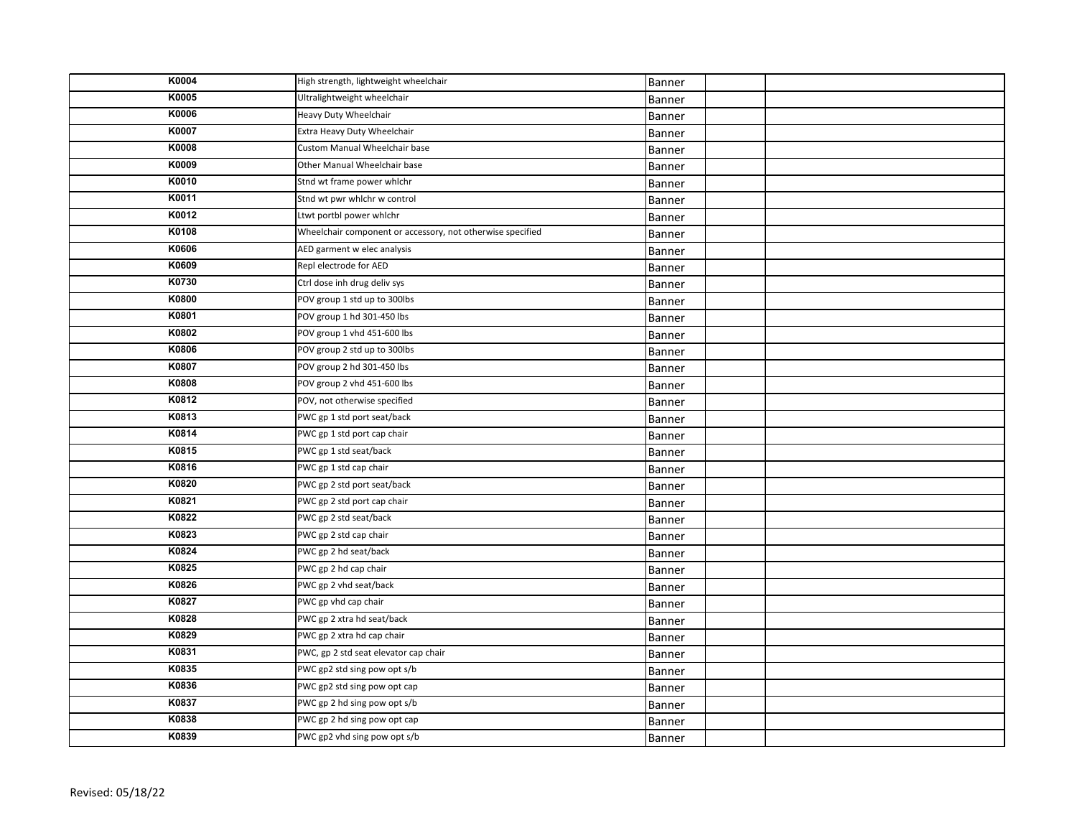| K0004 | High strength, lightweight wheelchair                      | Banner |  |
|-------|------------------------------------------------------------|--------|--|
| K0005 | Ultralightweight wheelchair                                | Banner |  |
| K0006 | Heavy Duty Wheelchair                                      | Banner |  |
| K0007 | Extra Heavy Duty Wheelchair                                | Banner |  |
| K0008 | Custom Manual Wheelchair base                              | Banner |  |
| K0009 | Other Manual Wheelchair base                               | Banner |  |
| K0010 | Stnd wt frame power whlchr                                 | Banner |  |
| K0011 | Stnd wt pwr whlchr w control                               | Banner |  |
| K0012 | Ltwt portbl power whichr                                   | Banner |  |
| K0108 | Wheelchair component or accessory, not otherwise specified | Banner |  |
| K0606 | AED garment w elec analysis                                | Banner |  |
| K0609 | Repl electrode for AED                                     | Banner |  |
| K0730 | Ctrl dose inh drug deliv sys                               | Banner |  |
| K0800 | POV group 1 std up to 300lbs                               | Banner |  |
| K0801 | POV group 1 hd 301-450 lbs                                 | Banner |  |
| K0802 | POV group 1 vhd 451-600 lbs                                | Banner |  |
| K0806 | POV group 2 std up to 300lbs                               | Banner |  |
| K0807 | POV group 2 hd 301-450 lbs                                 | Banner |  |
| K0808 | POV group 2 vhd 451-600 lbs                                | Banner |  |
| K0812 | POV, not otherwise specified                               | Banner |  |
| K0813 | PWC gp 1 std port seat/back                                | Banner |  |
| K0814 | PWC gp 1 std port cap chair                                | Banner |  |
| K0815 | PWC gp 1 std seat/back                                     | Banner |  |
| K0816 | PWC gp 1 std cap chair                                     | Banner |  |
| K0820 | PWC gp 2 std port seat/back                                | Banner |  |
| K0821 | PWC gp 2 std port cap chair                                | Banner |  |
| K0822 | PWC gp 2 std seat/back                                     | Banner |  |
| K0823 | PWC gp 2 std cap chair                                     | Banner |  |
| K0824 | PWC gp 2 hd seat/back                                      | Banner |  |
| K0825 | PWC gp 2 hd cap chair                                      | Banner |  |
| K0826 | PWC gp 2 vhd seat/back                                     | Banner |  |
| K0827 | PWC gp vhd cap chair                                       | Banner |  |
| K0828 | PWC gp 2 xtra hd seat/back                                 | Banner |  |
| K0829 | PWC gp 2 xtra hd cap chair                                 | Banner |  |
| K0831 | PWC, gp 2 std seat elevator cap chair                      | Banner |  |
| K0835 | PWC gp2 std sing pow opt s/b                               | Banner |  |
| K0836 | PWC gp2 std sing pow opt cap                               | Banner |  |
| K0837 | PWC gp 2 hd sing pow opt s/b                               | Banner |  |
| K0838 | PWC gp 2 hd sing pow opt cap                               | Banner |  |
| K0839 | PWC gp2 vhd sing pow opt s/b                               | Banner |  |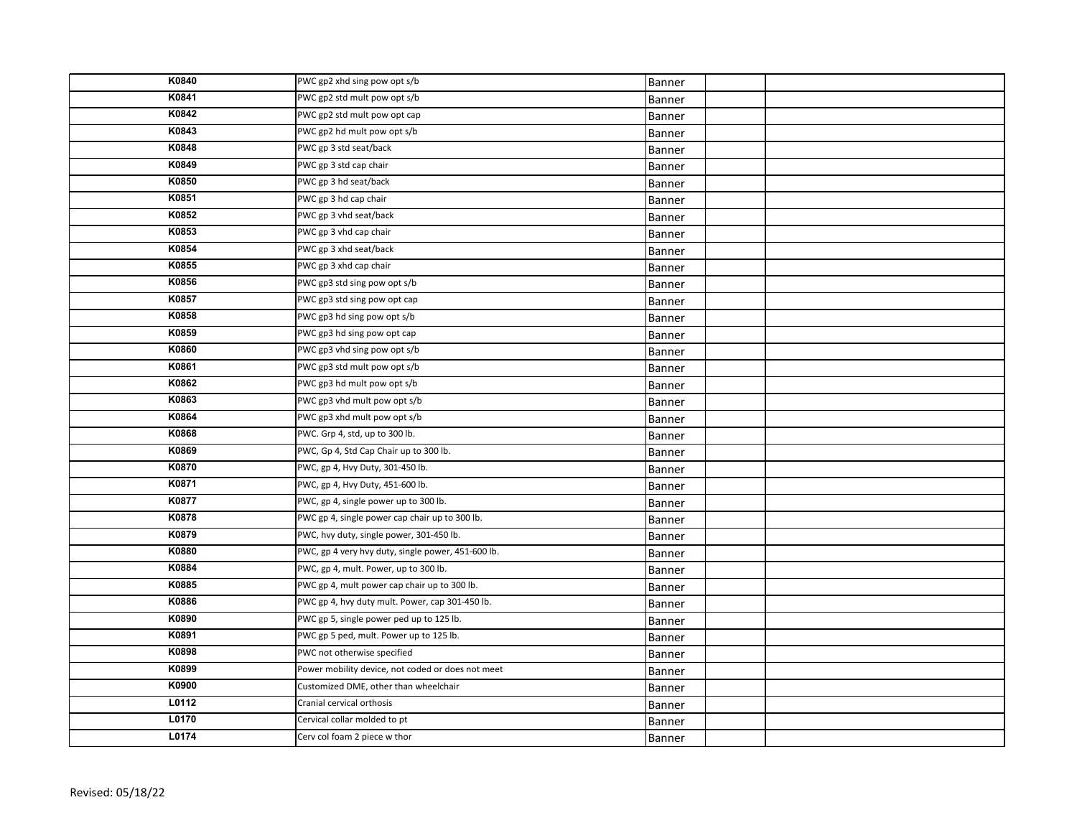| K0840 | PWC gp2 xhd sing pow opt s/b                       | Banner        |  |
|-------|----------------------------------------------------|---------------|--|
| K0841 | PWC gp2 std mult pow opt s/b                       | Banner        |  |
| K0842 | PWC gp2 std mult pow opt cap                       | Banner        |  |
| K0843 | PWC gp2 hd mult pow opt s/b                        | Banner        |  |
| K0848 | PWC gp 3 std seat/back                             | Banner        |  |
| K0849 | PWC gp 3 std cap chair                             | Banner        |  |
| K0850 | PWC gp 3 hd seat/back                              | Banner        |  |
| K0851 | PWC gp 3 hd cap chair                              | <b>Banner</b> |  |
| K0852 | PWC gp 3 vhd seat/back                             | Banner        |  |
| K0853 | PWC gp 3 vhd cap chair                             | Banner        |  |
| K0854 | PWC gp 3 xhd seat/back                             | Banner        |  |
| K0855 | PWC gp 3 xhd cap chair                             | Banner        |  |
| K0856 | PWC gp3 std sing pow opt s/b                       | Banner        |  |
| K0857 | PWC gp3 std sing pow opt cap                       | Banner        |  |
| K0858 | PWC gp3 hd sing pow opt s/b                        | <b>Banner</b> |  |
| K0859 | PWC gp3 hd sing pow opt cap                        | Banner        |  |
| K0860 | PWC gp3 vhd sing pow opt s/b                       | Banner        |  |
| K0861 | PWC gp3 std mult pow opt s/b                       | Banner        |  |
| K0862 | PWC gp3 hd mult pow opt s/b                        | Banner        |  |
| K0863 | PWC gp3 vhd mult pow opt s/b                       | Banner        |  |
| K0864 | PWC gp3 xhd mult pow opt s/b                       | Banner        |  |
| K0868 | PWC. Grp 4, std, up to 300 lb.                     | Banner        |  |
| K0869 | PWC, Gp 4, Std Cap Chair up to 300 lb.             | Banner        |  |
| K0870 | PWC, gp 4, Hvy Duty, 301-450 lb.                   | <b>Banner</b> |  |
| K0871 | PWC, gp 4, Hvy Duty, 451-600 lb.                   | Banner        |  |
| K0877 | PWC, gp 4, single power up to 300 lb.              | Banner        |  |
| K0878 | PWC gp 4, single power cap chair up to 300 lb.     | Banner        |  |
| K0879 | PWC, hvy duty, single power, 301-450 lb.           | <b>Banner</b> |  |
| K0880 | PWC, gp 4 very hvy duty, single power, 451-600 lb. | Banner        |  |
| K0884 | PWC, gp 4, mult. Power, up to 300 lb.              | Banner        |  |
| K0885 | PWC gp 4, mult power cap chair up to 300 lb.       | Banner        |  |
| K0886 | PWC gp 4, hvy duty mult. Power, cap 301-450 lb.    | Banner        |  |
| K0890 | PWC gp 5, single power ped up to 125 lb.           | Banner        |  |
| K0891 | PWC gp 5 ped, mult. Power up to 125 lb.            | Banner        |  |
| K0898 | PWC not otherwise specified                        | Banner        |  |
| K0899 | Power mobility device, not coded or does not meet  | Banner        |  |
| K0900 | Customized DME, other than wheelchair              | Banner        |  |
| L0112 | Cranial cervical orthosis                          | Banner        |  |
| L0170 | Cervical collar molded to pt                       | Banner        |  |
| L0174 | Cerv col foam 2 piece w thor                       | Banner        |  |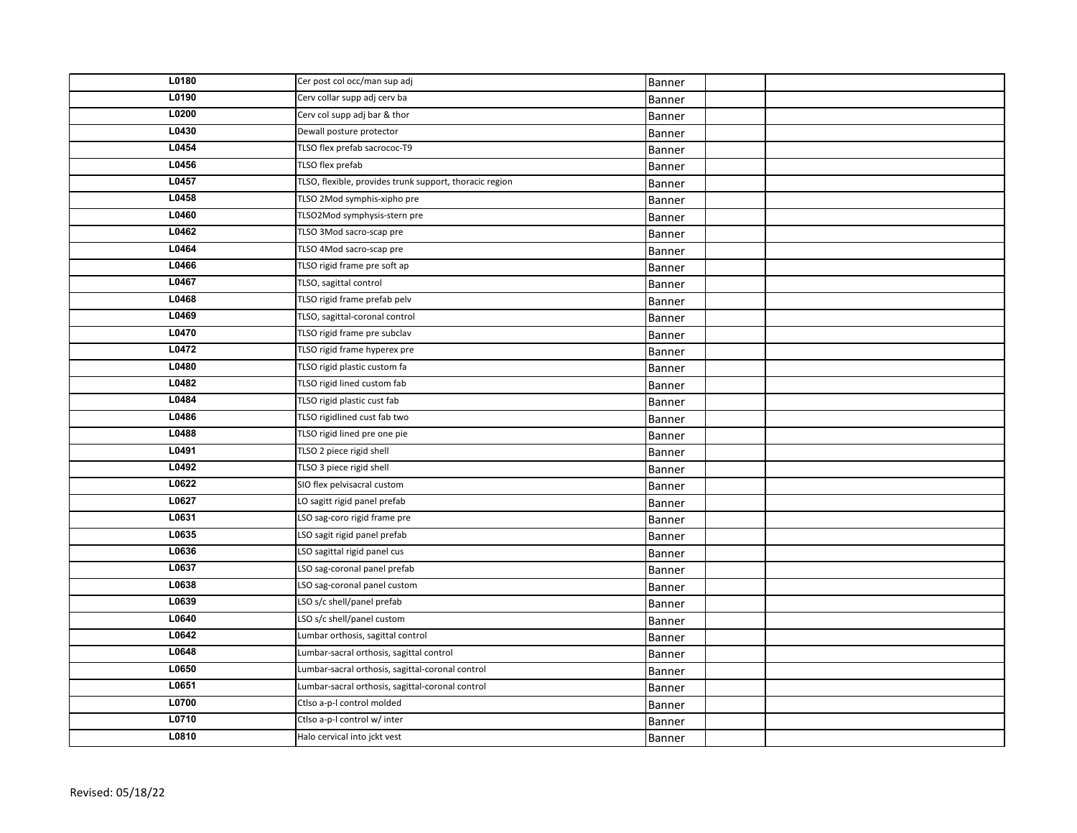| L0180 | Cer post col occ/man sup adj                            | Banner |  |
|-------|---------------------------------------------------------|--------|--|
| L0190 | Cerv collar supp adj cerv ba                            | Banner |  |
| L0200 | Cerv col supp adj bar & thor                            | Banner |  |
| L0430 | Dewall posture protector                                | Banner |  |
| L0454 | TLSO flex prefab sacrococ-T9                            | Banner |  |
| L0456 | TLSO flex prefab                                        | Banner |  |
| L0457 | TLSO, flexible, provides trunk support, thoracic region | Banner |  |
| L0458 | TLSO 2Mod symphis-xipho pre                             | Banner |  |
| L0460 | TLSO2Mod symphysis-stern pre                            | Banner |  |
| L0462 | TLSO 3Mod sacro-scap pre                                | Banner |  |
| L0464 | TLSO 4Mod sacro-scap pre                                | Banner |  |
| L0466 | TLSO rigid frame pre soft ap                            | Banner |  |
| L0467 | TLSO, sagittal control                                  | Banner |  |
| L0468 | TLSO rigid frame prefab pelv                            | Banner |  |
| L0469 | TLSO, sagittal-coronal control                          | Banner |  |
| L0470 | TLSO rigid frame pre subclav                            | Banner |  |
| L0472 | TLSO rigid frame hyperex pre                            | Banner |  |
| L0480 | TLSO rigid plastic custom fa                            | Banner |  |
| L0482 | TLSO rigid lined custom fab                             | Banner |  |
| L0484 | TLSO rigid plastic cust fab                             | Banner |  |
| L0486 | TLSO rigidlined cust fab two                            | Banner |  |
| L0488 | TLSO rigid lined pre one pie                            | Banner |  |
| L0491 | TLSO 2 piece rigid shell                                | Banner |  |
| L0492 | TLSO 3 piece rigid shell                                | Banner |  |
| L0622 | SIO flex pelvisacral custom                             | Banner |  |
| L0627 | LO sagitt rigid panel prefab                            | Banner |  |
| L0631 | LSO sag-coro rigid frame pre                            | Banner |  |
| L0635 | LSO sagit rigid panel prefab                            | Banner |  |
| L0636 | LSO sagittal rigid panel cus                            | Banner |  |
| L0637 | LSO sag-coronal panel prefab                            | Banner |  |
| L0638 | LSO sag-coronal panel custom                            | Banner |  |
| L0639 | LSO s/c shell/panel prefab                              | Banner |  |
| L0640 | LSO s/c shell/panel custom                              | Banner |  |
| L0642 | Lumbar orthosis, sagittal control                       | Banner |  |
| L0648 | Lumbar-sacral orthosis, sagittal control                | Banner |  |
| L0650 | Lumbar-sacral orthosis, sagittal-coronal control        | Banner |  |
| L0651 | Lumbar-sacral orthosis, sagittal-coronal control        | Banner |  |
| L0700 | Ctlso a-p-I control molded                              | Banner |  |
| L0710 | Ctlso a-p-I control w/ inter                            | Banner |  |
| L0810 | Halo cervical into jckt vest                            | Banner |  |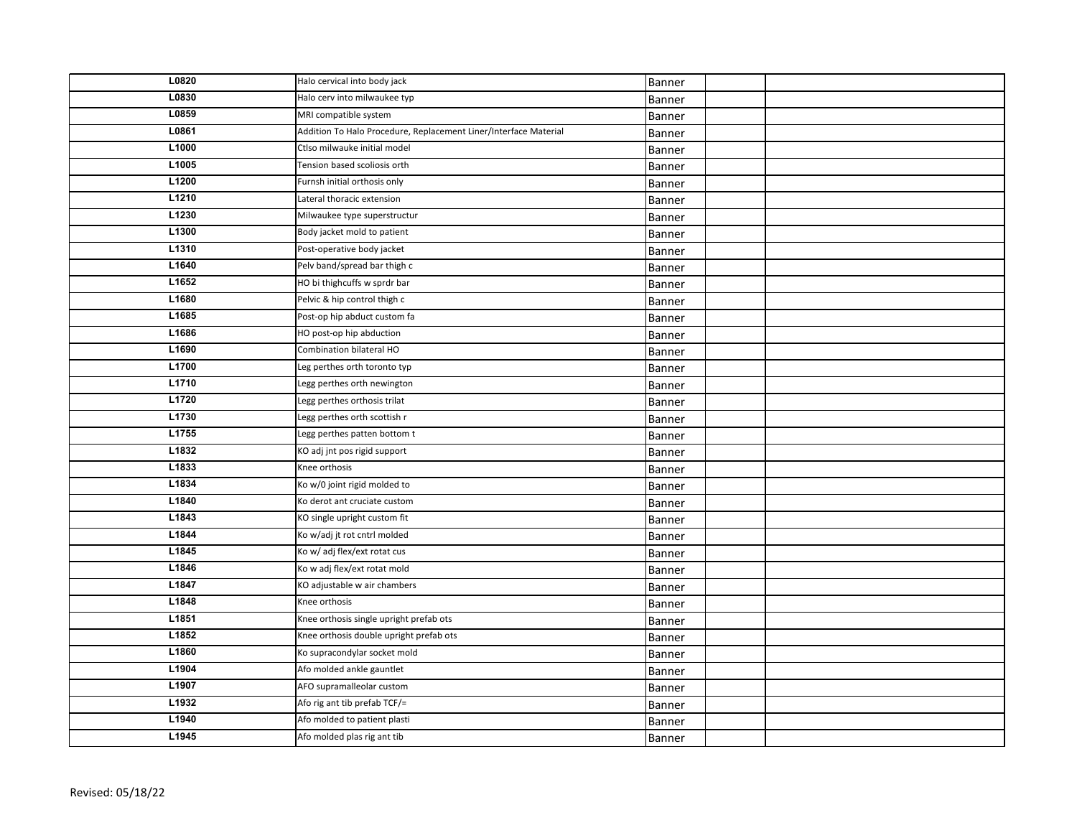| L0820 | Halo cervical into body jack                                     | Banner |  |
|-------|------------------------------------------------------------------|--------|--|
| L0830 | Halo cerv into milwaukee typ                                     | Banner |  |
| L0859 | MRI compatible system                                            | Banner |  |
| L0861 | Addition To Halo Procedure, Replacement Liner/Interface Material | Banner |  |
| L1000 | Ctlso milwauke initial model                                     | Banner |  |
| L1005 | Tension based scoliosis orth                                     | Banner |  |
| L1200 | Furnsh initial orthosis only                                     | Banner |  |
| L1210 | Lateral thoracic extension                                       | Banner |  |
| L1230 | Milwaukee type superstructur                                     | Banner |  |
| L1300 | Body jacket mold to patient                                      | Banner |  |
| L1310 | Post-operative body jacket                                       | Banner |  |
| L1640 | Pelv band/spread bar thigh c                                     | Banner |  |
| L1652 | HO bi thighcuffs w sprdr bar                                     | Banner |  |
| L1680 | Pelvic & hip control thigh c                                     | Banner |  |
| L1685 | Post-op hip abduct custom fa                                     | Banner |  |
| L1686 | HO post-op hip abduction                                         | Banner |  |
| L1690 | Combination bilateral HO                                         | Banner |  |
| L1700 | Leg perthes orth toronto typ                                     | Banner |  |
| L1710 | Legg perthes orth newington                                      | Banner |  |
| L1720 | Legg perthes orthosis trilat                                     | Banner |  |
| L1730 | Legg perthes orth scottish r                                     | Banner |  |
| L1755 | Legg perthes patten bottom t                                     | Banner |  |
| L1832 | KO adj jnt pos rigid support                                     | Banner |  |
| L1833 | Knee orthosis                                                    | Banner |  |
| L1834 | Ko w/0 joint rigid molded to                                     | Banner |  |
| L1840 | Ko derot ant cruciate custom                                     | Banner |  |
| L1843 | KO single upright custom fit                                     | Banner |  |
| L1844 | Ko w/adj jt rot cntrl molded                                     | Banner |  |
| L1845 | Ko w/ adj flex/ext rotat cus                                     | Banner |  |
| L1846 | Ko w adj flex/ext rotat mold                                     | Banner |  |
| L1847 | KO adjustable w air chambers                                     | Banner |  |
| L1848 | Knee orthosis                                                    | Banner |  |
| L1851 | Knee orthosis single upright prefab ots                          | Banner |  |
| L1852 | Knee orthosis double upright prefab ots                          | Banner |  |
| L1860 | Ko supracondylar socket mold                                     | Banner |  |
| L1904 | Afo molded ankle gauntlet                                        | Banner |  |
| L1907 | AFO supramalleolar custom                                        | Banner |  |
| L1932 | Afo rig ant tib prefab TCF/=                                     | Banner |  |
| L1940 | Afo molded to patient plasti                                     | Banner |  |
| L1945 | Afo molded plas rig ant tib                                      | Banner |  |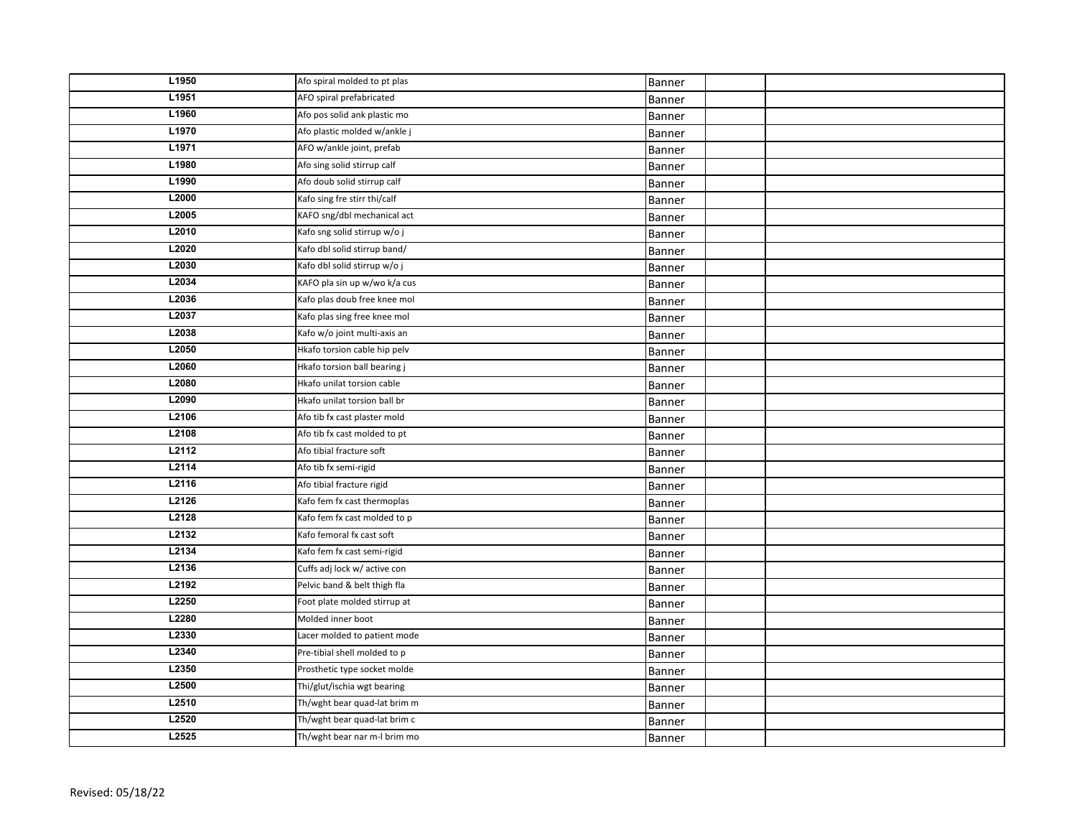| L1950 | Afo spiral molded to pt plas | Banner |  |
|-------|------------------------------|--------|--|
| L1951 | AFO spiral prefabricated     | Banner |  |
| L1960 | Afo pos solid ank plastic mo | Banner |  |
| L1970 | Afo plastic molded w/ankle j | Banner |  |
| L1971 | AFO w/ankle joint, prefab    | Banner |  |
| L1980 | Afo sing solid stirrup calf  | Banner |  |
| L1990 | Afo doub solid stirrup calf  | Banner |  |
| L2000 | Kafo sing fre stirr thi/calf | Banner |  |
| L2005 | KAFO sng/dbl mechanical act  | Banner |  |
| L2010 | Kafo sng solid stirrup w/o j | Banner |  |
| L2020 | Kafo dbl solid stirrup band/ | Banner |  |
| L2030 | Kafo dbl solid stirrup w/o j | Banner |  |
| L2034 | KAFO pla sin up w/wo k/a cus | Banner |  |
| L2036 | Kafo plas doub free knee mol | Banner |  |
| L2037 | Kafo plas sing free knee mol | Banner |  |
| L2038 | Kafo w/o joint multi-axis an | Banner |  |
| L2050 | Hkafo torsion cable hip pelv | Banner |  |
| L2060 | Hkafo torsion ball bearing j | Banner |  |
| L2080 | Hkafo unilat torsion cable   | Banner |  |
| L2090 | Hkafo unilat torsion ball br | Banner |  |
| L2106 | Afo tib fx cast plaster mold | Banner |  |
| L2108 | Afo tib fx cast molded to pt | Banner |  |
| L2112 | Afo tibial fracture soft     | Banner |  |
| L2114 | Afo tib fx semi-rigid        | Banner |  |
| L2116 | Afo tibial fracture rigid    | Banner |  |
| L2126 | Kafo fem fx cast thermoplas  | Banner |  |
| L2128 | Kafo fem fx cast molded to p | Banner |  |
| L2132 | Kafo femoral fx cast soft    | Banner |  |
| L2134 | Kafo fem fx cast semi-rigid  | Banner |  |
| L2136 | Cuffs adj lock w/ active con | Banner |  |
| L2192 | Pelvic band & belt thigh fla | Banner |  |
| L2250 | Foot plate molded stirrup at | Banner |  |
| L2280 | Molded inner boot            | Banner |  |
| L2330 | Lacer molded to patient mode | Banner |  |
| L2340 | Pre-tibial shell molded to p | Banner |  |
| L2350 | Prosthetic type socket molde | Banner |  |
| L2500 | Thi/glut/ischia wgt bearing  | Banner |  |
| L2510 | Th/wght bear quad-lat brim m | Banner |  |
| L2520 | Th/wght bear quad-lat brim c | Banner |  |
| L2525 | Th/wght bear nar m-I brim mo | Banner |  |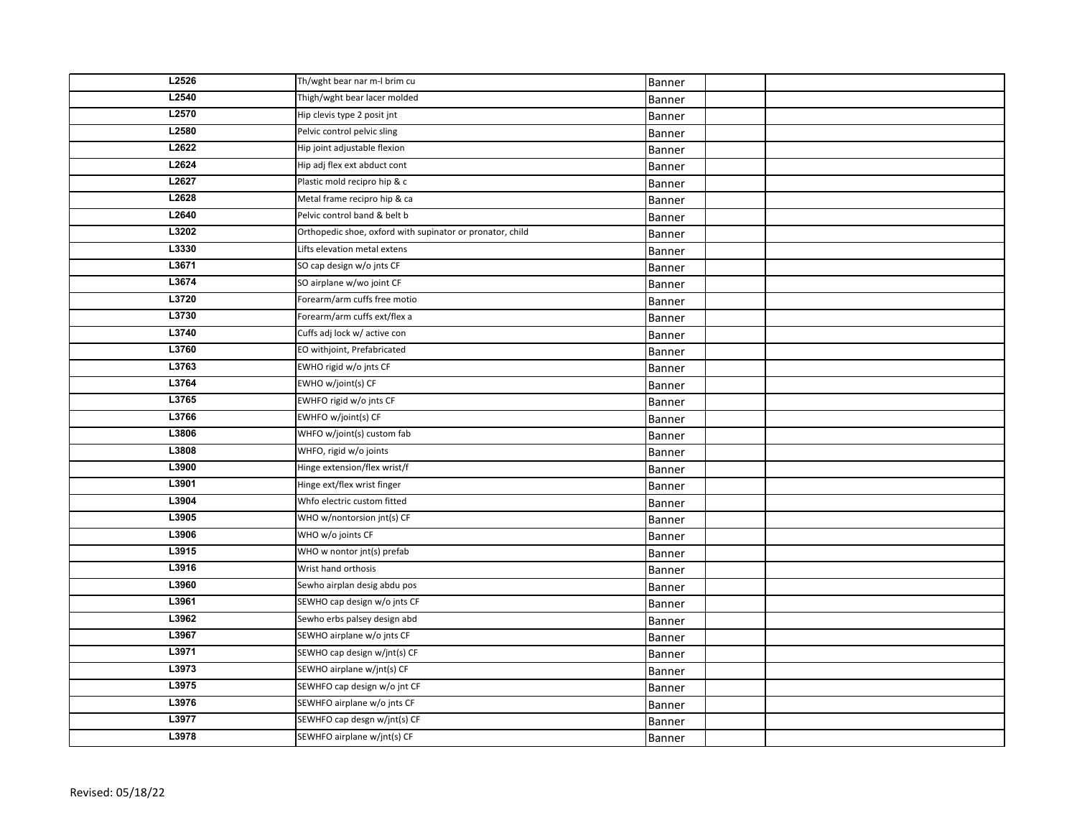| L2526 | Th/wght bear nar m-I brim cu                              | Banner |  |
|-------|-----------------------------------------------------------|--------|--|
| L2540 | Thigh/wght bear lacer molded                              | Banner |  |
| L2570 | Hip clevis type 2 posit jnt                               | Banner |  |
| L2580 | Pelvic control pelvic sling                               | Banner |  |
| L2622 | Hip joint adjustable flexion                              | Banner |  |
| L2624 | Hip adj flex ext abduct cont                              | Banner |  |
| L2627 | Plastic mold recipro hip & c                              | Banner |  |
| L2628 | Metal frame recipro hip & ca                              | Banner |  |
| L2640 | Pelvic control band & belt b                              | Banner |  |
| L3202 | Orthopedic shoe, oxford with supinator or pronator, child | Banner |  |
| L3330 | Lifts elevation metal extens                              | Banner |  |
| L3671 | SO cap design w/o ints CF                                 | Banner |  |
| L3674 | SO airplane w/wo joint CF                                 | Banner |  |
| L3720 | Forearm/arm cuffs free motio                              | Banner |  |
| L3730 | Forearm/arm cuffs ext/flex a                              | Banner |  |
| L3740 | Cuffs adj lock w/ active con                              | Banner |  |
| L3760 | EO withjoint, Prefabricated                               | Banner |  |
| L3763 | EWHO rigid w/o jnts CF                                    | Banner |  |
| L3764 | EWHO w/joint(s) CF                                        | Banner |  |
| L3765 | EWHFO rigid w/o jnts CF                                   | Banner |  |
| L3766 | EWHFO w/joint(s) CF                                       | Banner |  |
| L3806 | WHFO w/joint(s) custom fab                                | Banner |  |
| L3808 | WHFO, rigid w/o joints                                    | Banner |  |
| L3900 | Hinge extension/flex wrist/f                              | Banner |  |
| L3901 | Hinge ext/flex wrist finger                               | Banner |  |
| L3904 | Whfo electric custom fitted                               | Banner |  |
| L3905 | WHO w/nontorsion jnt(s) CF                                | Banner |  |
| L3906 | WHO w/o joints CF                                         | Banner |  |
| L3915 | WHO w nontor jnt(s) prefab                                | Banner |  |
| L3916 | Wrist hand orthosis                                       | Banner |  |
| L3960 | Sewho airplan desig abdu pos                              | Banner |  |
| L3961 | SEWHO cap design w/o jnts CF                              | Banner |  |
| L3962 | Sewho erbs palsey design abd                              | Banner |  |
| L3967 | SEWHO airplane w/o jnts CF                                | Banner |  |
| L3971 | SEWHO cap design w/jnt(s) CF                              | Banner |  |
| L3973 | SEWHO airplane w/jnt(s) CF                                | Banner |  |
| L3975 | SEWHFO cap design w/o jnt CF                              | Banner |  |
| L3976 | SEWHFO airplane w/o jnts CF                               | Banner |  |
| L3977 | SEWHFO cap desgn w/jnt(s) CF                              | Banner |  |
| L3978 | SEWHFO airplane w/jnt(s) CF                               | Banner |  |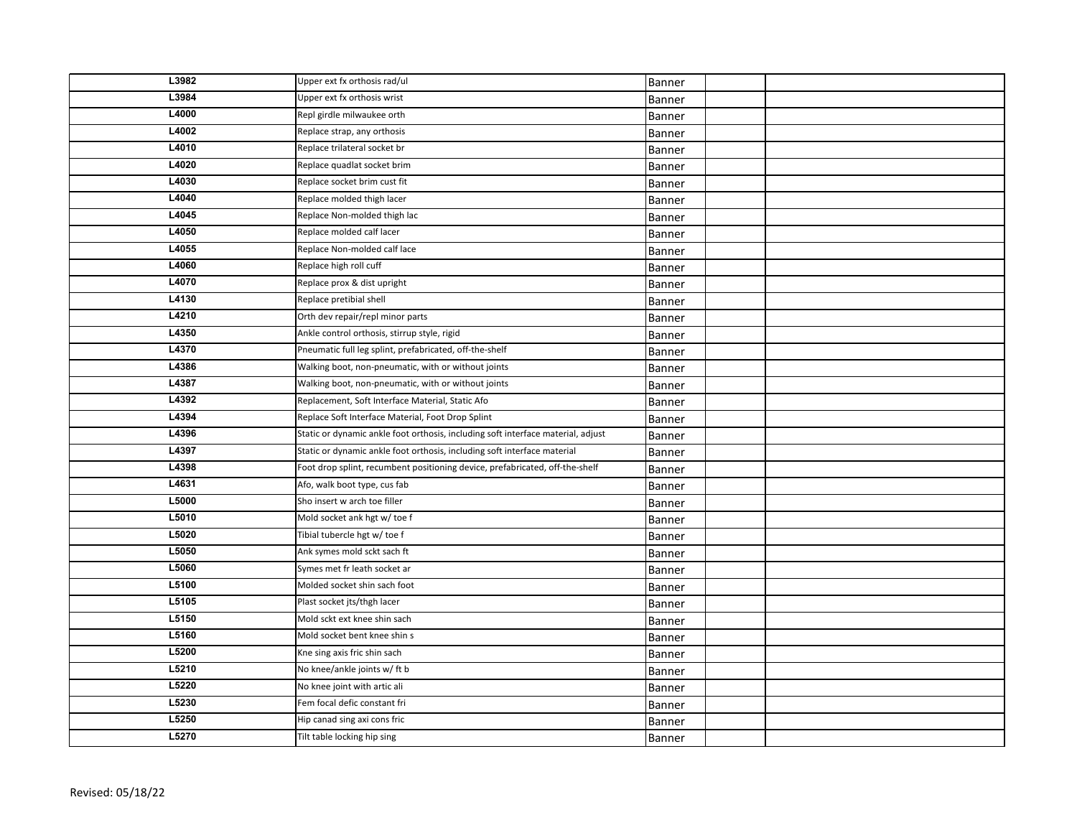| L3982 | Upper ext fx orthosis rad/ul                                                     | Banner        |  |
|-------|----------------------------------------------------------------------------------|---------------|--|
| L3984 | Upper ext fx orthosis wrist                                                      | Banner        |  |
| L4000 | Repl girdle milwaukee orth                                                       | Banner        |  |
| L4002 | Replace strap, any orthosis                                                      | Banner        |  |
| L4010 | Replace trilateral socket br                                                     | Banner        |  |
| L4020 | Replace quadlat socket brim                                                      | Banner        |  |
| L4030 | Replace socket brim cust fit                                                     | Banner        |  |
| L4040 | Replace molded thigh lacer                                                       | Banner        |  |
| L4045 | Replace Non-molded thigh lac                                                     | <b>Banner</b> |  |
| L4050 | Replace molded calf lacer                                                        | Banner        |  |
| L4055 | Replace Non-molded calf lace                                                     | Banner        |  |
| L4060 | Replace high roll cuff                                                           | Banner        |  |
| L4070 | Replace prox & dist upright                                                      | Banner        |  |
| L4130 | Replace pretibial shell                                                          | Banner        |  |
| L4210 | Orth dev repair/repl minor parts                                                 | Banner        |  |
| L4350 | Ankle control orthosis, stirrup style, rigid                                     | Banner        |  |
| L4370 | Pneumatic full leg splint, prefabricated, off-the-shelf                          | Banner        |  |
| L4386 | Walking boot, non-pneumatic, with or without joints                              | Banner        |  |
| L4387 | Walking boot, non-pneumatic, with or without joints                              | Banner        |  |
| L4392 | Replacement, Soft Interface Material, Static Afo                                 | Banner        |  |
| L4394 | Replace Soft Interface Material, Foot Drop Splint                                | Banner        |  |
| L4396 | Static or dynamic ankle foot orthosis, including soft interface material, adjust | Banner        |  |
| L4397 | Static or dynamic ankle foot orthosis, including soft interface material         | Banner        |  |
| L4398 | Foot drop splint, recumbent positioning device, prefabricated, off-the-shelf     | Banner        |  |
| L4631 | Afo, walk boot type, cus fab                                                     | Banner        |  |
| L5000 | Sho insert w arch toe filler                                                     | Banner        |  |
| L5010 | Mold socket ank hgt w/ toe f                                                     | <b>Banner</b> |  |
| L5020 | Tibial tubercle hgt w/ toe f                                                     | <b>Banner</b> |  |
| L5050 | Ank symes mold sckt sach ft                                                      | Banner        |  |
| L5060 | Symes met fr leath socket ar                                                     | Banner        |  |
| L5100 | Molded socket shin sach foot                                                     | Banner        |  |
| L5105 | Plast socket jts/thgh lacer                                                      | Banner        |  |
| L5150 | Mold sckt ext knee shin sach                                                     | Banner        |  |
| L5160 | Mold socket bent knee shin s                                                     | Banner        |  |
| L5200 | Kne sing axis fric shin sach                                                     | Banner        |  |
| L5210 | No knee/ankle joints w/ft b                                                      | Banner        |  |
| L5220 | No knee joint with artic ali                                                     | Banner        |  |
| L5230 | Fem focal defic constant fri                                                     | Banner        |  |
| L5250 | Hip canad sing axi cons fric                                                     | Banner        |  |
| L5270 | Tilt table locking hip sing                                                      | Banner        |  |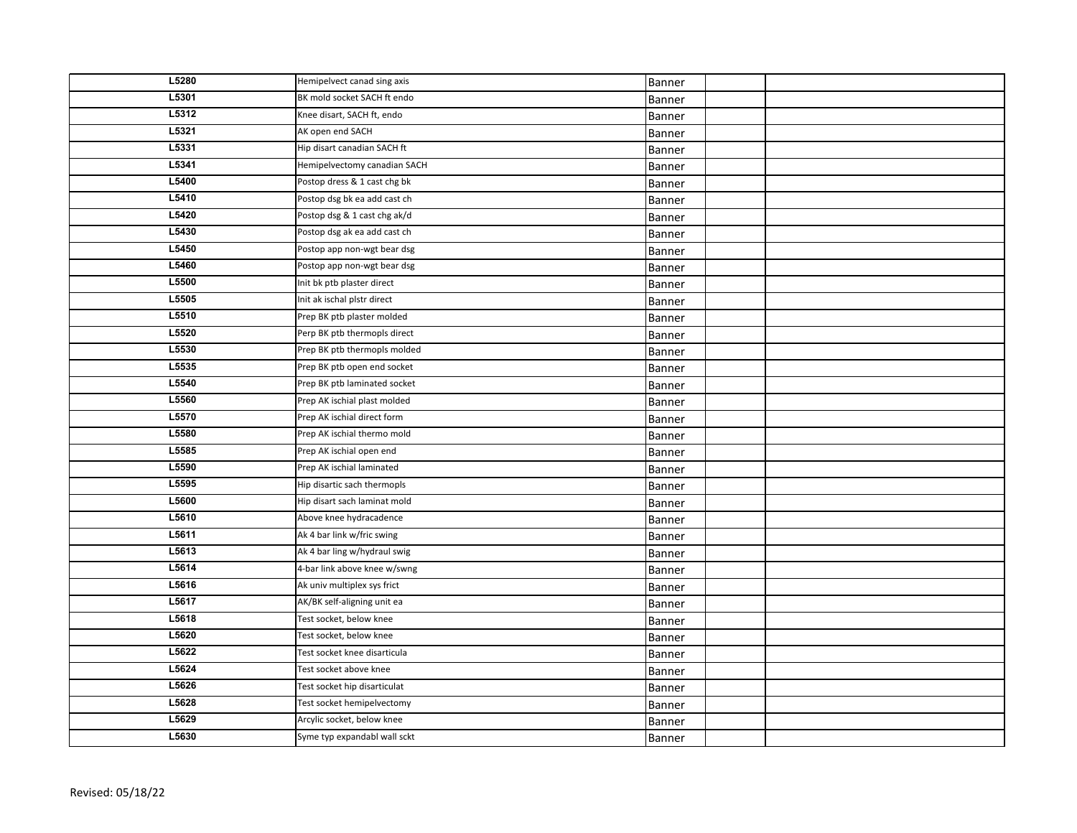| L5280 | Hemipelvect canad sing axis  | Banner        |  |
|-------|------------------------------|---------------|--|
| L5301 | BK mold socket SACH ft endo  | Banner        |  |
| L5312 | Knee disart, SACH ft, endo   | Banner        |  |
| L5321 | AK open end SACH             | Banner        |  |
| L5331 | Hip disart canadian SACH ft  | Banner        |  |
| L5341 | Hemipelvectomy canadian SACH | Banner        |  |
| L5400 | Postop dress & 1 cast chg bk | Banner        |  |
| L5410 | Postop dsg bk ea add cast ch | Banner        |  |
| L5420 | Postop dsg & 1 cast chg ak/d | Banner        |  |
| L5430 | Postop dsg ak ea add cast ch | Banner        |  |
| L5450 | Postop app non-wgt bear dsg  | Banner        |  |
| L5460 | Postop app non-wgt bear dsg  | Banner        |  |
| L5500 | Init bk ptb plaster direct   | Banner        |  |
| L5505 | Init ak ischal plstr direct  | Banner        |  |
| L5510 | Prep BK ptb plaster molded   | Banner        |  |
| L5520 | Perp BK ptb thermopls direct | Banner        |  |
| L5530 | Prep BK ptb thermopls molded | Banner        |  |
| L5535 | Prep BK ptb open end socket  | Banner        |  |
| L5540 | Prep BK ptb laminated socket | Banner        |  |
| L5560 | Prep AK ischial plast molded | Banner        |  |
| L5570 | Prep AK ischial direct form  | Banner        |  |
| L5580 | Prep AK ischial thermo mold  | Banner        |  |
| L5585 | Prep AK ischial open end     | Banner        |  |
| L5590 | Prep AK ischial laminated    | <b>Banner</b> |  |
| L5595 | Hip disartic sach thermopls  | Banner        |  |
| L5600 | Hip disart sach laminat mold | Banner        |  |
| L5610 | Above knee hydracadence      | Banner        |  |
| L5611 | Ak 4 bar link w/fric swing   | Banner        |  |
| L5613 | Ak 4 bar ling w/hydraul swig | Banner        |  |
| L5614 | 4-bar link above knee w/swng | Banner        |  |
| L5616 | Ak univ multiplex sys frict  | Banner        |  |
| L5617 | AK/BK self-aligning unit ea  | Banner        |  |
| L5618 | Test socket, below knee      | Banner        |  |
| L5620 | Test socket, below knee      | Banner        |  |
| L5622 | Test socket knee disarticula | Banner        |  |
| L5624 | Test socket above knee       | Banner        |  |
| L5626 | Test socket hip disarticulat | Banner        |  |
| L5628 | Test socket hemipelvectomy   | Banner        |  |
| L5629 | Arcylic socket, below knee   | Banner        |  |
| L5630 | Syme typ expandabl wall sckt | Banner        |  |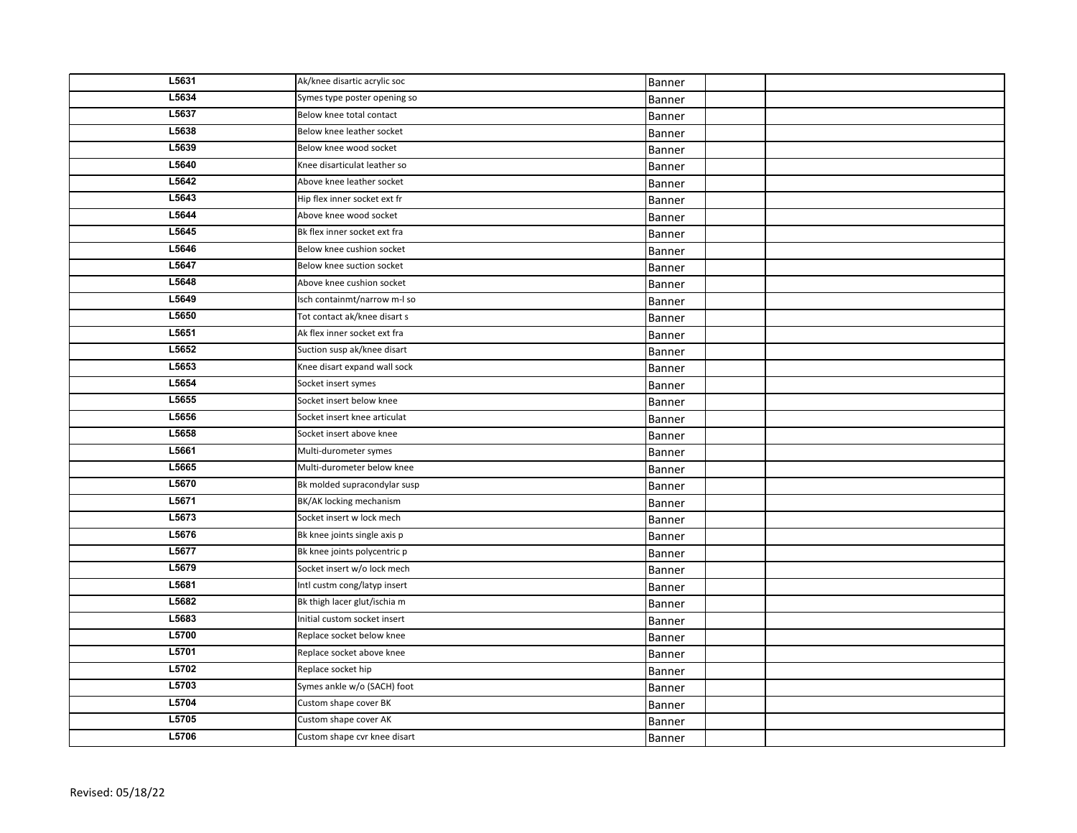| L5631 | Ak/knee disartic acrylic soc | Banner |  |
|-------|------------------------------|--------|--|
| L5634 | Symes type poster opening so | Banner |  |
| L5637 | Below knee total contact     | Banner |  |
| L5638 | Below knee leather socket    | Banner |  |
| L5639 | Below knee wood socket       | Banner |  |
| L5640 | Knee disarticulat leather so | Banner |  |
| L5642 | Above knee leather socket    | Banner |  |
| L5643 | Hip flex inner socket ext fr | Banner |  |
| L5644 | Above knee wood socket       | Banner |  |
| L5645 | Bk flex inner socket ext fra | Banner |  |
| L5646 | Below knee cushion socket    | Banner |  |
| L5647 | Below knee suction socket    | Banner |  |
| L5648 | Above knee cushion socket    | Banner |  |
| L5649 | Isch containmt/narrow m-I so | Banner |  |
| L5650 | Tot contact ak/knee disart s | Banner |  |
| L5651 | Ak flex inner socket ext fra | Banner |  |
| L5652 | Suction susp ak/knee disart  | Banner |  |
| L5653 | Knee disart expand wall sock | Banner |  |
| L5654 | Socket insert symes          | Banner |  |
| L5655 | Socket insert below knee     | Banner |  |
| L5656 | Socket insert knee articulat | Banner |  |
| L5658 | Socket insert above knee     | Banner |  |
| L5661 | Multi-durometer symes        | Banner |  |
| L5665 | Multi-durometer below knee   | Banner |  |
| L5670 | Bk molded supracondylar susp | Banner |  |
| L5671 | BK/AK locking mechanism      | Banner |  |
| L5673 | Socket insert w lock mech    | Banner |  |
| L5676 | Bk knee joints single axis p | Banner |  |
| L5677 | Bk knee joints polycentric p | Banner |  |
| L5679 | Socket insert w/o lock mech  | Banner |  |
| L5681 | Intl custm cong/latyp insert | Banner |  |
| L5682 | Bk thigh lacer glut/ischia m | Banner |  |
| L5683 | Initial custom socket insert | Banner |  |
| L5700 | Replace socket below knee    | Banner |  |
| L5701 | Replace socket above knee    | Banner |  |
| L5702 | Replace socket hip           | Banner |  |
| L5703 | Symes ankle w/o (SACH) foot  | Banner |  |
| L5704 | Custom shape cover BK        | Banner |  |
| L5705 | Custom shape cover AK        | Banner |  |
| L5706 | Custom shape cvr knee disart | Banner |  |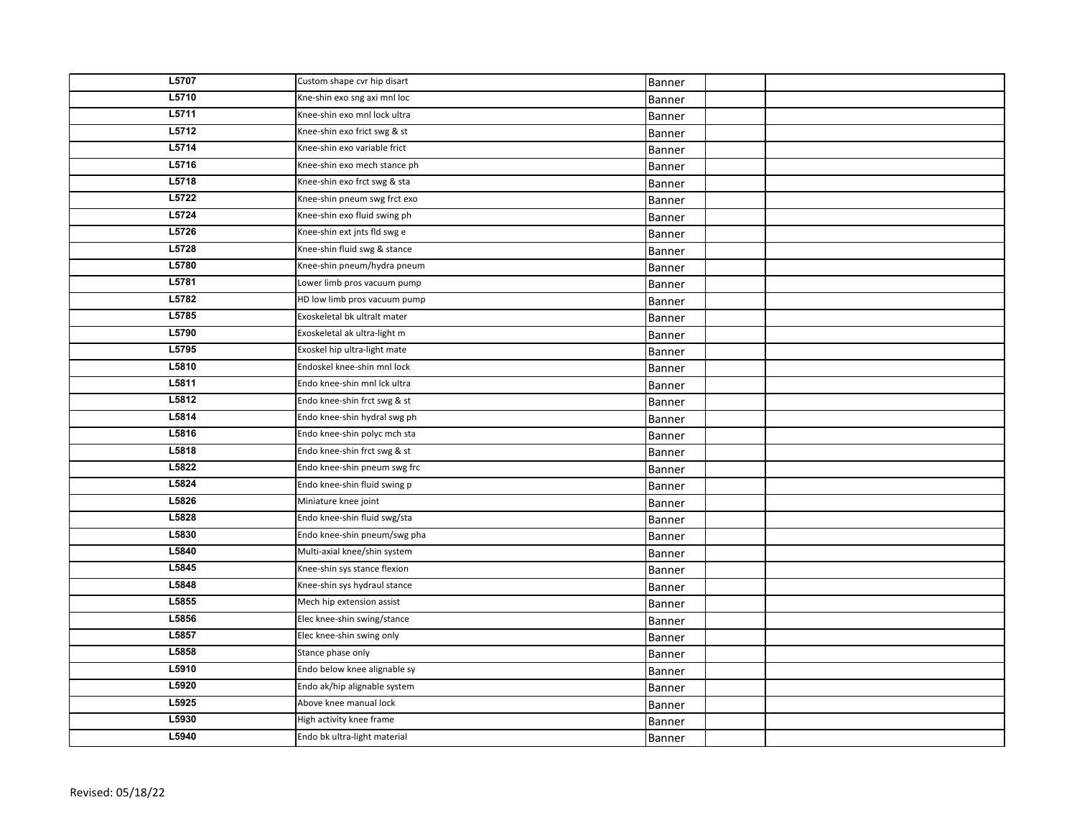| L5707 | Custom shape cvr hip disart  | Banner        |  |
|-------|------------------------------|---------------|--|
| L5710 | Kne-shin exo sng axi mnl loc | Banner        |  |
| L5711 | Knee-shin exo mnl lock ultra | Banner        |  |
| L5712 | Knee-shin exo frict swg & st | Banner        |  |
| L5714 | Knee-shin exo variable frict | Banner        |  |
| L5716 | Knee-shin exo mech stance ph | Banner        |  |
| L5718 | Knee-shin exo frct swg & sta | Banner        |  |
| L5722 | Knee-shin pneum swg frct exo | Banner        |  |
| L5724 | Knee-shin exo fluid swing ph | Banner        |  |
| L5726 | Knee-shin ext jnts fld swg e | Banner        |  |
| L5728 | Knee-shin fluid swg & stance | Banner        |  |
| L5780 | Knee-shin pneum/hydra pneum  | Banner        |  |
| L5781 | Lower limb pros vacuum pump  | Banner        |  |
| L5782 | HD low limb pros vacuum pump | Banner        |  |
| L5785 | Exoskeletal bk ultralt mater | Banner        |  |
| L5790 | Exoskeletal ak ultra-light m | Banner        |  |
| L5795 | Exoskel hip ultra-light mate | Banner        |  |
| L5810 | Endoskel knee-shin mnl lock  | Banner        |  |
| L5811 | Endo knee-shin mnl Ick ultra | Banner        |  |
| L5812 | Endo knee-shin frct swg & st | Banner        |  |
| L5814 | Endo knee-shin hydral swg ph | Banner        |  |
| L5816 | Endo knee-shin polyc mch sta | Banner        |  |
| L5818 | Endo knee-shin frct swg & st | Banner        |  |
| L5822 | Endo knee-shin pneum swg frc | Banner        |  |
| L5824 | Endo knee-shin fluid swing p | Banner        |  |
| L5826 | Miniature knee joint         | Banner        |  |
| L5828 | Endo knee-shin fluid swg/sta | Banner        |  |
| L5830 | Endo knee-shin pneum/swg pha | Banner        |  |
| L5840 | Multi-axial knee/shin system | Banner        |  |
| L5845 | Knee-shin sys stance flexion | Banner        |  |
| L5848 | Knee-shin sys hydraul stance | Banner        |  |
| L5855 | Mech hip extension assist    | <b>Banner</b> |  |
| L5856 | Elec knee-shin swing/stance  | Banner        |  |
| L5857 | Elec knee-shin swing only    | Banner        |  |
| L5858 | Stance phase only            | Banner        |  |
| L5910 | Endo below knee alignable sy | Banner        |  |
| L5920 | Endo ak/hip alignable system | Banner        |  |
| L5925 | Above knee manual lock       | Banner        |  |
| L5930 | High activity knee frame     | Banner        |  |
| L5940 | Endo bk ultra-light material | Banner        |  |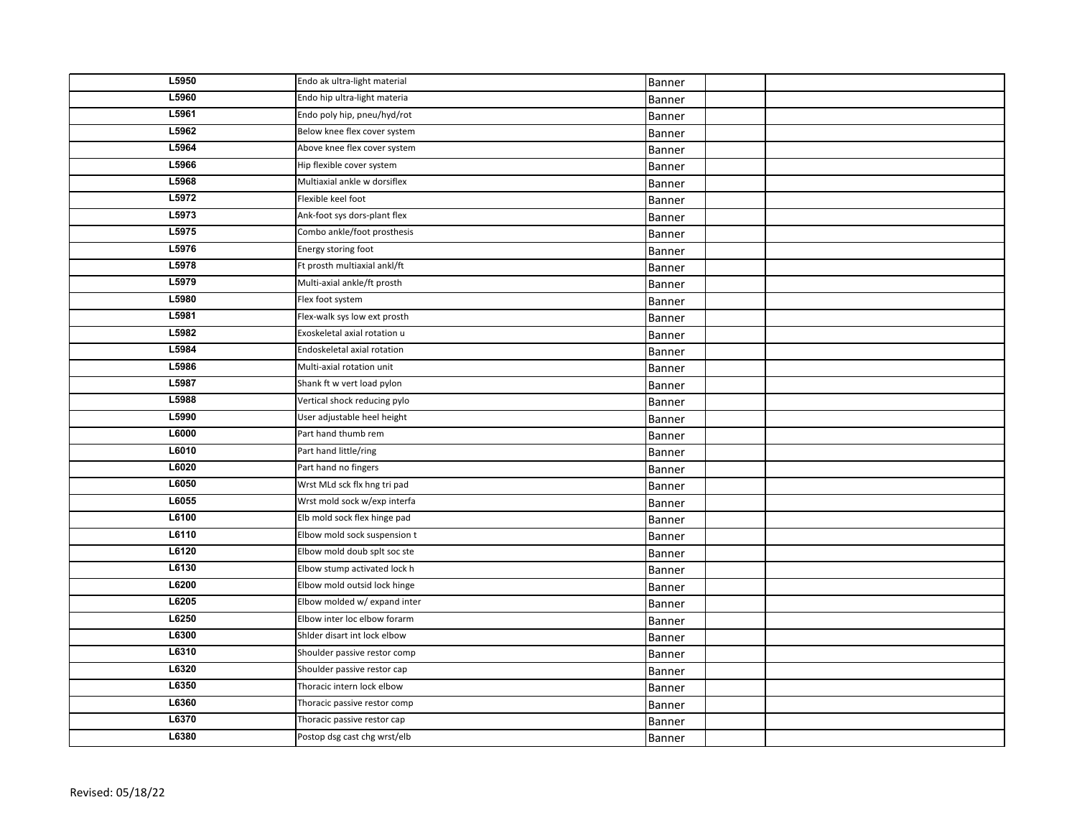| L5950 | Endo ak ultra-light material | Banner |  |
|-------|------------------------------|--------|--|
| L5960 | Endo hip ultra-light materia | Banner |  |
| L5961 | Endo poly hip, pneu/hyd/rot  | Banner |  |
| L5962 | Below knee flex cover system | Banner |  |
| L5964 | Above knee flex cover system | Banner |  |
| L5966 | Hip flexible cover system    | Banner |  |
| L5968 | Multiaxial ankle w dorsiflex | Banner |  |
| L5972 | Flexible keel foot           | Banner |  |
| L5973 | Ank-foot sys dors-plant flex | Banner |  |
| L5975 | Combo ankle/foot prosthesis  | Banner |  |
| L5976 | Energy storing foot          | Banner |  |
| L5978 | Ft prosth multiaxial ankl/ft | Banner |  |
| L5979 | Multi-axial ankle/ft prosth  | Banner |  |
| L5980 | Flex foot system             | Banner |  |
| L5981 | Flex-walk sys low ext prosth | Banner |  |
| L5982 | Exoskeletal axial rotation u | Banner |  |
| L5984 | Endoskeletal axial rotation  | Banner |  |
| L5986 | Multi-axial rotation unit    | Banner |  |
| L5987 | Shank ft w vert load pylon   | Banner |  |
| L5988 | Vertical shock reducing pylo | Banner |  |
| L5990 | User adjustable heel height  | Banner |  |
| L6000 | Part hand thumb rem          | Banner |  |
| L6010 | Part hand little/ring        | Banner |  |
| L6020 | Part hand no fingers         | Banner |  |
| L6050 | Wrst MLd sck flx hng tri pad | Banner |  |
| L6055 | Wrst mold sock w/exp interfa | Banner |  |
| L6100 | Elb mold sock flex hinge pad | Banner |  |
| L6110 | Elbow mold sock suspension t | Banner |  |
| L6120 | Elbow mold doub splt soc ste | Banner |  |
| L6130 | Elbow stump activated lock h | Banner |  |
| L6200 | Elbow mold outsid lock hinge | Banner |  |
| L6205 | Elbow molded w/ expand inter | Banner |  |
| L6250 | Elbow inter loc elbow forarm | Banner |  |
| L6300 | Shider disart int lock elbow | Banner |  |
| L6310 | Shoulder passive restor comp | Banner |  |
| L6320 | Shoulder passive restor cap  | Banner |  |
| L6350 | Thoracic intern lock elbow   | Banner |  |
| L6360 | Thoracic passive restor comp | Banner |  |
| L6370 | Thoracic passive restor cap  | Banner |  |
| L6380 | Postop dsg cast chg wrst/elb | Banner |  |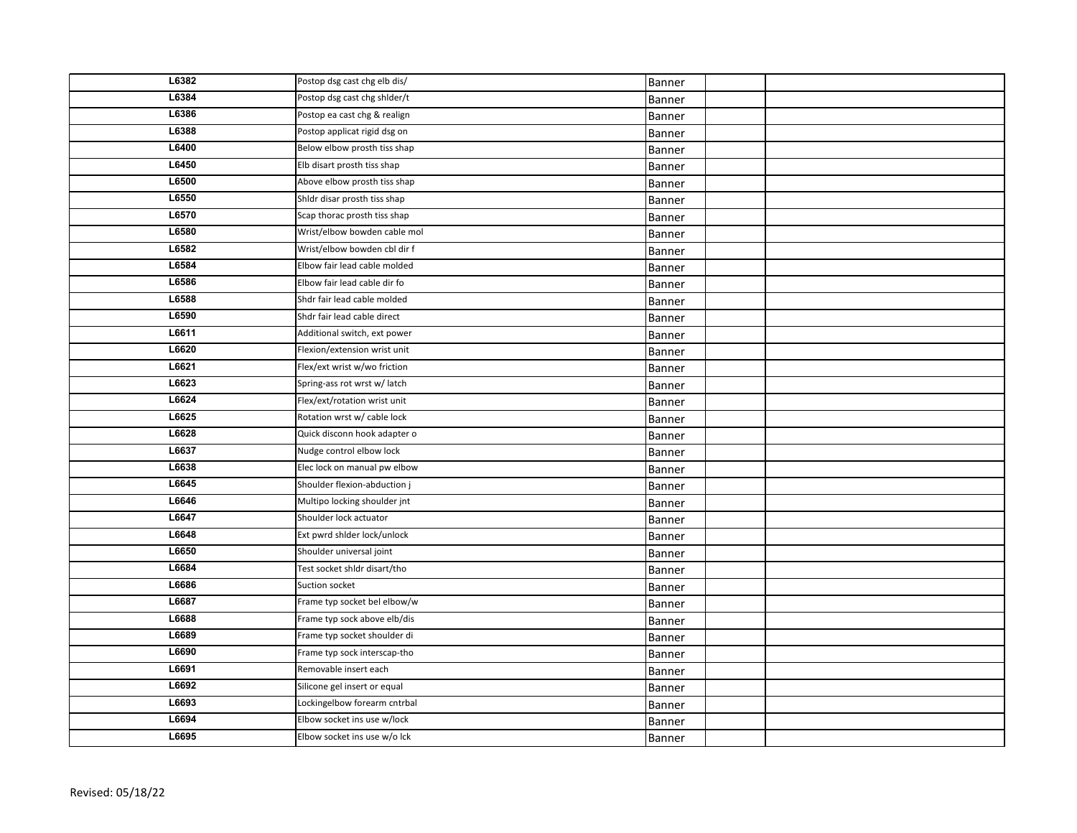| L6382 | Postop dsg cast chg elb dis/ | Banner |  |
|-------|------------------------------|--------|--|
| L6384 | Postop dsg cast chg shider/t | Banner |  |
| L6386 | Postop ea cast chg & realign | Banner |  |
| L6388 | Postop applicat rigid dsg on | Banner |  |
| L6400 | Below elbow prosth tiss shap | Banner |  |
| L6450 | Elb disart prosth tiss shap  | Banner |  |
| L6500 | Above elbow prosth tiss shap | Banner |  |
| L6550 | Shldr disar prosth tiss shap | Banner |  |
| L6570 | Scap thorac prosth tiss shap | Banner |  |
| L6580 | Wrist/elbow bowden cable mol | Banner |  |
| L6582 | Wrist/elbow bowden cbl dir f | Banner |  |
| L6584 | Elbow fair lead cable molded | Banner |  |
| L6586 | Elbow fair lead cable dir fo | Banner |  |
| L6588 | Shdr fair lead cable molded  | Banner |  |
| L6590 | Shdr fair lead cable direct  | Banner |  |
| L6611 | Additional switch, ext power | Banner |  |
| L6620 | Flexion/extension wrist unit | Banner |  |
| L6621 | Flex/ext wrist w/wo friction | Banner |  |
| L6623 | Spring-ass rot wrst w/ latch | Banner |  |
| L6624 | Flex/ext/rotation wrist unit | Banner |  |
| L6625 | Rotation wrst w/ cable lock  | Banner |  |
| L6628 | Quick disconn hook adapter o | Banner |  |
| L6637 | Nudge control elbow lock     | Banner |  |
| L6638 | Elec lock on manual pw elbow | Banner |  |
| L6645 | Shoulder flexion-abduction j | Banner |  |
| L6646 | Multipo locking shoulder jnt | Banner |  |
| L6647 | Shoulder lock actuator       | Banner |  |
| L6648 | Ext pwrd shider lock/unlock  | Banner |  |
| L6650 | Shoulder universal joint     | Banner |  |
| L6684 | Test socket shidr disart/tho | Banner |  |
| L6686 | Suction socket               | Banner |  |
| L6687 | Frame typ socket bel elbow/w | Banner |  |
| L6688 | Frame typ sock above elb/dis | Banner |  |
| L6689 | Frame typ socket shoulder di | Banner |  |
| L6690 | Frame typ sock interscap-tho | Banner |  |
| L6691 | Removable insert each        | Banner |  |
| L6692 | Silicone gel insert or equal | Banner |  |
| L6693 | Lockingelbow forearm cntrbal | Banner |  |
| L6694 | Elbow socket ins use w/lock  | Banner |  |
| L6695 | Elbow socket ins use w/o lck | Banner |  |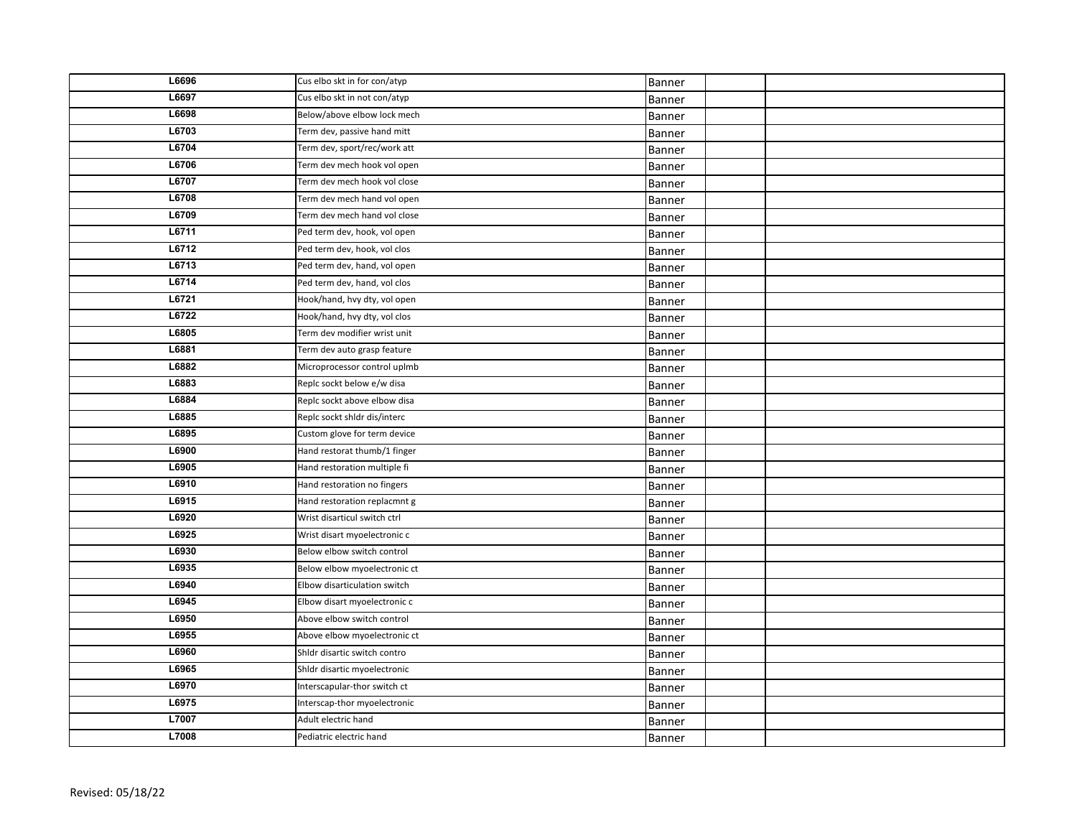| L6696 | Cus elbo skt in for con/atyp | Banner        |  |
|-------|------------------------------|---------------|--|
| L6697 | Cus elbo skt in not con/atyp | Banner        |  |
| L6698 | Below/above elbow lock mech  | Banner        |  |
| L6703 | Term dev, passive hand mitt  | Banner        |  |
| L6704 | Term dev, sport/rec/work att | Banner        |  |
| L6706 | Term dev mech hook vol open  | Banner        |  |
| L6707 | Term dev mech hook vol close | <b>Banner</b> |  |
| L6708 | Term dev mech hand vol open  | <b>Banner</b> |  |
| L6709 | Term dev mech hand vol close | <b>Banner</b> |  |
| L6711 | Ped term dev, hook, vol open | Banner        |  |
| L6712 | Ped term dev, hook, vol clos | Banner        |  |
| L6713 | Ped term dev, hand, vol open | Banner        |  |
| L6714 | Ped term dev, hand, vol clos | Banner        |  |
| L6721 | Hook/hand, hvy dty, vol open | Banner        |  |
| L6722 | Hook/hand, hvy dty, vol clos | Banner        |  |
| L6805 | Term dev modifier wrist unit | Banner        |  |
| L6881 | Term dev auto grasp feature  | Banner        |  |
| L6882 | Microprocessor control uplmb | Banner        |  |
| L6883 | Replc sockt below e/w disa   | Banner        |  |
| L6884 | Replc sockt above elbow disa | Banner        |  |
| L6885 | Replc sockt shldr dis/interc | Banner        |  |
| L6895 | Custom glove for term device | Banner        |  |
| L6900 | Hand restorat thumb/1 finger | Banner        |  |
| L6905 | Hand restoration multiple fi | Banner        |  |
| L6910 | Hand restoration no fingers  | Banner        |  |
| L6915 | Hand restoration replacmnt g | Banner        |  |
| L6920 | Wrist disarticul switch ctrl | Banner        |  |
| L6925 | Wrist disart myoelectronic c | Banner        |  |
| L6930 | Below elbow switch control   | Banner        |  |
| L6935 | Below elbow myoelectronic ct | Banner        |  |
| L6940 | Elbow disarticulation switch | Banner        |  |
| L6945 | Elbow disart myoelectronic c | Banner        |  |
| L6950 | Above elbow switch control   | Banner        |  |
| L6955 | Above elbow myoelectronic ct | Banner        |  |
| L6960 | Shldr disartic switch contro | Banner        |  |
| L6965 | Shldr disartic myoelectronic | Banner        |  |
| L6970 | Interscapular-thor switch ct | Banner        |  |
| L6975 | Interscap-thor myoelectronic | Banner        |  |
| L7007 | Adult electric hand          | Banner        |  |
| L7008 | Pediatric electric hand      | Banner        |  |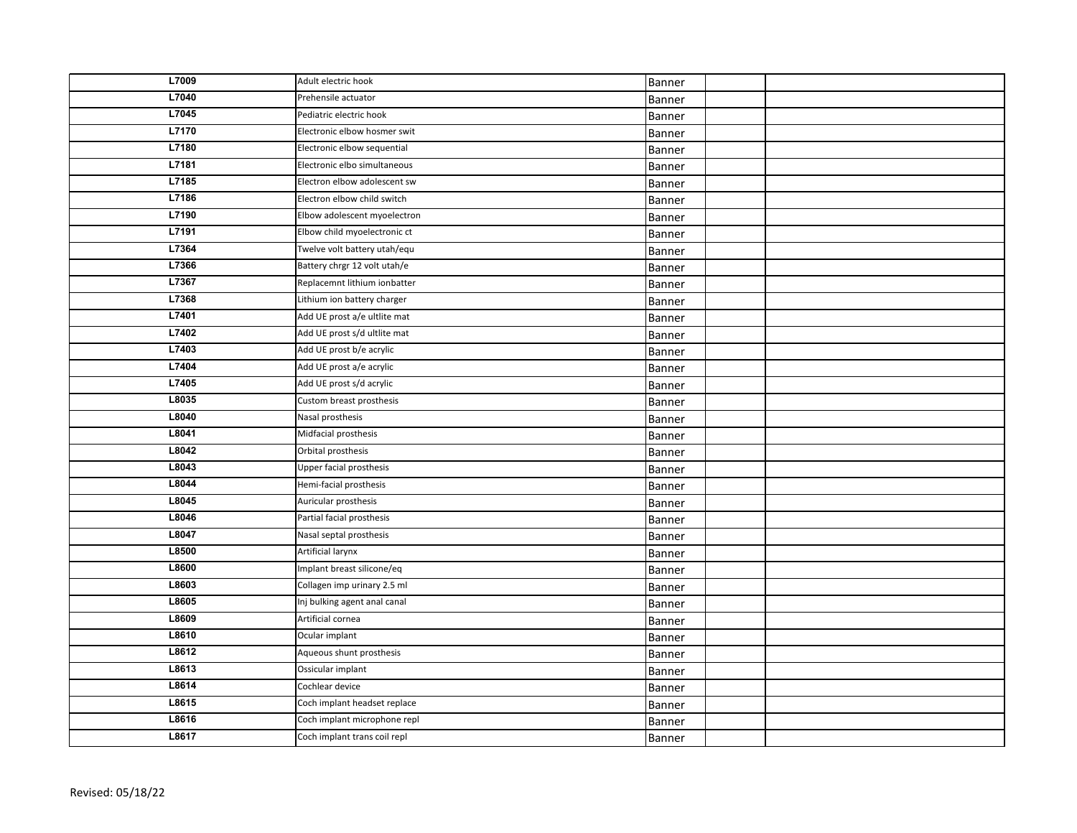| L7009 | Adult electric hook          | Banner |  |
|-------|------------------------------|--------|--|
| L7040 | Prehensile actuator          | Banner |  |
| L7045 | Pediatric electric hook      | Banner |  |
| L7170 | Electronic elbow hosmer swit | Banner |  |
| L7180 | Electronic elbow sequential  | Banner |  |
| L7181 | Electronic elbo simultaneous | Banner |  |
| L7185 | Electron elbow adolescent sw | Banner |  |
| L7186 | Electron elbow child switch  | Banner |  |
| L7190 | Elbow adolescent myoelectron | Banner |  |
| L7191 | Elbow child myoelectronic ct | Banner |  |
| L7364 | Twelve volt battery utah/equ | Banner |  |
| L7366 | Battery chrgr 12 volt utah/e | Banner |  |
| L7367 | Replacemnt lithium ionbatter | Banner |  |
| L7368 | Lithium ion battery charger  | Banner |  |
| L7401 | Add UE prost a/e ultlite mat | Banner |  |
| L7402 | Add UE prost s/d ultlite mat | Banner |  |
| L7403 | Add UE prost b/e acrylic     | Banner |  |
| L7404 | Add UE prost a/e acrylic     | Banner |  |
| L7405 | Add UE prost s/d acrylic     | Banner |  |
| L8035 | Custom breast prosthesis     | Banner |  |
| L8040 | Nasal prosthesis             | Banner |  |
| L8041 | Midfacial prosthesis         | Banner |  |
| L8042 | Orbital prosthesis           | Banner |  |
| L8043 | Upper facial prosthesis      | Banner |  |
| L8044 | Hemi-facial prosthesis       | Banner |  |
| L8045 | Auricular prosthesis         | Banner |  |
| L8046 | Partial facial prosthesis    | Banner |  |
| L8047 | Nasal septal prosthesis      | Banner |  |
| L8500 | Artificial larynx            | Banner |  |
| L8600 | Implant breast silicone/eq   | Banner |  |
| L8603 | Collagen imp urinary 2.5 ml  | Banner |  |
| L8605 | Inj bulking agent anal canal | Banner |  |
| L8609 | Artificial cornea            | Banner |  |
| L8610 | Ocular implant               | Banner |  |
| L8612 | Aqueous shunt prosthesis     | Banner |  |
| L8613 | Ossicular implant            | Banner |  |
| L8614 | Cochlear device              | Banner |  |
| L8615 | Coch implant headset replace | Banner |  |
| L8616 | Coch implant microphone repl | Banner |  |
| L8617 | Coch implant trans coil repl | Banner |  |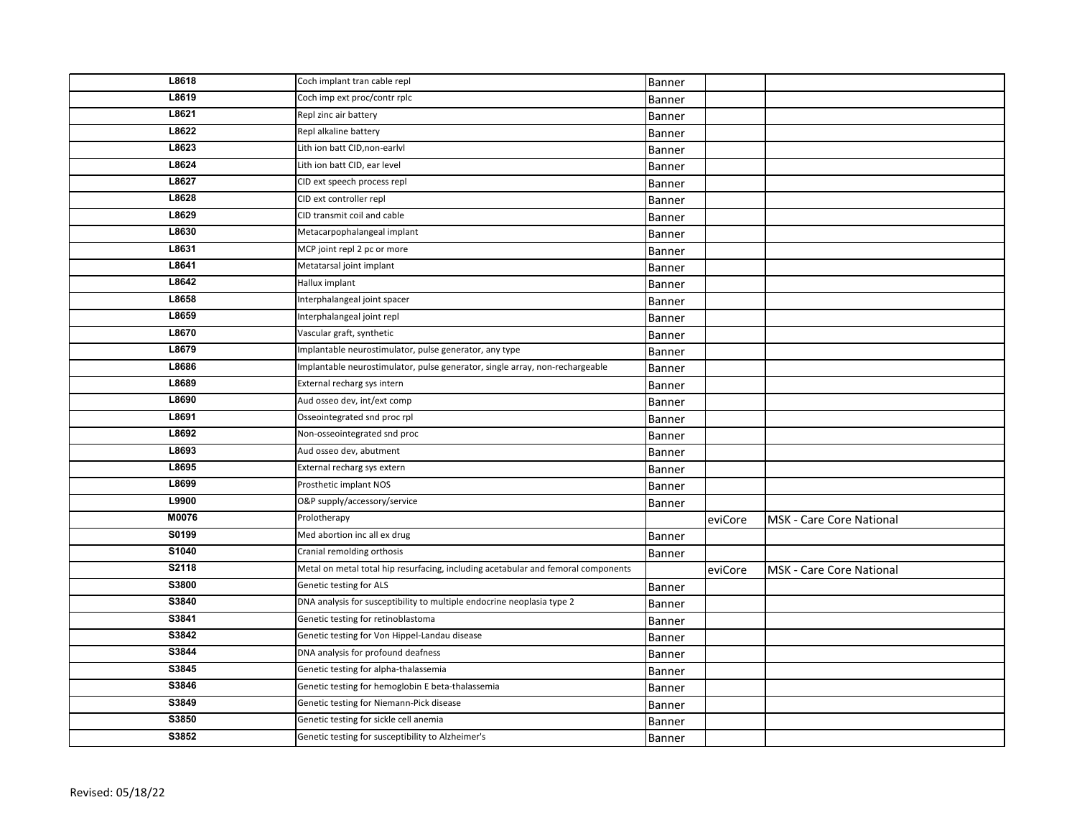| L8618 | Coch implant tran cable repl                                                      |               |         |                                 |
|-------|-----------------------------------------------------------------------------------|---------------|---------|---------------------------------|
| L8619 | Coch imp ext proc/contr rplc                                                      | Banner        |         |                                 |
| L8621 | Repl zinc air battery                                                             | Banner        |         |                                 |
|       |                                                                                   | Banner        |         |                                 |
| L8622 | Repl alkaline battery                                                             | Banner        |         |                                 |
| L8623 | Lith ion batt CID, non-earlyl                                                     | Banner        |         |                                 |
| L8624 | Lith ion batt CID, ear level                                                      | Banner        |         |                                 |
| L8627 | CID ext speech process repl                                                       | Banner        |         |                                 |
| L8628 | CID ext controller repl                                                           | Banner        |         |                                 |
| L8629 | CID transmit coil and cable                                                       | Banner        |         |                                 |
| L8630 | Metacarpophalangeal implant                                                       | Banner        |         |                                 |
| L8631 | MCP joint repl 2 pc or more                                                       | Banner        |         |                                 |
| L8641 | Metatarsal joint implant                                                          | Banner        |         |                                 |
| L8642 | Hallux implant                                                                    | Banner        |         |                                 |
| L8658 | Interphalangeal joint spacer                                                      | Banner        |         |                                 |
| L8659 | Interphalangeal joint repl                                                        | Banner        |         |                                 |
| L8670 | Vascular graft, synthetic                                                         | <b>Banner</b> |         |                                 |
| L8679 | Implantable neurostimulator, pulse generator, any type                            | Banner        |         |                                 |
| L8686 | Implantable neurostimulator, pulse generator, single array, non-rechargeable      | Banner        |         |                                 |
| L8689 | External recharg sys intern                                                       | Banner        |         |                                 |
| L8690 | Aud osseo dev, int/ext comp                                                       | Banner        |         |                                 |
| L8691 | Osseointegrated snd proc rpl                                                      | Banner        |         |                                 |
| L8692 | Non-osseointegrated snd proc                                                      | Banner        |         |                                 |
| L8693 | Aud osseo dev, abutment                                                           | Banner        |         |                                 |
| L8695 | External recharg sys extern                                                       | Banner        |         |                                 |
| L8699 | Prosthetic implant NOS                                                            | Banner        |         |                                 |
| L9900 | O&P supply/accessory/service                                                      | Banner        |         |                                 |
| M0076 | Prolotherapy                                                                      |               | eviCore | <b>MSK - Care Core National</b> |
| S0199 | Med abortion inc all ex drug                                                      | Banner        |         |                                 |
| S1040 | Cranial remolding orthosis                                                        | Banner        |         |                                 |
| S2118 | Metal on metal total hip resurfacing, including acetabular and femoral components |               | eviCore | <b>MSK - Care Core National</b> |
| S3800 | Genetic testing for ALS                                                           | Banner        |         |                                 |
| S3840 | DNA analysis for susceptibility to multiple endocrine neoplasia type 2            | <b>Banner</b> |         |                                 |
| S3841 | Genetic testing for retinoblastoma                                                | Banner        |         |                                 |
| S3842 | Genetic testing for Von Hippel-Landau disease                                     | Banner        |         |                                 |
| S3844 | DNA analysis for profound deafness                                                | Banner        |         |                                 |
| S3845 | Genetic testing for alpha-thalassemia                                             | Banner        |         |                                 |
| S3846 | Genetic testing for hemoglobin E beta-thalassemia                                 | Banner        |         |                                 |
| S3849 | Genetic testing for Niemann-Pick disease                                          | Banner        |         |                                 |
| S3850 | Genetic testing for sickle cell anemia                                            | Banner        |         |                                 |
| S3852 | Genetic testing for susceptibility to Alzheimer's                                 | Banner        |         |                                 |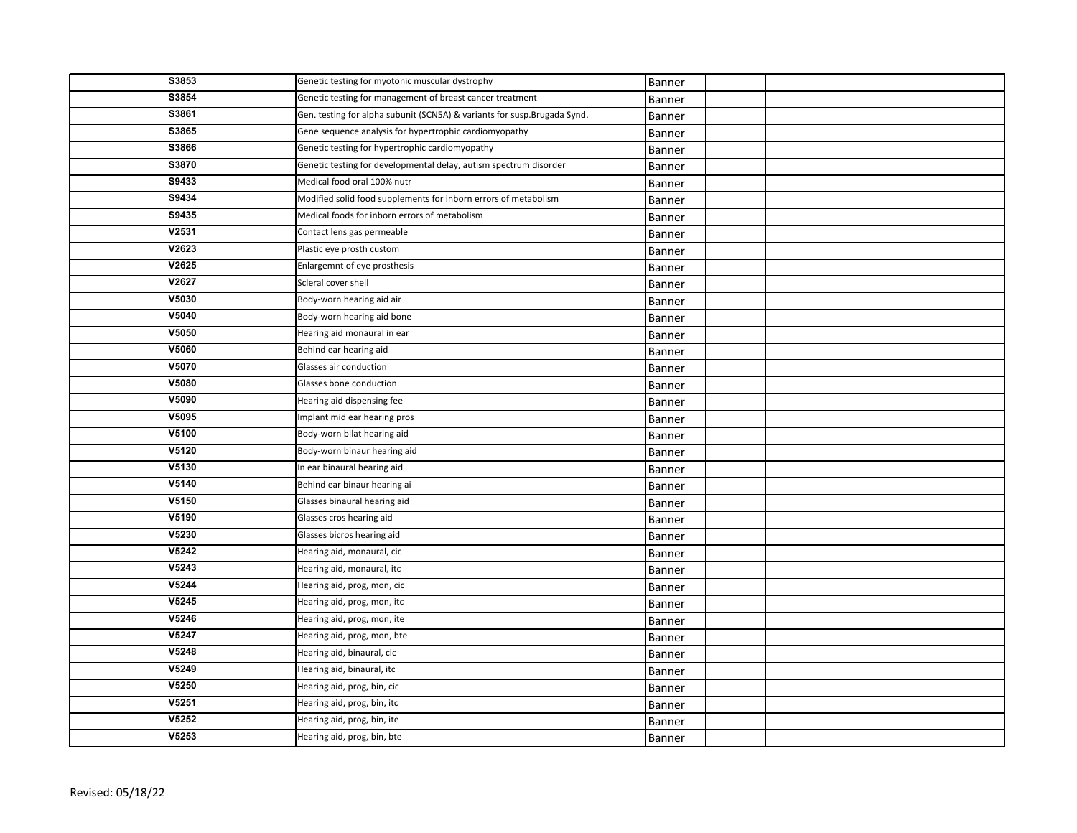| S3853 | Genetic testing for myotonic muscular dystrophy                           | Banner        |  |
|-------|---------------------------------------------------------------------------|---------------|--|
| S3854 | Genetic testing for management of breast cancer treatment                 | <b>Banner</b> |  |
| S3861 | Gen. testing for alpha subunit (SCN5A) & variants for susp. Brugada Synd. | Banner        |  |
| S3865 | Gene sequence analysis for hypertrophic cardiomyopathy                    | Banner        |  |
| S3866 | Genetic testing for hypertrophic cardiomyopathy                           | Banner        |  |
| S3870 | Genetic testing for developmental delay, autism spectrum disorder         | Banner        |  |
| S9433 | Medical food oral 100% nutr                                               | Banner        |  |
| S9434 | Modified solid food supplements for inborn errors of metabolism           | Banner        |  |
| S9435 | Medical foods for inborn errors of metabolism                             | Banner        |  |
| V2531 | Contact lens gas permeable                                                | Banner        |  |
| V2623 | Plastic eye prosth custom                                                 | Banner        |  |
| V2625 | Enlargemnt of eye prosthesis                                              | Banner        |  |
| V2627 | Scleral cover shell                                                       | Banner        |  |
| V5030 | Body-worn hearing aid air                                                 | Banner        |  |
| V5040 | Body-worn hearing aid bone                                                | Banner        |  |
| V5050 | Hearing aid monaural in ear                                               | Banner        |  |
| V5060 | Behind ear hearing aid                                                    | Banner        |  |
| V5070 | Glasses air conduction                                                    | Banner        |  |
| V5080 | Glasses bone conduction                                                   | Banner        |  |
| V5090 | Hearing aid dispensing fee                                                | Banner        |  |
| V5095 | Implant mid ear hearing pros                                              | Banner        |  |
| V5100 | Body-worn bilat hearing aid                                               | Banner        |  |
| V5120 | Body-worn binaur hearing aid                                              | <b>Banner</b> |  |
| V5130 | In ear binaural hearing aid                                               | <b>Banner</b> |  |
| V5140 | Behind ear binaur hearing ai                                              | Banner        |  |
| V5150 | Glasses binaural hearing aid                                              | Banner        |  |
| V5190 | Glasses cros hearing aid                                                  | Banner        |  |
| V5230 | Glasses bicros hearing aid                                                | Banner        |  |
| V5242 | Hearing aid, monaural, cic                                                | Banner        |  |
| V5243 | Hearing aid, monaural, itc                                                | Banner        |  |
| V5244 | Hearing aid, prog, mon, cic                                               | Banner        |  |
| V5245 | Hearing aid, prog, mon, itc                                               | Banner        |  |
| V5246 | Hearing aid, prog, mon, ite                                               | Banner        |  |
| V5247 | Hearing aid, prog, mon, bte                                               | Banner        |  |
| V5248 | Hearing aid, binaural, cic                                                | Banner        |  |
| V5249 | Hearing aid, binaural, itc                                                | Banner        |  |
| V5250 | Hearing aid, prog, bin, cic                                               | Banner        |  |
| V5251 | Hearing aid, prog, bin, itc                                               | Banner        |  |
| V5252 | Hearing aid, prog, bin, ite                                               | Banner        |  |
| V5253 | Hearing aid, prog, bin, bte                                               | Banner        |  |